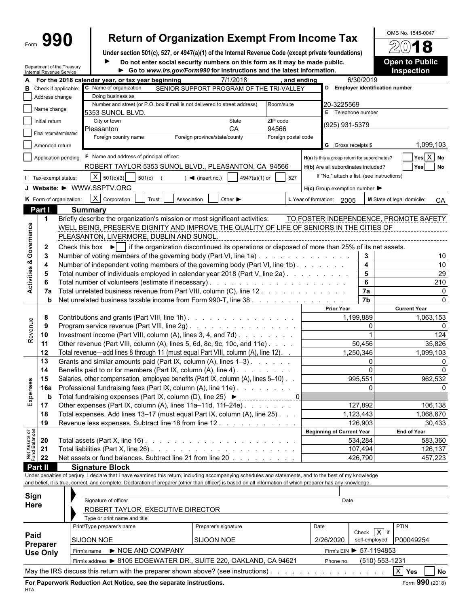# Form **990 Return of Organization Exempt From Income Tax**  $\frac{\text{OMB No. 1545-0047}}{2018}$

**Under section 501(c), 527, or 4947(a)(1) of the Internal Revenue Code (except private foundations) Docial security numbers on this form as it may be made public.** 

Department of the Treasury

| DO HOU BITTER SOCIAL SECURITY HUMBERS ON LINS TONN AS IT MAY DE MAGGE DUDIN    |  |  |  |
|--------------------------------------------------------------------------------|--|--|--|
| <b>A</b> Co to www.irs gov/Form000 for instructions and the latest information |  |  |  |

| <b>Open to Public</b> |  |  |
|-----------------------|--|--|
|                       |  |  |
| <b>Inspection</b>     |  |  |

|                                | Internal Revenue Service      | Department of the Treasury                                                                    |                                                                                                                                                              |                      | Go to www.irs.gov/Form990 for instructions and the latest information.     |                     |            |                                                     |                                    | <b>Inspection</b>                      |
|--------------------------------|-------------------------------|-----------------------------------------------------------------------------------------------|--------------------------------------------------------------------------------------------------------------------------------------------------------------|----------------------|----------------------------------------------------------------------------|---------------------|------------|-----------------------------------------------------|------------------------------------|----------------------------------------|
|                                |                               |                                                                                               | For the 2018 calendar year, or tax year beginning                                                                                                            |                      | 7/1/2018                                                                   |                     | and ending |                                                     | 6/30/2019                          |                                        |
|                                | <b>B</b> Check if applicable: |                                                                                               | C Name of organization                                                                                                                                       |                      | SENIOR SUPPORT PROGRAM OF THE TRI-VALLEY                                   |                     |            | D Employer identification number                    |                                    |                                        |
|                                | Address change                |                                                                                               | Doing business as                                                                                                                                            |                      |                                                                            |                     |            |                                                     |                                    |                                        |
|                                | Name change                   |                                                                                               |                                                                                                                                                              |                      | Number and street (or P.O. box if mail is not delivered to street address) | Room/suite          |            | 20-3225569                                          |                                    |                                        |
|                                | Initial return                |                                                                                               | 5353 SUNOL BLVD.<br>City or town                                                                                                                             |                      | State                                                                      | ZIP code            |            | E Telephone number                                  |                                    |                                        |
|                                |                               |                                                                                               | Pleasanton                                                                                                                                                   |                      | CA                                                                         | 94566               |            | (925) 931-5379                                      |                                    |                                        |
|                                | Final return/terminated       |                                                                                               | Foreign country name                                                                                                                                         |                      | Foreign province/state/county                                              | Foreign postal code |            |                                                     |                                    |                                        |
|                                | Amended return                |                                                                                               |                                                                                                                                                              |                      |                                                                            |                     |            | G Gross receipts \$                                 |                                    | 1,099,103                              |
|                                | Application pending           |                                                                                               | F Name and address of principal officer:                                                                                                                     |                      |                                                                            |                     |            | H(a) Is this a group return for subordinates?       |                                    | $Yes \overline{X}$ No                  |
|                                |                               |                                                                                               | ROBERT TAYLOR 5353 SUNOL BLVD., PLEASANTON, CA 94566                                                                                                         |                      |                                                                            |                     |            | H(b) Are all subordinates included?                 |                                    | Yes No                                 |
|                                | Tax-exempt status:            |                                                                                               | $X = 501(c)(3)$<br>501(c)                                                                                                                                    |                      | 4947(a)(1) or<br>$\blacktriangleleft$ (insert no.)                         | 527                 |            | If "No," attach a list. (see instructions)          |                                    |                                        |
|                                |                               |                                                                                               |                                                                                                                                                              |                      |                                                                            |                     |            |                                                     |                                    |                                        |
|                                |                               |                                                                                               | J Website: $\triangleright$ WWW.SSPTV.ORG                                                                                                                    |                      |                                                                            |                     |            | $H(c)$ Group exemption number $\blacktriangleright$ |                                    |                                        |
|                                |                               | K Form of organization:                                                                       | $X$ Corporation                                                                                                                                              | Trust<br>Association | Other $\blacktriangleright$                                                |                     |            | L Year of formation: 2005                           |                                    | M State of legal domicile:<br>CA       |
|                                | Part I                        |                                                                                               | <b>Summary</b>                                                                                                                                               |                      |                                                                            |                     |            |                                                     |                                    |                                        |
|                                | $\mathbf 1$                   |                                                                                               | Briefly describe the organization's mission or most significant activities:                                                                                  |                      |                                                                            |                     |            |                                                     |                                    | TO FOSTER INDEPENDENCE, PROMOTE SAFETY |
| Activities & Governance        |                               |                                                                                               | WELL BEING, PRESERVE DIGNITY AND IMPROVE THE QUALITY OF LIFE OF SENIORS IN THE CITIES OF                                                                     |                      |                                                                            |                     |            |                                                     |                                    |                                        |
|                                |                               |                                                                                               | PLEASANTON, LIVERMORE, DUBLIN AND SUNOL.                                                                                                                     |                      |                                                                            |                     |            |                                                     |                                    |                                        |
|                                | $\mathbf{2}$                  |                                                                                               | Check this box $\blacktriangleright$ if the organization discontinued its operations or disposed of more than 25% of its net assets.                         |                      |                                                                            |                     |            |                                                     |                                    |                                        |
|                                | -3                            |                                                                                               | Number of voting members of the governing body (Part VI, line 1a)                                                                                            |                      |                                                                            |                     |            |                                                     | 3                                  | 10                                     |
|                                | 4                             |                                                                                               | Number of independent voting members of the governing body (Part VI, line 1b)                                                                                |                      |                                                                            |                     |            |                                                     | $\overline{\mathbf{4}}$            | 10                                     |
|                                | -5                            |                                                                                               | Total number of individuals employed in calendar year 2018 (Part V, line 2a).                                                                                |                      |                                                                            |                     |            |                                                     | $5\phantom{a}$                     | 29                                     |
|                                | 6                             |                                                                                               |                                                                                                                                                              |                      |                                                                            |                     |            |                                                     | $6\phantom{a}$                     | 210                                    |
|                                | 7a                            |                                                                                               | Total unrelated business revenue from Part VIII, column (C), line 12                                                                                         |                      |                                                                            |                     |            |                                                     | $\overline{7a}$<br>$\overline{7b}$ | 0                                      |
|                                | b                             |                                                                                               | Net unrelated business taxable income from Form 990-T, line 38                                                                                               |                      |                                                                            |                     |            | <b>Prior Year</b>                                   |                                    | n                                      |
|                                | 8                             |                                                                                               |                                                                                                                                                              |                      |                                                                            |                     |            |                                                     |                                    | <b>Current Year</b>                    |
|                                | 9                             | Contributions and grants (Part VIII, line 1h)<br>Program service revenue (Part VIII, line 2g) |                                                                                                                                                              |                      |                                                                            | 1,199,889           |            | 1,063,153<br>n                                      |                                    |                                        |
| Revenue                        | 10                            |                                                                                               | Investment income (Part VIII, column (A), lines 3, 4, and 7d)                                                                                                |                      |                                                                            |                     |            |                                                     | O                                  | 124                                    |
|                                | 11                            |                                                                                               | Other revenue (Part VIII, column (A), lines 5, 6d, 8c, 9c, 10c, and 11e)                                                                                     |                      |                                                                            |                     |            |                                                     | 50,456                             | 35,826                                 |
|                                | 12                            |                                                                                               | Total revenue—add lines 8 through 11 (must equal Part VIII, column (A), line 12). .                                                                          |                      |                                                                            |                     |            |                                                     | 1,250,346                          | 1,099,103                              |
|                                | 13                            |                                                                                               | Grants and similar amounts paid (Part IX, column (A), lines 1-3)                                                                                             |                      |                                                                            |                     |            |                                                     | $\Omega$                           | <sup>0</sup>                           |
|                                | 14                            |                                                                                               | Benefits paid to or for members (Part IX, column (A), line 4)                                                                                                |                      |                                                                            |                     |            |                                                     |                                    |                                        |
|                                | 15                            |                                                                                               | Salaries, other compensation, employee benefits (Part IX, column (A), lines 5-10).                                                                           |                      |                                                                            |                     |            |                                                     | 995,551                            | 962,532                                |
| Expenses                       | 16a                           |                                                                                               | Professional fundraising fees (Part IX, column (A), line 11e)                                                                                                |                      |                                                                            |                     |            |                                                     | $\mathbf{0}$                       |                                        |
|                                | b                             |                                                                                               | Total fundraising expenses (Part IX, column (D), line 25) ▶                                                                                                  |                      |                                                                            |                     |            |                                                     |                                    |                                        |
|                                | 17                            |                                                                                               | Other expenses (Part IX, column (A), lines 11a-11d, 11f-24e)                                                                                                 |                      |                                                                            |                     |            |                                                     | 127,892                            | 106,138                                |
|                                | 18                            |                                                                                               | Total expenses. Add lines 13-17 (must equal Part IX, column (A), line 25). .                                                                                 |                      |                                                                            |                     |            |                                                     | 1,123,443                          | 1,068,670                              |
|                                | 19                            |                                                                                               | Revenue less expenses. Subtract line 18 from line 12.                                                                                                        |                      |                                                                            |                     |            |                                                     | 126,903                            | 30,433                                 |
|                                |                               |                                                                                               |                                                                                                                                                              |                      |                                                                            |                     |            | <b>Beginning of Current Year</b>                    |                                    | <b>End of Year</b>                     |
|                                | 20                            |                                                                                               |                                                                                                                                                              |                      |                                                                            |                     |            |                                                     | 534,284                            | 583,360                                |
| Net Assets or<br>Fund Balances | 21                            |                                                                                               |                                                                                                                                                              |                      |                                                                            |                     |            |                                                     | 107,494                            | 126,137                                |
|                                | 22                            |                                                                                               | Net assets or fund balances. Subtract line 21 from line 20                                                                                                   |                      |                                                                            |                     |            |                                                     | 426,790                            | 457,223                                |
|                                | Part II                       |                                                                                               | <b>Signature Block</b>                                                                                                                                       |                      |                                                                            |                     |            |                                                     |                                    |                                        |
|                                |                               |                                                                                               | Under penalties of perjury, I declare that I have examined this return, including accompanying schedules and statements, and to the best of my knowledge     |                      |                                                                            |                     |            |                                                     |                                    |                                        |
|                                |                               |                                                                                               | and belief, it is true, correct, and complete. Declaration of preparer (other than officer) is based on all information of which preparer has any knowledge. |                      |                                                                            |                     |            |                                                     |                                    |                                        |
|                                | Sign                          |                                                                                               |                                                                                                                                                              |                      |                                                                            |                     |            |                                                     |                                    |                                        |
|                                | Here                          |                                                                                               | Signature of officer                                                                                                                                         |                      |                                                                            |                     |            | Date                                                |                                    |                                        |
|                                |                               |                                                                                               | ROBERT TAYLOR, EXECUTIVE DIRECTOR                                                                                                                            |                      |                                                                            |                     |            |                                                     |                                    |                                        |
|                                |                               |                                                                                               | Type or print name and title                                                                                                                                 |                      |                                                                            |                     |            |                                                     |                                    |                                        |
|                                |                               |                                                                                               | Print/Type preparer's name                                                                                                                                   |                      | Preparer's signature                                                       |                     | Date       |                                                     | Check $X$ if                       | <b>PTIN</b>                            |
| Paid                           |                               |                                                                                               | <b>SIJOON NOE</b>                                                                                                                                            |                      | SIJOON NOE                                                                 |                     |            | 2/26/2020                                           | self-employed                      | P00049254                              |
|                                | Preparer<br><b>Ileo Only</b>  |                                                                                               | Firm's name $\blacktriangleright$ NOE AND COMPANY                                                                                                            |                      |                                                                            |                     |            | Firm's EIN ▶ 57-1194853                             |                                    |                                        |

Firm's address ▶ 8105 EDGEWATER DR., SUITE 220, OAKLAND, CA 94621 Phone no. (510) 553-1231 May the IRS discuss this return with the preparer shown above? (see instructions) . . . . . . . . . . . . . . . . . . . . . . . . . . . . . . . . . . . . . . . . . X **Yes No**

**Use Only**

HTA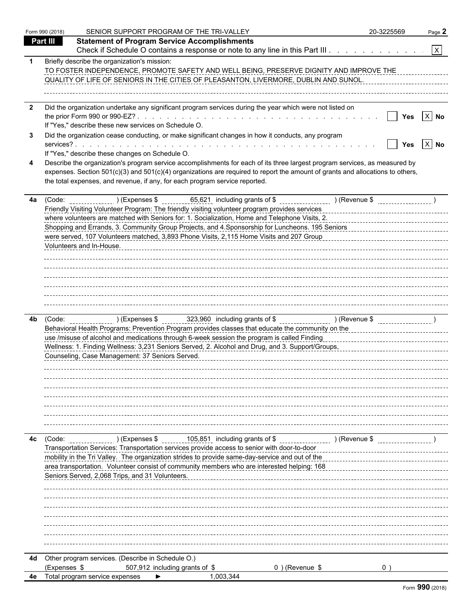|     | Form 990 (2018) | SENIOR SUPPORT PROGRAM OF THE TRI-VALLEY                                                                                                                                                                                                                                                                                                    | 20-3225569 | Page 2                  |
|-----|-----------------|---------------------------------------------------------------------------------------------------------------------------------------------------------------------------------------------------------------------------------------------------------------------------------------------------------------------------------------------|------------|-------------------------|
|     | Part III        | <b>Statement of Program Service Accomplishments</b>                                                                                                                                                                                                                                                                                         |            |                         |
|     |                 | Check if Schedule O contains a response or note to any line in this Part III.                                                                                                                                                                                                                                                               |            | $\overline{\mathbf{X}}$ |
|     |                 | Briefly describe the organization's mission:<br>TO FOSTER INDEPENDENCE, PROMOTE SAFETY AND WELL BEING, PRESERVE DIGNITY AND IMPROVE THE<br>QUALITY OF LIFE OF SENIORS IN THE CITIES OF PLEASANTON, LIVERMORE, DUBLIN AND SUNOL.                                                                                                             |            |                         |
| - 2 |                 | Did the organization undertake any significant program services during the year which were not listed on                                                                                                                                                                                                                                    |            |                         |
|     |                 | If "Yes," describe these new services on Schedule O.                                                                                                                                                                                                                                                                                        | Yes        | $X$ No                  |
|     |                 | Did the organization cease conducting, or make significant changes in how it conducts, any program                                                                                                                                                                                                                                          | Yes        | $X$ No                  |
|     |                 | If "Yes," describe these changes on Schedule O.                                                                                                                                                                                                                                                                                             |            |                         |
|     |                 | Describe the organization's program service accomplishments for each of its three largest program services, as measured by<br>expenses. Section 501(c)(3) and 501(c)(4) organizations are required to report the amount of grants and allocations to others,<br>the total expenses, and revenue, if any, for each program service reported. |            |                         |
| 4a  |                 | Friendly Visiting Volunteer Program: The friendly visiting volunteer program provides services entertain-<br>where volunteers are matched with Seniors for: 1. Socialization, Home and Telephone Visits, 2.                                                                                                                                 |            |                         |
|     |                 | Shopping and Errands, 3. Community Group Projects, and 4. Sponsorship for Luncheons. 195 Seniors<br>Shopping and Errands, 3. Community Group Projects, and 4. Sponsorship for Luncheons. 195 Seniors<br>were served, 107 Volunteers matched, 3,893 Phone Visits, 2,115 Home Visits and 207 Group                                            |            |                         |
|     |                 | Volunteers and In-House.                                                                                                                                                                                                                                                                                                                    |            |                         |
|     |                 |                                                                                                                                                                                                                                                                                                                                             |            |                         |
|     |                 |                                                                                                                                                                                                                                                                                                                                             |            |                         |
| 4b. |                 | (Code: ________________) (Expenses $\frac{1}{2}$ [23,960] including grants of $\frac{1}{2}$ [Revenue $\frac{1}{2}$ ] (Revenue $\frac{1}{2}$<br>Behavioral Health Programs: Prevention Program provides classes that educate the community on the                                                                                            |            |                         |
|     |                 | use /misuse of alcohol and medications through 6-week session the program is called Finding<br>Wellness: 1. Finding Wellness: 3,231 Seniors Served, 2. Alcohol and Drug, and 3. Support/Groups, Matter Concentration of the Wellness: 4.231 Seniors Served, 2. Alcohol and Drug, and 3. Support/Groups, Matter Concentration                |            |                         |
|     |                 | Counseling, Case Management: 37 Seniors Served.                                                                                                                                                                                                                                                                                             |            |                         |
|     |                 |                                                                                                                                                                                                                                                                                                                                             |            |                         |
|     |                 |                                                                                                                                                                                                                                                                                                                                             |            |                         |
|     |                 |                                                                                                                                                                                                                                                                                                                                             |            |                         |
| 4c  | (Code:          | ) (Expenses \$ $\frac{105,851}{2}$ including grants of \$ $\frac{105,851}{2}$ including grants of \$ $\frac{1000}{2}$ (Revenue \$<br>Transportation Services: Transportation services provide access to senior with door-to-door                                                                                                            |            |                         |
|     |                 | mobility in the Tri Valley. The organization strides to provide same-day-service and out of the<br>area transportation. Volunteer consist of community members who are interested helping: 168                                                                                                                                              |            |                         |
|     |                 | Seniors Served, 2,068 Trips, and 31 Volunteers.                                                                                                                                                                                                                                                                                             |            |                         |
|     |                 |                                                                                                                                                                                                                                                                                                                                             |            |                         |
|     |                 |                                                                                                                                                                                                                                                                                                                                             |            |                         |
|     |                 |                                                                                                                                                                                                                                                                                                                                             |            |                         |
| 4d  | (Expenses \$    | Other program services. (Describe in Schedule O.)<br>507,912 including grants of \$<br>$0$ ) (Revenue \$                                                                                                                                                                                                                                    |            |                         |
| 4e  |                 | Total program service expenses<br>1,003,344                                                                                                                                                                                                                                                                                                 |            |                         |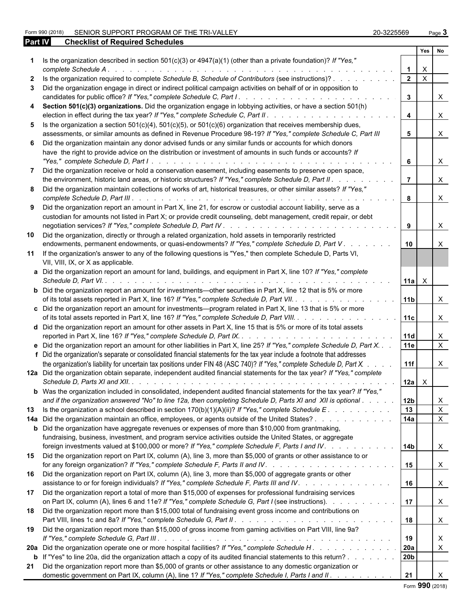Form 990 (2018) SENIOR SUPPORT PROGRAM OF THE TRI-VALLEY 20 20-3225569 Page 3 **Part IV Checklist of Required Schedules** 

| 20-3225569 | Page $\cdot$ |  |
|------------|--------------|--|
|------------|--------------|--|

|              |                                                                                                                                                                                                             |                | Yes                       | No           |
|--------------|-------------------------------------------------------------------------------------------------------------------------------------------------------------------------------------------------------------|----------------|---------------------------|--------------|
|              | 1 Is the organization described in section 501(c)(3) or 4947(a)(1) (other than a private foundation)? If "Yes,"                                                                                             |                | $\boldsymbol{\mathsf{X}}$ |              |
| $\mathbf{2}$ | Is the organization required to complete Schedule B, Schedule of Contributors (see instructions)?                                                                                                           | $\overline{2}$ | $\mathsf{X}$              |              |
|              | 3 Did the organization engage in direct or indirect political campaign activities on behalf of or in opposition to                                                                                          |                |                           |              |
|              |                                                                                                                                                                                                             | $\mathbf{3}$   |                           | X            |
|              | 4 Section 501(c)(3) organizations. Did the organization engage in lobbying activities, or have a section 501(h)                                                                                             |                |                           |              |
|              | election in effect during the tax year? If "Yes," complete Schedule C, Part II.                                                                                                                             | 4              |                           | $\times$     |
|              | 5 Is the organization a section $501(c)(4)$ , $501(c)(5)$ , or $501(c)(6)$ organization that receives membership dues,                                                                                      |                |                           |              |
|              | assessments, or similar amounts as defined in Revenue Procedure 98-19? If "Yes," complete Schedule C, Part III                                                                                              | 5.             |                           | $\times$     |
|              | 6 Did the organization maintain any donor advised funds or any similar funds or accounts for which donors                                                                                                   |                |                           |              |
|              | have the right to provide advice on the distribution or investment of amounts in such funds or accounts? If                                                                                                 |                |                           |              |
|              |                                                                                                                                                                                                             | 6              |                           | $\times$     |
| 7            | Did the organization receive or hold a conservation easement, including easements to preserve open space,                                                                                                   |                |                           |              |
|              | the environment, historic land areas, or historic structures? If "Yes," complete Schedule D, Part II.                                                                                                       | 7              |                           | $\times$     |
|              | 8 Did the organization maintain collections of works of art, historical treasures, or other similar assets? If "Yes,"                                                                                       |                |                           |              |
|              |                                                                                                                                                                                                             | 8              |                           | $\times$     |
|              | 9 Did the organization report an amount in Part X, line 21, for escrow or custodial account liability, serve as a                                                                                           |                |                           |              |
|              | custodian for amounts not listed in Part X; or provide credit counseling, debt management, credit repair, or debt                                                                                           |                |                           |              |
|              |                                                                                                                                                                                                             | 9              |                           | X.           |
| 10           | Did the organization, directly or through a related organization, hold assets in temporarily restricted                                                                                                     |                |                           |              |
|              | endowments, permanent endowments, or quasi-endowments? If "Yes," complete Schedule D, Part V                                                                                                                | 10             |                           | X            |
|              | 11 If the organization's answer to any of the following questions is "Yes," then complete Schedule D, Parts VI,                                                                                             |                |                           |              |
|              | VII, VIII, IX, or X as applicable.                                                                                                                                                                          |                |                           |              |
|              | a Did the organization report an amount for land, buildings, and equipment in Part X, line 10? If "Yes," complete                                                                                           |                |                           |              |
|              |                                                                                                                                                                                                             | 11a            | $\mathsf{X}$              |              |
|              | <b>b</b> Did the organization report an amount for investments—other securities in Part X, line 12 that is 5% or more                                                                                       |                |                           |              |
|              | of its total assets reported in Part X, line 16? If "Yes," complete Schedule D, Part VII.                                                                                                                   | l 11b          |                           | X            |
|              | c Did the organization report an amount for investments—program related in Part X, line 13 that is 5% or more                                                                                               |                |                           |              |
|              | of its total assets reported in Part X, line 16? If "Yes," complete Schedule D, Part VIII.                                                                                                                  | 11c            |                           | $\times$     |
|              | d Did the organization report an amount for other assets in Part X, line 15 that is 5% or more of its total assets                                                                                          |                |                           |              |
|              |                                                                                                                                                                                                             | <b>11d</b>     |                           | X            |
|              | e Did the organization report an amount for other liabilities in Part X, line 25? If "Yes," complete Schedule D, Part X.                                                                                    | 11e            |                           | $\mathsf{X}$ |
|              | f Did the organization's separate or consolidated financial statements for the tax year include a footnote that addresses                                                                                   |                |                           |              |
|              | the organization's liability for uncertain tax positions under FIN 48 (ASC 740)? If "Yes," complete Schedule D, Part X.                                                                                     | 11f            |                           | X.           |
|              | 12a Did the organization obtain separate, independent audited financial statements for the tax year? If "Yes," complete                                                                                     |                |                           |              |
|              |                                                                                                                                                                                                             | 12a            | X.                        |              |
|              | b Was the organization included in consolidated, independent audited financial statements for the tax year? If "Yes,"                                                                                       |                |                           |              |
|              | and if the organization answered "No" to line 12a, then completing Schedule D, Parts XI and XII is optional                                                                                                 | 12b            |                           | X            |
|              | 13 Is the organization a school described in section 170(b)(1)(A)(ii)? If "Yes," complete Schedule E.                                                                                                       | 13             |                           | $\mathsf{X}$ |
|              | 14a Did the organization maintain an office, employees, or agents outside of the United States?                                                                                                             | 14a            |                           | $\mathsf{X}$ |
|              | <b>b</b> Did the organization have aggregate revenues or expenses of more than \$10,000 from grantmaking,                                                                                                   |                |                           |              |
|              | fundraising, business, investment, and program service activities outside the United States, or aggregate                                                                                                   |                |                           |              |
|              | foreign investments valued at \$100,000 or more? If "Yes," complete Schedule F, Parts I and IV.                                                                                                             | l 14b          |                           | $\mathsf{X}$ |
|              | 15 Did the organization report on Part IX, column (A), line 3, more than \$5,000 of grants or other assistance to or                                                                                        |                |                           |              |
|              |                                                                                                                                                                                                             | 15             |                           | X            |
|              |                                                                                                                                                                                                             |                |                           |              |
|              | 16 Did the organization report on Part IX, column (A), line 3, more than \$5,000 of aggregate grants or other<br>assistance to or for foreign individuals? If "Yes," complete Schedule F, Parts III and IV. |                |                           |              |
|              |                                                                                                                                                                                                             | 16             |                           | X            |
|              | 17 Did the organization report a total of more than \$15,000 of expenses for professional fundraising services                                                                                              |                |                           |              |
|              | on Part IX, column (A), lines 6 and 11e? If "Yes," complete Schedule G, Part I (see instructions).                                                                                                          | 17             |                           | X            |
|              | 18 Did the organization report more than \$15,000 total of fundraising event gross income and contributions on                                                                                              |                |                           |              |
|              |                                                                                                                                                                                                             | 18             |                           | $\mathsf{X}$ |
|              | 19 Did the organization report more than \$15,000 of gross income from gaming activities on Part VIII, line 9a?                                                                                             |                |                           |              |
|              |                                                                                                                                                                                                             | 19             |                           | X            |
|              | 20a Did the organization operate one or more hospital facilities? If "Yes," complete Schedule H.                                                                                                            | 20a            |                           | X            |
|              | <b>b</b> If "Yes" to line 20a, did the organization attach a copy of its audited financial statements to this return?                                                                                       | 20b            |                           |              |
|              | 21 Did the organization report more than \$5,000 of grants or other assistance to any domestic organization or                                                                                              |                |                           |              |
|              | domestic government on Part IX, column (A), line 1? If "Yes," complete Schedule I, Parts I and II.                                                                                                          | 21             |                           |              |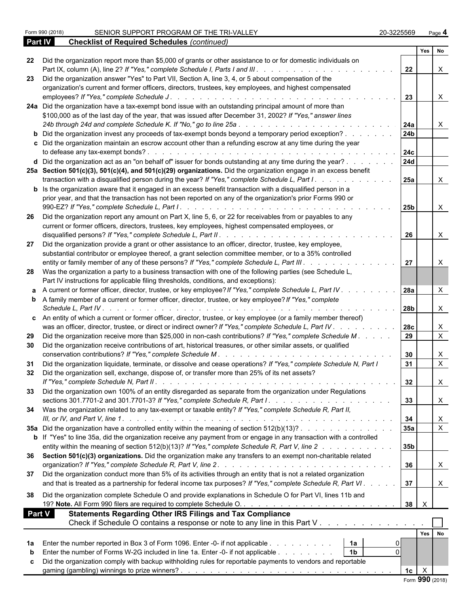|               |                                                                                                                                                                                                                                                                                                                                                                     |                 | Yes                                | No             |  |
|---------------|---------------------------------------------------------------------------------------------------------------------------------------------------------------------------------------------------------------------------------------------------------------------------------------------------------------------------------------------------------------------|-----------------|------------------------------------|----------------|--|
|               | 22 Did the organization report more than \$5,000 of grants or other assistance to or for domestic individuals on<br>Part IX, column (A), line 2? If "Yes," complete Schedule I, Parts I and III. .<br>$\frac{1}{2}$ . $\frac{1}{2}$ . $\frac{1}{2}$ . $\frac{1}{2}$ . $\frac{1}{2}$ . $\frac{1}{2}$ . $\frac{1}{2}$ . $\frac{1}{2}$ . $\frac{1}{2}$ . $\frac{1}{2}$ | 22              |                                    |                |  |
|               | 23 Did the organization answer "Yes" to Part VII, Section A, line 3, 4, or 5 about compensation of the                                                                                                                                                                                                                                                              |                 |                                    |                |  |
|               | organization's current and former officers, directors, trustees, key employees, and highest compensated                                                                                                                                                                                                                                                             |                 |                                    |                |  |
|               | employees? If "Yes," complete Schedule J.<br>$\mathcal{A}$ . The contribution of the contribution of the contribution of $\mathcal{A}$                                                                                                                                                                                                                              | 23              |                                    | $\times$       |  |
|               | 24a Did the organization have a tax-exempt bond issue with an outstanding principal amount of more than                                                                                                                                                                                                                                                             |                 |                                    |                |  |
|               | \$100,000 as of the last day of the year, that was issued after December 31, 2002? If "Yes," answer lines                                                                                                                                                                                                                                                           |                 |                                    |                |  |
|               | 24b through 24d and complete Schedule K. If "No," go to line 25a<br>and the state of the state of the state of the                                                                                                                                                                                                                                                  | 24a             |                                    | X              |  |
|               |                                                                                                                                                                                                                                                                                                                                                                     | 24 <sub>b</sub> |                                    |                |  |
|               | <b>b</b> Did the organization invest any proceeds of tax-exempt bonds beyond a temporary period exception?                                                                                                                                                                                                                                                          |                 |                                    |                |  |
|               | c Did the organization maintain an escrow account other than a refunding escrow at any time during the year                                                                                                                                                                                                                                                         |                 |                                    |                |  |
|               | to defease any tax-exempt bonds?.<br>the second contract of the second contract of the second contract of the second contract of the second contract of the second contract of the second contract of the second contract of the second contract of the second cont                                                                                                 | 24c             |                                    |                |  |
|               | d Did the organization act as an "on behalf of" issuer for bonds outstanding at any time during the year?                                                                                                                                                                                                                                                           | <b>24d</b>      |                                    |                |  |
|               | 25a Section 501(c)(3), 501(c)(4), and 501(c)(29) organizations. Did the organization engage in an excess benefit                                                                                                                                                                                                                                                    |                 |                                    |                |  |
|               | transaction with a disqualified person during the year? If "Yes," complete Schedule L, Part I.                                                                                                                                                                                                                                                                      | 25a             |                                    | $\times$       |  |
|               | <b>b</b> Is the organization aware that it engaged in an excess benefit transaction with a disqualified person in a                                                                                                                                                                                                                                                 |                 |                                    |                |  |
|               | prior year, and that the transaction has not been reported on any of the organization's prior Forms 990 or                                                                                                                                                                                                                                                          |                 |                                    |                |  |
|               |                                                                                                                                                                                                                                                                                                                                                                     |                 |                                    |                |  |
|               |                                                                                                                                                                                                                                                                                                                                                                     | 25 <sub>b</sub> |                                    | $\times$       |  |
|               | 26 Did the organization report any amount on Part X, line 5, 6, or 22 for receivables from or payables to any                                                                                                                                                                                                                                                       |                 |                                    |                |  |
|               | current or former officers, directors, trustees, key employees, highest compensated employees, or                                                                                                                                                                                                                                                                   |                 |                                    |                |  |
|               |                                                                                                                                                                                                                                                                                                                                                                     | 26              |                                    | $\times$       |  |
| 27            | Did the organization provide a grant or other assistance to an officer, director, trustee, key employee,                                                                                                                                                                                                                                                            |                 |                                    |                |  |
|               | substantial contributor or employee thereof, a grant selection committee member, or to a 35% controlled                                                                                                                                                                                                                                                             |                 |                                    |                |  |
|               | entity or family member of any of these persons? If "Yes," complete Schedule L, Part III.                                                                                                                                                                                                                                                                           | 27              |                                    |                |  |
|               | 28 Was the organization a party to a business transaction with one of the following parties (see Schedule L,                                                                                                                                                                                                                                                        |                 |                                    |                |  |
|               | Part IV instructions for applicable filing thresholds, conditions, and exceptions):                                                                                                                                                                                                                                                                                 |                 |                                    |                |  |
|               |                                                                                                                                                                                                                                                                                                                                                                     |                 |                                    | $\times$       |  |
|               | a A current or former officer, director, trustee, or key employee? If "Yes," complete Schedule L, Part IV.                                                                                                                                                                                                                                                          | 28a             |                                    |                |  |
|               | <b>b</b> A family member of a current or former officer, director, trustee, or key employee? If "Yes," complete<br>Schedule L, Part IV.                                                                                                                                                                                                                             | 28 <sub>b</sub> |                                    | $\mathsf{X}$   |  |
|               | c An entity of which a current or former officer, director, trustee, or key employee (or a family member thereof)                                                                                                                                                                                                                                                   |                 |                                    |                |  |
|               | was an officer, director, trustee, or direct or indirect owner? If "Yes," complete Schedule L, Part IV.                                                                                                                                                                                                                                                             | <b>28c</b>      |                                    | $\mathsf{X}$   |  |
| 29            | Did the organization receive more than \$25,000 in non-cash contributions? If "Yes," complete Schedule M.                                                                                                                                                                                                                                                           | 29              |                                    | $\mathsf{X}$   |  |
|               |                                                                                                                                                                                                                                                                                                                                                                     |                 |                                    |                |  |
| 30            | Did the organization receive contributions of art, historical treasures, or other similar assets, or qualified                                                                                                                                                                                                                                                      |                 |                                    |                |  |
|               | conservation contributions? If "Yes," complete Schedule M.                                                                                                                                                                                                                                                                                                          | 30              |                                    | X              |  |
| -31           | Did the organization liquidate, terminate, or dissolve and cease operations? If "Yes," complete Schedule N, Part I                                                                                                                                                                                                                                                  | 31              |                                    | $\mathsf{X}$   |  |
|               | Did the organization sell, exchange, dispose of, or transfer more than 25% of its net assets?<br>If "Yes," complete Schedule N, Part II.                                                                                                                                                                                                                            | 32              |                                    | X              |  |
|               | 33 Did the organization own 100% of an entity disregarded as separate from the organization under Regulations                                                                                                                                                                                                                                                       |                 |                                    |                |  |
|               |                                                                                                                                                                                                                                                                                                                                                                     |                 |                                    |                |  |
|               |                                                                                                                                                                                                                                                                                                                                                                     | 33              |                                    | $\mathsf{X}$   |  |
|               | 34 Was the organization related to any tax-exempt or taxable entity? If "Yes," complete Schedule R, Part II,                                                                                                                                                                                                                                                        |                 |                                    |                |  |
|               |                                                                                                                                                                                                                                                                                                                                                                     | 34              |                                    | $\mathsf{X}$   |  |
|               | 35a Did the organization have a controlled entity within the meaning of section 512(b)(13)?                                                                                                                                                                                                                                                                         | 35a             |                                    | $\overline{X}$ |  |
|               | b If "Yes" to line 35a, did the organization receive any payment from or engage in any transaction with a controlled                                                                                                                                                                                                                                                |                 |                                    |                |  |
|               | entity within the meaning of section 512(b)(13)? If "Yes," complete Schedule R, Part V, line 2                                                                                                                                                                                                                                                                      | 35 <sub>b</sub> |                                    |                |  |
|               | 36 Section 501(c)(3) organizations. Did the organization make any transfers to an exempt non-charitable related                                                                                                                                                                                                                                                     |                 |                                    |                |  |
|               |                                                                                                                                                                                                                                                                                                                                                                     | 36              |                                    |                |  |
|               |                                                                                                                                                                                                                                                                                                                                                                     |                 |                                    | X              |  |
| 37            | Did the organization conduct more than 5% of its activities through an entity that is not a related organization                                                                                                                                                                                                                                                    |                 |                                    |                |  |
|               | and that is treated as a partnership for federal income tax purposes? If "Yes," complete Schedule R, Part VI.                                                                                                                                                                                                                                                       | 37              |                                    | X              |  |
| 38            | Did the organization complete Schedule O and provide explanations in Schedule O for Part VI, lines 11b and                                                                                                                                                                                                                                                          |                 |                                    |                |  |
|               |                                                                                                                                                                                                                                                                                                                                                                     | $38$ $\times$   |                                    |                |  |
|               |                                                                                                                                                                                                                                                                                                                                                                     |                 |                                    |                |  |
| <b>Part V</b> | <b>Statements Regarding Other IRS Filings and Tax Compliance</b>                                                                                                                                                                                                                                                                                                    |                 |                                    |                |  |
|               | Check if Schedule O contains a response or note to any line in this Part V                                                                                                                                                                                                                                                                                          |                 |                                    |                |  |
|               |                                                                                                                                                                                                                                                                                                                                                                     |                 | Yes No                             |                |  |
| 1a            | Enter the number reported in Box 3 of Form 1096. Enter -0- if not applicable<br>1a                                                                                                                                                                                                                                                                                  |                 |                                    |                |  |
|               | 1 <sub>b</sub>                                                                                                                                                                                                                                                                                                                                                      |                 |                                    |                |  |
|               | Enter the number of Forms W-2G included in line 1a. Enter -0- if not applicable                                                                                                                                                                                                                                                                                     |                 |                                    |                |  |
|               | Did the organization comply with backup withholding rules for reportable payments to vendors and reportable                                                                                                                                                                                                                                                         |                 |                                    |                |  |
|               |                                                                                                                                                                                                                                                                                                                                                                     | 1c              | $\mathsf{X}$                       |                |  |
|               |                                                                                                                                                                                                                                                                                                                                                                     |                 | $\mathbf{a} \mathbf{a} \mathbf{n}$ |                |  |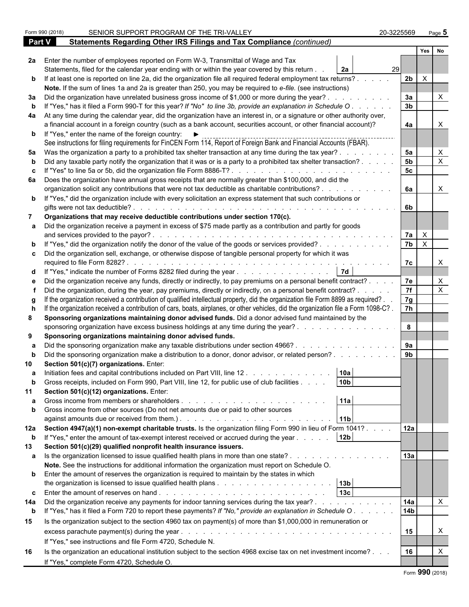|               | SENIOR SUPPORT PROGRAM OF THE TRI-VALLEY<br>Form 990 (2018)                                                                                                                                                                                                      | 20-3225569      |                | Page 5                    |  |
|---------------|------------------------------------------------------------------------------------------------------------------------------------------------------------------------------------------------------------------------------------------------------------------|-----------------|----------------|---------------------------|--|
| <b>Part V</b> | Statements Regarding Other IRS Filings and Tax Compliance (continued)                                                                                                                                                                                            |                 |                |                           |  |
|               |                                                                                                                                                                                                                                                                  |                 | Yes            | No                        |  |
| 2a            | Enter the number of employees reported on Form W-3, Transmittal of Wage and Tax                                                                                                                                                                                  |                 |                |                           |  |
|               | Statements, filed for the calendar year ending with or within the year covered by this return.<br>2a                                                                                                                                                             | 29              |                |                           |  |
|               | b If at least one is reported on line 2a, did the organization file all required federal employment tax returns?.                                                                                                                                                | 2 <sub>b</sub>  | $\times$       |                           |  |
|               | Note. If the sum of lines 1a and 2a is greater than 250, you may be required to e-file. (see instructions)                                                                                                                                                       |                 |                |                           |  |
| За            | Did the organization have unrelated business gross income of \$1,000 or more during the year?                                                                                                                                                                    | 3a              |                |                           |  |
|               | If "Yes," has it filed a Form 990-T for this year? If "No" to line 3b, provide an explanation in Schedule O.                                                                                                                                                     | 3 <sub>b</sub>  |                |                           |  |
| 4a            | At any time during the calendar year, did the organization have an interest in, or a signature or other authority over,                                                                                                                                          |                 |                |                           |  |
|               | a financial account in a foreign country (such as a bank account, securities account, or other financial account)?                                                                                                                                               | 4a              |                |                           |  |
|               | <b>b</b> If "Yes," enter the name of the foreign country: $\blacktriangleright$                                                                                                                                                                                  |                 |                |                           |  |
|               | See instructions for filing requirements for FinCEN Form 114, Report of Foreign Bank and Financial Accounts (FBAR).                                                                                                                                              |                 |                |                           |  |
| 5a            | Was the organization a party to a prohibited tax shelter transaction at any time during the tax year?.                                                                                                                                                           | 5a              |                | X                         |  |
|               | Did any taxable party notify the organization that it was or is a party to a prohibited tax shelter transaction?.                                                                                                                                                | 5 <sub>b</sub>  |                | $\mathsf{X}$              |  |
|               | If "Yes" to line 5a or 5b, did the organization file Form 8886-T?                                                                                                                                                                                                | 5 <sub>c</sub>  |                |                           |  |
| 6а            | Does the organization have annual gross receipts that are normally greater than \$100,000, and did the                                                                                                                                                           |                 |                |                           |  |
|               | organization solicit any contributions that were not tax deductible as charitable contributions? .                                                                                                                                                               | 6a              |                | $\times$                  |  |
|               | <b>b</b> If "Yes," did the organization include with every solicitation an express statement that such contributions or                                                                                                                                          |                 |                |                           |  |
|               | gifts were not tax deductible?<br>and the company of the company of the company of the company of the company of the company of the company of the company of the company of the company of the company of the company of the company of the company of the comp | 6b              |                |                           |  |
|               | Organizations that may receive deductible contributions under section 170(c).                                                                                                                                                                                    |                 |                |                           |  |
|               | Did the organization receive a payment in excess of \$75 made partly as a contribution and partly for goods                                                                                                                                                      |                 |                |                           |  |
|               | and services provided to the payor?<br>and a complete that the complete that the complete the complete that the complete the                                                                                                                                     | 7a              | $\mathsf{X}$   |                           |  |
|               | If "Yes," did the organization notify the donor of the value of the goods or services provided?                                                                                                                                                                  | 7 <sub>b</sub>  | $\overline{X}$ |                           |  |
|               | Did the organization sell, exchange, or otherwise dispose of tangible personal property for which it was                                                                                                                                                         |                 |                |                           |  |
|               |                                                                                                                                                                                                                                                                  | 7c              |                | $\times$                  |  |
|               | If "Yes," indicate the number of Forms 8282 filed during the year                                                                                                                                                                                                |                 |                |                           |  |
|               | Did the organization receive any funds, directly or indirectly, to pay premiums on a personal benefit contract? .                                                                                                                                                | 7e              |                | X                         |  |
|               | Did the organization, during the year, pay premiums, directly or indirectly, on a personal benefit contract? .                                                                                                                                                   | 7f              |                | $\boldsymbol{\mathsf{X}}$ |  |
|               | If the organization received a contribution of qualified intellectual property, did the organization file Form 8899 as required?.                                                                                                                                | 7g              |                |                           |  |
|               | If the organization received a contribution of cars, boats, airplanes, or other vehicles, did the organization file a Form 1098-C?.                                                                                                                              | 7h              |                |                           |  |
| 8             | Sponsoring organizations maintaining donor advised funds. Did a donor advised fund maintained by the                                                                                                                                                             |                 |                |                           |  |
|               | sponsoring organization have excess business holdings at any time during the year?.                                                                                                                                                                              | 8               |                |                           |  |
| 9             | Sponsoring organizations maintaining donor advised funds.                                                                                                                                                                                                        |                 |                |                           |  |
|               | Did the sponsoring organization make any taxable distributions under section 4966?.                                                                                                                                                                              | 9a              |                |                           |  |
|               | Did the sponsoring organization make a distribution to a donor, donor advisor, or related person?                                                                                                                                                                | 9 <sub>b</sub>  |                |                           |  |
|               | Section 501(c)(7) organizations. Enter:                                                                                                                                                                                                                          |                 |                |                           |  |
|               | 10a<br>Initiation fees and capital contributions included on Part VIII, line 12                                                                                                                                                                                  |                 |                |                           |  |
|               | 10 <sub>b</sub><br>Gross receipts, included on Form 990, Part VIII, line 12, for public use of club facilities.                                                                                                                                                  |                 |                |                           |  |
| 11            | Section 501(c)(12) organizations. Enter:                                                                                                                                                                                                                         |                 |                |                           |  |
|               | 11a                                                                                                                                                                                                                                                              |                 |                |                           |  |
| b             | Gross income from other sources (Do not net amounts due or paid to other sources                                                                                                                                                                                 |                 |                |                           |  |
|               | 11 <sub>b</sub><br>against amounts due or received from them.). The state of the state of the state of the state of the state of the state of the state of the state of the state of the state of the state of the state of the state of the stat                |                 |                |                           |  |
| 12a           | Section 4947(a)(1) non-exempt charitable trusts. Is the organization filing Form 990 in lieu of Form 1041?.                                                                                                                                                      | 12a             |                |                           |  |
| b             | 12 <sub>b</sub><br>If "Yes," enter the amount of tax-exempt interest received or accrued during the year                                                                                                                                                         |                 |                |                           |  |
| 13            | Section 501(c)(29) qualified nonprofit health insurance issuers.                                                                                                                                                                                                 |                 |                |                           |  |
| а             | Is the organization licensed to issue qualified health plans in more than one state?.                                                                                                                                                                            | 13a             |                |                           |  |
|               | Note. See the instructions for additional information the organization must report on Schedule O.                                                                                                                                                                |                 |                |                           |  |
|               | <b>b</b> Enter the amount of reserves the organization is required to maintain by the states in which                                                                                                                                                            |                 |                |                           |  |
|               | 13b                                                                                                                                                                                                                                                              |                 |                |                           |  |
| c             | 13c                                                                                                                                                                                                                                                              |                 |                |                           |  |
| 14a           | Did the organization receive any payments for indoor tanning services during the tax year?.<br>the contract of the contract of the contract of the contract of the contract of the contract of the contract of                                                   | 14a             |                | X                         |  |
| b             | If "Yes," has it filed a Form 720 to report these payments? If "No," provide an explanation in Schedule O.                                                                                                                                                       | 14 <sub>b</sub> |                |                           |  |
| 15            | Is the organization subject to the section 4960 tax on payment(s) of more than \$1,000,000 in remuneration or                                                                                                                                                    |                 |                |                           |  |
|               |                                                                                                                                                                                                                                                                  | 15              |                | X                         |  |
|               | If "Yes," see instructions and file Form 4720, Schedule N.                                                                                                                                                                                                       |                 |                |                           |  |
| 16            | Is the organization an educational institution subject to the section 4968 excise tax on net investment income?                                                                                                                                                  | 16              |                | X                         |  |
|               | If "Yes," complete Form 4720, Schedule O.                                                                                                                                                                                                                        |                 |                |                           |  |
|               |                                                                                                                                                                                                                                                                  |                 |                |                           |  |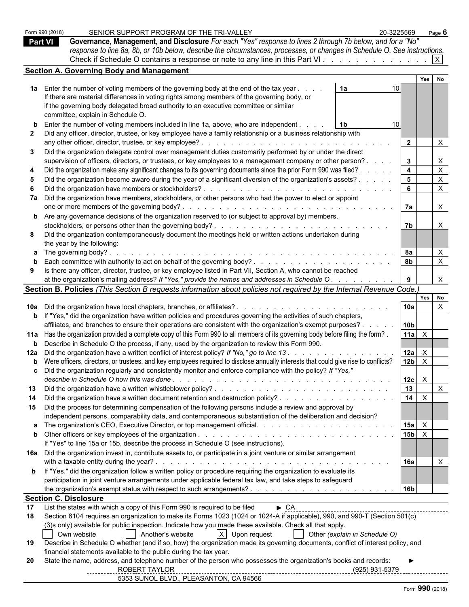|     | Form 990 (2018)              | SENIOR SUPPORT PROGRAM OF THE TRI-VALLEY                                                                                                                                                                                                                                                    | 20-3225569                      |                                 | Page $6$                  |  |  |
|-----|------------------------------|---------------------------------------------------------------------------------------------------------------------------------------------------------------------------------------------------------------------------------------------------------------------------------------------|---------------------------------|---------------------------------|---------------------------|--|--|
|     | <b>Part VI</b>               | Governance, Management, and Disclosure For each "Yes" response to lines 2 through 7b below, and for a "No"                                                                                                                                                                                  |                                 |                                 |                           |  |  |
|     |                              | response to line 8a, 8b, or 10b below, describe the circumstances, processes, or changes in Schedule O. See instructions.                                                                                                                                                                   |                                 |                                 |                           |  |  |
|     |                              | Check if Schedule O contains a response or note to any line in this Part VI.                                                                                                                                                                                                                |                                 |                                 |                           |  |  |
|     |                              | <b>Section A. Governing Body and Management</b>                                                                                                                                                                                                                                             |                                 |                                 |                           |  |  |
|     |                              |                                                                                                                                                                                                                                                                                             |                                 | Yes                             | No                        |  |  |
|     |                              | 1a Enter the number of voting members of the governing body at the end of the tax year.<br>1a                                                                                                                                                                                               |                                 |                                 |                           |  |  |
|     |                              | If there are material differences in voting rights among members of the governing body, or                                                                                                                                                                                                  |                                 |                                 |                           |  |  |
|     |                              | if the governing body delegated broad authority to an executive committee or similar                                                                                                                                                                                                        |                                 |                                 |                           |  |  |
|     |                              | committee, explain in Schedule O.                                                                                                                                                                                                                                                           |                                 |                                 |                           |  |  |
| b   |                              | Enter the number of voting members included in line 1a, above, who are independent.<br>l 1b                                                                                                                                                                                                 | 10                              |                                 |                           |  |  |
|     |                              | Did any officer, director, trustee, or key employee have a family relationship or a business relationship with                                                                                                                                                                              |                                 |                                 |                           |  |  |
|     |                              | any other officer, director, trustee, or key employee?<br>and the company of the company of the company of the company of the company of the company of the company of the company of the company of the company of the company of the company of the company of the company of the comp    |                                 | $\overline{2}$                  | $\mathsf{X}$              |  |  |
| 3   |                              | Did the organization delegate control over management duties customarily performed by or under the direct                                                                                                                                                                                   |                                 |                                 |                           |  |  |
|     |                              | supervision of officers, directors, or trustees, or key employees to a management company or other person?.                                                                                                                                                                                 |                                 | $3^{\circ}$                     | $\mathsf{X}$              |  |  |
|     |                              | Did the organization make any significant changes to its governing documents since the prior Form 990 was filed?.                                                                                                                                                                           |                                 | $\overline{\mathbf{4}}$         | $\mathsf{X}$              |  |  |
|     |                              | Did the organization become aware during the year of a significant diversion of the organization's assets? .                                                                                                                                                                                |                                 | 5 <sub>5</sub>                  | $\mathsf{X}$              |  |  |
|     |                              | Did the organization have members or stockholders?.<br><u>a serie de la característica de la característica de la característica de la característica de la característica de la característica de la característica de la característica de la característica de la característica de </u> |                                 | $6\phantom{a}$                  | $\boldsymbol{\mathsf{X}}$ |  |  |
|     |                              |                                                                                                                                                                                                                                                                                             |                                 |                                 |                           |  |  |
|     |                              | 7a Did the organization have members, stockholders, or other persons who had the power to elect or appoint<br>one or more members of the governing body?.                                                                                                                                   |                                 | 7а                              | $\mathsf{X}$              |  |  |
|     |                              | <b>b</b> Are any governance decisions of the organization reserved to (or subject to approval by) members,                                                                                                                                                                                  |                                 |                                 |                           |  |  |
|     |                              |                                                                                                                                                                                                                                                                                             |                                 | 7b                              | $\mathsf{X}$              |  |  |
|     |                              |                                                                                                                                                                                                                                                                                             |                                 |                                 |                           |  |  |
| 8   |                              | Did the organization contemporaneously document the meetings held or written actions undertaken during<br>the year by the following:                                                                                                                                                        |                                 |                                 |                           |  |  |
|     |                              | <b>a</b> The governing body?.                                                                                                                                                                                                                                                               |                                 | 8a                              | $\mathsf{X}$              |  |  |
| b   |                              |                                                                                                                                                                                                                                                                                             |                                 | 8 <sub>b</sub>                  | $\mathsf{X}$              |  |  |
| 9   |                              | Is there any officer, director, trustee, or key employee listed in Part VII, Section A, who cannot be reached                                                                                                                                                                               |                                 |                                 |                           |  |  |
|     |                              | at the organization's mailing address? If "Yes," provide the names and addresses in Schedule O.                                                                                                                                                                                             |                                 |                                 | $\mathsf{X}$              |  |  |
|     |                              | Section B. Policies (This Section B requests information about policies not required by the Internal Revenue Code.)                                                                                                                                                                         |                                 |                                 |                           |  |  |
|     |                              |                                                                                                                                                                                                                                                                                             |                                 |                                 | Yes No                    |  |  |
|     |                              |                                                                                                                                                                                                                                                                                             |                                 | 10a                             | $\boldsymbol{\mathsf{X}}$ |  |  |
|     |                              | <b>b</b> If "Yes," did the organization have written policies and procedures governing the activities of such chapters,                                                                                                                                                                     |                                 |                                 |                           |  |  |
|     |                              | affiliates, and branches to ensure their operations are consistent with the organization's exempt purposes?.                                                                                                                                                                                |                                 | 10b                             |                           |  |  |
|     |                              | 11a Has the organization provided a complete copy of this Form 990 to all members of its governing body before filing the form?.                                                                                                                                                            |                                 | 11a<br>$\mathsf{X}$             |                           |  |  |
|     |                              | <b>b</b> Describe in Schedule O the process, if any, used by the organization to review this Form 990.                                                                                                                                                                                      |                                 |                                 |                           |  |  |
|     |                              |                                                                                                                                                                                                                                                                                             |                                 | 12a<br>$\times$                 |                           |  |  |
|     |                              | <b>b</b> Were officers, directors, or trustees, and key employees required to disclose annually interests that could give rise to conflicts?                                                                                                                                                |                                 | 12 <sub>b</sub><br>$\mathsf{X}$ |                           |  |  |
|     |                              | Did the organization regularly and consistently monitor and enforce compliance with the policy? If "Yes,"                                                                                                                                                                                   |                                 |                                 |                           |  |  |
|     |                              |                                                                                                                                                                                                                                                                                             |                                 | $\mathsf{X}$<br>12c             |                           |  |  |
|     |                              |                                                                                                                                                                                                                                                                                             |                                 | 13                              | $\mathsf{X}$              |  |  |
|     |                              |                                                                                                                                                                                                                                                                                             |                                 | 14<br>$\mathsf{X}$              |                           |  |  |
|     |                              | 15 Did the process for determining compensation of the following persons include a review and approval by                                                                                                                                                                                   |                                 |                                 |                           |  |  |
|     |                              | independent persons, comparability data, and contemporaneous substantiation of the deliberation and decision?                                                                                                                                                                               |                                 |                                 |                           |  |  |
|     |                              |                                                                                                                                                                                                                                                                                             |                                 | 15a<br>$\mathsf{X}$             |                           |  |  |
|     |                              |                                                                                                                                                                                                                                                                                             |                                 | 15 <sub>b</sub><br>$\mathsf{X}$ |                           |  |  |
|     |                              | If "Yes" to line 15a or 15b, describe the process in Schedule O (see instructions).                                                                                                                                                                                                         |                                 |                                 |                           |  |  |
|     |                              | 16a Did the organization invest in, contribute assets to, or participate in a joint venture or similar arrangement                                                                                                                                                                          |                                 |                                 |                           |  |  |
|     |                              |                                                                                                                                                                                                                                                                                             |                                 | <b>16a</b>                      | $\boldsymbol{\mathsf{X}}$ |  |  |
|     |                              | <b>b</b> If "Yes," did the organization follow a written policy or procedure requiring the organization to evaluate its                                                                                                                                                                     |                                 |                                 |                           |  |  |
|     |                              | participation in joint venture arrangements under applicable federal tax law, and take steps to safeguard                                                                                                                                                                                   |                                 |                                 |                           |  |  |
|     |                              |                                                                                                                                                                                                                                                                                             |                                 | 16b                             |                           |  |  |
|     | <b>Section C. Disclosure</b> |                                                                                                                                                                                                                                                                                             |                                 |                                 |                           |  |  |
| 17  |                              | List the states with which a copy of this Form 990 is required to be filed<br>$\triangleright$ CA                                                                                                                                                                                           |                                 |                                 |                           |  |  |
| 18  |                              | Section 6104 requires an organization to make its Forms 1023 (1024 or 1024-A if applicable), 990, and 990-T (Section 501(c)                                                                                                                                                                 |                                 |                                 |                           |  |  |
|     |                              | (3)s only) available for public inspection. Indicate how you made these available. Check all that apply.                                                                                                                                                                                    |                                 |                                 |                           |  |  |
|     | Own website                  | X Upon request<br>Other (explain in Schedule O)<br>  Another's website                                                                                                                                                                                                                      |                                 |                                 |                           |  |  |
| 19  |                              | Describe in Schedule O whether (and if so, how) the organization made its governing documents, conflict of interest policy, and                                                                                                                                                             |                                 |                                 |                           |  |  |
|     |                              | financial statements available to the public during the tax year.                                                                                                                                                                                                                           |                                 |                                 |                           |  |  |
| -20 |                              | State the name, address, and telephone number of the person who possesses the organization's books and records:                                                                                                                                                                             |                                 |                                 |                           |  |  |
|     |                              | ROBERT TAYLOR                                                                                                                                                                                                                                                                               | (925) 931-5379 ________________ |                                 |                           |  |  |
|     |                              | 5353 SUNOL BLVD., PLEASANTON, CA 94566                                                                                                                                                                                                                                                      |                                 |                                 |                           |  |  |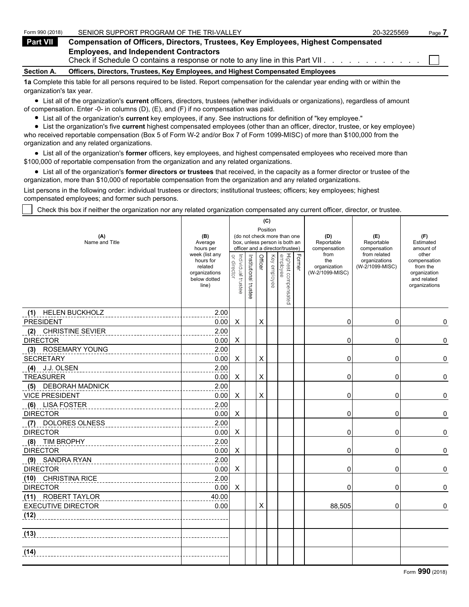| Form 990 (2018)   | SENIOR SUPPORT PROGRAM OF THE TRI-VALLEY                                                                                          | 20-3225569 | Page. |
|-------------------|-----------------------------------------------------------------------------------------------------------------------------------|------------|-------|
| Part VII          | <b>Compensation of Officers, Directors, Trustees, Key Employees, Highest Compensated</b>                                          |            |       |
|                   | <b>Employees, and Independent Contractors</b><br>Check if Schedule O contains a response or note to any line in this Part VII.    |            |       |
| <b>Section A.</b> | Officers, Directors, Trustees, Key Employees, and Highest Compensated Employees                                                   |            |       |
|                   | 1a Complete this table for all persons required to be listed. Report compensation for the calendar year ending with or within the |            |       |

**1a** Complete this table for all persons required to be listed. Report compensation for the calendar year ending with or within the organization's tax year.

List all of the organization's **current** officers, directors, trustees (whether individuals or organizations), regardless of amount of compensation. Enter -0- in columns (D), (E), and (F) if no compensation was paid.

List all of the organization's **current** key employees, if any. See instructions for definition of "key employee."

List the organization's five **current** highest compensated employees (other than an officer, director, trustee, or key employee) who received reportable compensation (Box 5 of Form W-2 and/or Box 7 of Form 1099-MISC) of more than \$100,000 from the organization and any related organizations.

List all of the organization's **former** officers, key employees, and highest compensated employees who received more than \$100,000 of reportable compensation from the organization and any related organizations.

List all of the organization's **former directors or trustees** that received, in the capacity as a former director or trustee of the organization, more than \$10,000 of reportable compensation from the organization and any related organizations.

List persons in the following order: individual trustees or directors; institutional trustees; officers; key employees; highest compensated employees; and former such persons.

Check this box if neither the organization nor any related organization compensated any current officer, director, or trustee.

| Position<br>(B)<br>(do not check more than one<br>(D)<br>(E)<br>(F)<br>(A)<br>Name and Title<br>Average<br>box, unless person is both an<br>Reportable<br>Estimated<br>Reportable<br>hours per<br>officer and a director/trustee)<br>compensation<br>compensation<br>amount of<br>week (list any<br>from<br>from related<br>other<br>Highest compensated<br>employee<br>Former<br>Individual trustee<br>or director<br>Institutional trustee<br>Officer<br>Key employee<br>hours for<br>the<br>organizations<br>compensation<br>(W-2/1099-MISC)<br>related<br>organization<br>from the<br>organizations<br>(W-2/1099-MISC)<br>organization<br>below dotted<br>and related<br>line)<br>organizations<br>2.00<br>(1) HELEN BUCKHOLZ<br>X<br><b>PRESIDENT</b><br>0.00<br>Χ<br>0<br>0<br>2.00<br><b>CHRISTINE SEVIER</b><br>(2)<br><b>DIRECTOR</b><br>0.00<br>Χ<br>0<br>0<br>2.00<br>(3) ROSEMARY YOUNG<br>$\mathsf X$<br><b>SECRETARY</b><br>0.00<br>X<br>0<br>0<br>2.00<br>(4)<br>J.J. OLSEN<br>$\mathsf X$<br><b>TREASURER</b><br>0.00<br>X<br>0<br>0<br>2.00<br><b>DEBORAH MADNICK</b><br>(5)<br>X<br><b>VICE PRESIDENT</b><br>0.00<br>X<br>0<br>0<br>2.00<br>(6) LISA FOSTER<br>0.00<br><b>DIRECTOR</b><br>Χ<br>0<br>0<br>2.00<br>DOLORES OLNESS<br>(7)<br><b>DIRECTOR</b><br>0.00<br>0<br>Χ<br>0<br>(8) TIM BROPHY<br>2.00<br>0.00<br><b>DIRECTOR</b><br>X<br>0<br>0<br>(9) SANDRA RYAN<br>2.00<br><b>DIRECTOR</b><br>0.00<br>X<br>0<br>0<br>(10) CHRISTINA RICE<br>2.00<br>0.00<br>X<br><b>DIRECTOR</b><br>0<br>0<br>(11) ROBERT TAYLOR<br>40.00<br>0.00<br><b>EXECUTIVE DIRECTOR</b><br>X<br>88,505<br>0<br>(12)<br>(13)<br>(14) |  |  |  |  | (C) |  |  |  |   |  |
|--------------------------------------------------------------------------------------------------------------------------------------------------------------------------------------------------------------------------------------------------------------------------------------------------------------------------------------------------------------------------------------------------------------------------------------------------------------------------------------------------------------------------------------------------------------------------------------------------------------------------------------------------------------------------------------------------------------------------------------------------------------------------------------------------------------------------------------------------------------------------------------------------------------------------------------------------------------------------------------------------------------------------------------------------------------------------------------------------------------------------------------------------------------------------------------------------------------------------------------------------------------------------------------------------------------------------------------------------------------------------------------------------------------------------------------------------------------------------------------------------------------------------------------------------------------------------------------------------------------------------------------|--|--|--|--|-----|--|--|--|---|--|
|                                                                                                                                                                                                                                                                                                                                                                                                                                                                                                                                                                                                                                                                                                                                                                                                                                                                                                                                                                                                                                                                                                                                                                                                                                                                                                                                                                                                                                                                                                                                                                                                                                      |  |  |  |  |     |  |  |  |   |  |
|                                                                                                                                                                                                                                                                                                                                                                                                                                                                                                                                                                                                                                                                                                                                                                                                                                                                                                                                                                                                                                                                                                                                                                                                                                                                                                                                                                                                                                                                                                                                                                                                                                      |  |  |  |  |     |  |  |  |   |  |
|                                                                                                                                                                                                                                                                                                                                                                                                                                                                                                                                                                                                                                                                                                                                                                                                                                                                                                                                                                                                                                                                                                                                                                                                                                                                                                                                                                                                                                                                                                                                                                                                                                      |  |  |  |  |     |  |  |  |   |  |
|                                                                                                                                                                                                                                                                                                                                                                                                                                                                                                                                                                                                                                                                                                                                                                                                                                                                                                                                                                                                                                                                                                                                                                                                                                                                                                                                                                                                                                                                                                                                                                                                                                      |  |  |  |  |     |  |  |  |   |  |
|                                                                                                                                                                                                                                                                                                                                                                                                                                                                                                                                                                                                                                                                                                                                                                                                                                                                                                                                                                                                                                                                                                                                                                                                                                                                                                                                                                                                                                                                                                                                                                                                                                      |  |  |  |  |     |  |  |  | 0 |  |
|                                                                                                                                                                                                                                                                                                                                                                                                                                                                                                                                                                                                                                                                                                                                                                                                                                                                                                                                                                                                                                                                                                                                                                                                                                                                                                                                                                                                                                                                                                                                                                                                                                      |  |  |  |  |     |  |  |  |   |  |
|                                                                                                                                                                                                                                                                                                                                                                                                                                                                                                                                                                                                                                                                                                                                                                                                                                                                                                                                                                                                                                                                                                                                                                                                                                                                                                                                                                                                                                                                                                                                                                                                                                      |  |  |  |  |     |  |  |  | 0 |  |
|                                                                                                                                                                                                                                                                                                                                                                                                                                                                                                                                                                                                                                                                                                                                                                                                                                                                                                                                                                                                                                                                                                                                                                                                                                                                                                                                                                                                                                                                                                                                                                                                                                      |  |  |  |  |     |  |  |  |   |  |
|                                                                                                                                                                                                                                                                                                                                                                                                                                                                                                                                                                                                                                                                                                                                                                                                                                                                                                                                                                                                                                                                                                                                                                                                                                                                                                                                                                                                                                                                                                                                                                                                                                      |  |  |  |  |     |  |  |  | 0 |  |
|                                                                                                                                                                                                                                                                                                                                                                                                                                                                                                                                                                                                                                                                                                                                                                                                                                                                                                                                                                                                                                                                                                                                                                                                                                                                                                                                                                                                                                                                                                                                                                                                                                      |  |  |  |  |     |  |  |  |   |  |
|                                                                                                                                                                                                                                                                                                                                                                                                                                                                                                                                                                                                                                                                                                                                                                                                                                                                                                                                                                                                                                                                                                                                                                                                                                                                                                                                                                                                                                                                                                                                                                                                                                      |  |  |  |  |     |  |  |  | 0 |  |
|                                                                                                                                                                                                                                                                                                                                                                                                                                                                                                                                                                                                                                                                                                                                                                                                                                                                                                                                                                                                                                                                                                                                                                                                                                                                                                                                                                                                                                                                                                                                                                                                                                      |  |  |  |  |     |  |  |  |   |  |
|                                                                                                                                                                                                                                                                                                                                                                                                                                                                                                                                                                                                                                                                                                                                                                                                                                                                                                                                                                                                                                                                                                                                                                                                                                                                                                                                                                                                                                                                                                                                                                                                                                      |  |  |  |  |     |  |  |  | 0 |  |
|                                                                                                                                                                                                                                                                                                                                                                                                                                                                                                                                                                                                                                                                                                                                                                                                                                                                                                                                                                                                                                                                                                                                                                                                                                                                                                                                                                                                                                                                                                                                                                                                                                      |  |  |  |  |     |  |  |  |   |  |
|                                                                                                                                                                                                                                                                                                                                                                                                                                                                                                                                                                                                                                                                                                                                                                                                                                                                                                                                                                                                                                                                                                                                                                                                                                                                                                                                                                                                                                                                                                                                                                                                                                      |  |  |  |  |     |  |  |  | 0 |  |
|                                                                                                                                                                                                                                                                                                                                                                                                                                                                                                                                                                                                                                                                                                                                                                                                                                                                                                                                                                                                                                                                                                                                                                                                                                                                                                                                                                                                                                                                                                                                                                                                                                      |  |  |  |  |     |  |  |  |   |  |
|                                                                                                                                                                                                                                                                                                                                                                                                                                                                                                                                                                                                                                                                                                                                                                                                                                                                                                                                                                                                                                                                                                                                                                                                                                                                                                                                                                                                                                                                                                                                                                                                                                      |  |  |  |  |     |  |  |  | 0 |  |
|                                                                                                                                                                                                                                                                                                                                                                                                                                                                                                                                                                                                                                                                                                                                                                                                                                                                                                                                                                                                                                                                                                                                                                                                                                                                                                                                                                                                                                                                                                                                                                                                                                      |  |  |  |  |     |  |  |  |   |  |
|                                                                                                                                                                                                                                                                                                                                                                                                                                                                                                                                                                                                                                                                                                                                                                                                                                                                                                                                                                                                                                                                                                                                                                                                                                                                                                                                                                                                                                                                                                                                                                                                                                      |  |  |  |  |     |  |  |  | 0 |  |
|                                                                                                                                                                                                                                                                                                                                                                                                                                                                                                                                                                                                                                                                                                                                                                                                                                                                                                                                                                                                                                                                                                                                                                                                                                                                                                                                                                                                                                                                                                                                                                                                                                      |  |  |  |  |     |  |  |  |   |  |
|                                                                                                                                                                                                                                                                                                                                                                                                                                                                                                                                                                                                                                                                                                                                                                                                                                                                                                                                                                                                                                                                                                                                                                                                                                                                                                                                                                                                                                                                                                                                                                                                                                      |  |  |  |  |     |  |  |  | 0 |  |
|                                                                                                                                                                                                                                                                                                                                                                                                                                                                                                                                                                                                                                                                                                                                                                                                                                                                                                                                                                                                                                                                                                                                                                                                                                                                                                                                                                                                                                                                                                                                                                                                                                      |  |  |  |  |     |  |  |  |   |  |
|                                                                                                                                                                                                                                                                                                                                                                                                                                                                                                                                                                                                                                                                                                                                                                                                                                                                                                                                                                                                                                                                                                                                                                                                                                                                                                                                                                                                                                                                                                                                                                                                                                      |  |  |  |  |     |  |  |  | 0 |  |
|                                                                                                                                                                                                                                                                                                                                                                                                                                                                                                                                                                                                                                                                                                                                                                                                                                                                                                                                                                                                                                                                                                                                                                                                                                                                                                                                                                                                                                                                                                                                                                                                                                      |  |  |  |  |     |  |  |  |   |  |
|                                                                                                                                                                                                                                                                                                                                                                                                                                                                                                                                                                                                                                                                                                                                                                                                                                                                                                                                                                                                                                                                                                                                                                                                                                                                                                                                                                                                                                                                                                                                                                                                                                      |  |  |  |  |     |  |  |  | 0 |  |
|                                                                                                                                                                                                                                                                                                                                                                                                                                                                                                                                                                                                                                                                                                                                                                                                                                                                                                                                                                                                                                                                                                                                                                                                                                                                                                                                                                                                                                                                                                                                                                                                                                      |  |  |  |  |     |  |  |  |   |  |
|                                                                                                                                                                                                                                                                                                                                                                                                                                                                                                                                                                                                                                                                                                                                                                                                                                                                                                                                                                                                                                                                                                                                                                                                                                                                                                                                                                                                                                                                                                                                                                                                                                      |  |  |  |  |     |  |  |  |   |  |
|                                                                                                                                                                                                                                                                                                                                                                                                                                                                                                                                                                                                                                                                                                                                                                                                                                                                                                                                                                                                                                                                                                                                                                                                                                                                                                                                                                                                                                                                                                                                                                                                                                      |  |  |  |  |     |  |  |  |   |  |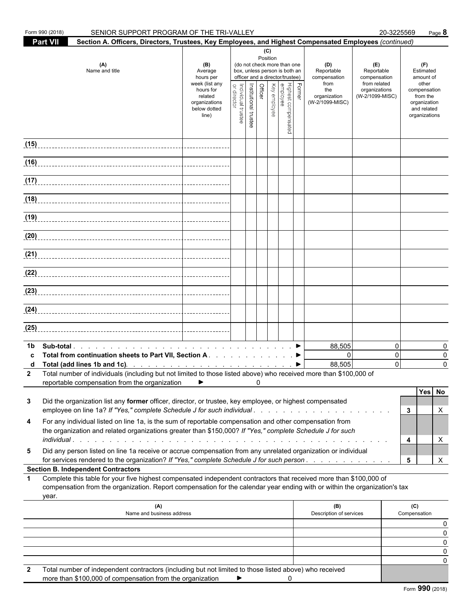| <b>Part VII</b><br>Section A. Officers, Directors, Trustees, Key Employees, and Highest Compensated Employees (continued)<br>(C)<br>Position<br>(do not check more than one<br>(A)<br>(D)<br>(E)<br>(F)<br>(B)<br>Name and title<br>Estimated<br>Average<br>box, unless person is both an<br>Reportable<br>Reportable<br>officer and a director/trustee)<br>hours per<br>compensation<br>compensation<br>amount of<br>from<br>from related<br>week (list any<br>other<br>Former<br>Officer<br>Institutional trustee<br>Key employee<br>Highest compensated<br>employee<br>Individual trustee<br>hours for<br>organizations<br>the<br>compensation<br>director<br>related<br>organization<br>(W-2/1099-MISC)<br>from the<br>(W-2/1099-MISC)<br>organizations<br>organization<br>below dotted<br>and related<br>organizations<br>line)<br>(15)<br>(16)<br>$\frac{1}{117}$<br>(18)<br>(19)<br>(20)<br>(22)<br>(23)<br>(25)<br>88,505<br>$\Omega$<br>1b<br>Total from continuation sheets to Part VII, Section A. ▶<br>$\Omega$<br>$\Omega$<br>88,505<br>$\Omega$<br>2 Total number of individuals (including but not limited to those listed above) who received more than \$100,000 of<br>reportable compensation from the organization<br>▶<br>0<br>Did the organization list any former officer, director, or trustee, key employee, or highest compensated<br>3<br>employee on line 1a? If "Yes," complete Schedule J for such individual<br>3<br>X<br>For any individual listed on line 1a, is the sum of reportable compensation and other compensation from<br>4<br>the organization and related organizations greater than \$150,000? If "Yes," complete Schedule J for such<br>4<br>X<br>Did any person listed on line 1a receive or accrue compensation from any unrelated organization or individual<br>5<br>for services rendered to the organization? If "Yes," complete Schedule J for such person.<br>X<br>5<br><b>Section B. Independent Contractors</b><br>Complete this table for your five highest compensated independent contractors that received more than \$100,000 of<br>$\mathbf 1$<br>compensation from the organization. Report compensation for the calendar year ending with or within the organization's tax<br>year.<br>(B)<br>(A)<br>(C)<br>Name and business address<br>Description of services<br>Compensation<br>0<br>0<br>0<br>Total number of independent contractors (including but not limited to those listed above) who received<br>more than \$100,000 of compensation from the organization<br>0 | Form 990 (2018) | SENIOR SUPPORT PROGRAM OF THE TRI-VALLEY |   |  |  |  | 20-3225569<br>Page 8              |
|-------------------------------------------------------------------------------------------------------------------------------------------------------------------------------------------------------------------------------------------------------------------------------------------------------------------------------------------------------------------------------------------------------------------------------------------------------------------------------------------------------------------------------------------------------------------------------------------------------------------------------------------------------------------------------------------------------------------------------------------------------------------------------------------------------------------------------------------------------------------------------------------------------------------------------------------------------------------------------------------------------------------------------------------------------------------------------------------------------------------------------------------------------------------------------------------------------------------------------------------------------------------------------------------------------------------------------------------------------------------------------------------------------------------------------------------------------------------------------------------------------------------------------------------------------------------------------------------------------------------------------------------------------------------------------------------------------------------------------------------------------------------------------------------------------------------------------------------------------------------------------------------------------------------------------------------------------------------------------------------------------------------------------------------------------------------------------------------------------------------------------------------------------------------------------------------------------------------------------------------------------------------------------------------------------------------------------------------------------------------------------------------------------------------------------------------------------------------------------------------------------------------------------------------|-----------------|------------------------------------------|---|--|--|--|-----------------------------------|
|                                                                                                                                                                                                                                                                                                                                                                                                                                                                                                                                                                                                                                                                                                                                                                                                                                                                                                                                                                                                                                                                                                                                                                                                                                                                                                                                                                                                                                                                                                                                                                                                                                                                                                                                                                                                                                                                                                                                                                                                                                                                                                                                                                                                                                                                                                                                                                                                                                                                                                                                           |                 |                                          |   |  |  |  |                                   |
|                                                                                                                                                                                                                                                                                                                                                                                                                                                                                                                                                                                                                                                                                                                                                                                                                                                                                                                                                                                                                                                                                                                                                                                                                                                                                                                                                                                                                                                                                                                                                                                                                                                                                                                                                                                                                                                                                                                                                                                                                                                                                                                                                                                                                                                                                                                                                                                                                                                                                                                                           |                 |                                          |   |  |  |  |                                   |
|                                                                                                                                                                                                                                                                                                                                                                                                                                                                                                                                                                                                                                                                                                                                                                                                                                                                                                                                                                                                                                                                                                                                                                                                                                                                                                                                                                                                                                                                                                                                                                                                                                                                                                                                                                                                                                                                                                                                                                                                                                                                                                                                                                                                                                                                                                                                                                                                                                                                                                                                           |                 |                                          |   |  |  |  |                                   |
|                                                                                                                                                                                                                                                                                                                                                                                                                                                                                                                                                                                                                                                                                                                                                                                                                                                                                                                                                                                                                                                                                                                                                                                                                                                                                                                                                                                                                                                                                                                                                                                                                                                                                                                                                                                                                                                                                                                                                                                                                                                                                                                                                                                                                                                                                                                                                                                                                                                                                                                                           |                 |                                          |   |  |  |  |                                   |
|                                                                                                                                                                                                                                                                                                                                                                                                                                                                                                                                                                                                                                                                                                                                                                                                                                                                                                                                                                                                                                                                                                                                                                                                                                                                                                                                                                                                                                                                                                                                                                                                                                                                                                                                                                                                                                                                                                                                                                                                                                                                                                                                                                                                                                                                                                                                                                                                                                                                                                                                           |                 |                                          |   |  |  |  |                                   |
|                                                                                                                                                                                                                                                                                                                                                                                                                                                                                                                                                                                                                                                                                                                                                                                                                                                                                                                                                                                                                                                                                                                                                                                                                                                                                                                                                                                                                                                                                                                                                                                                                                                                                                                                                                                                                                                                                                                                                                                                                                                                                                                                                                                                                                                                                                                                                                                                                                                                                                                                           |                 |                                          |   |  |  |  |                                   |
|                                                                                                                                                                                                                                                                                                                                                                                                                                                                                                                                                                                                                                                                                                                                                                                                                                                                                                                                                                                                                                                                                                                                                                                                                                                                                                                                                                                                                                                                                                                                                                                                                                                                                                                                                                                                                                                                                                                                                                                                                                                                                                                                                                                                                                                                                                                                                                                                                                                                                                                                           |                 |                                          |   |  |  |  |                                   |
|                                                                                                                                                                                                                                                                                                                                                                                                                                                                                                                                                                                                                                                                                                                                                                                                                                                                                                                                                                                                                                                                                                                                                                                                                                                                                                                                                                                                                                                                                                                                                                                                                                                                                                                                                                                                                                                                                                                                                                                                                                                                                                                                                                                                                                                                                                                                                                                                                                                                                                                                           |                 |                                          |   |  |  |  |                                   |
|                                                                                                                                                                                                                                                                                                                                                                                                                                                                                                                                                                                                                                                                                                                                                                                                                                                                                                                                                                                                                                                                                                                                                                                                                                                                                                                                                                                                                                                                                                                                                                                                                                                                                                                                                                                                                                                                                                                                                                                                                                                                                                                                                                                                                                                                                                                                                                                                                                                                                                                                           |                 |                                          |   |  |  |  |                                   |
|                                                                                                                                                                                                                                                                                                                                                                                                                                                                                                                                                                                                                                                                                                                                                                                                                                                                                                                                                                                                                                                                                                                                                                                                                                                                                                                                                                                                                                                                                                                                                                                                                                                                                                                                                                                                                                                                                                                                                                                                                                                                                                                                                                                                                                                                                                                                                                                                                                                                                                                                           |                 |                                          |   |  |  |  |                                   |
|                                                                                                                                                                                                                                                                                                                                                                                                                                                                                                                                                                                                                                                                                                                                                                                                                                                                                                                                                                                                                                                                                                                                                                                                                                                                                                                                                                                                                                                                                                                                                                                                                                                                                                                                                                                                                                                                                                                                                                                                                                                                                                                                                                                                                                                                                                                                                                                                                                                                                                                                           |                 |                                          |   |  |  |  |                                   |
|                                                                                                                                                                                                                                                                                                                                                                                                                                                                                                                                                                                                                                                                                                                                                                                                                                                                                                                                                                                                                                                                                                                                                                                                                                                                                                                                                                                                                                                                                                                                                                                                                                                                                                                                                                                                                                                                                                                                                                                                                                                                                                                                                                                                                                                                                                                                                                                                                                                                                                                                           |                 |                                          |   |  |  |  |                                   |
|                                                                                                                                                                                                                                                                                                                                                                                                                                                                                                                                                                                                                                                                                                                                                                                                                                                                                                                                                                                                                                                                                                                                                                                                                                                                                                                                                                                                                                                                                                                                                                                                                                                                                                                                                                                                                                                                                                                                                                                                                                                                                                                                                                                                                                                                                                                                                                                                                                                                                                                                           |                 |                                          |   |  |  |  |                                   |
|                                                                                                                                                                                                                                                                                                                                                                                                                                                                                                                                                                                                                                                                                                                                                                                                                                                                                                                                                                                                                                                                                                                                                                                                                                                                                                                                                                                                                                                                                                                                                                                                                                                                                                                                                                                                                                                                                                                                                                                                                                                                                                                                                                                                                                                                                                                                                                                                                                                                                                                                           |                 |                                          |   |  |  |  |                                   |
|                                                                                                                                                                                                                                                                                                                                                                                                                                                                                                                                                                                                                                                                                                                                                                                                                                                                                                                                                                                                                                                                                                                                                                                                                                                                                                                                                                                                                                                                                                                                                                                                                                                                                                                                                                                                                                                                                                                                                                                                                                                                                                                                                                                                                                                                                                                                                                                                                                                                                                                                           |                 |                                          |   |  |  |  | $\mathbf{0}$<br>0<br>$\mathbf{0}$ |
|                                                                                                                                                                                                                                                                                                                                                                                                                                                                                                                                                                                                                                                                                                                                                                                                                                                                                                                                                                                                                                                                                                                                                                                                                                                                                                                                                                                                                                                                                                                                                                                                                                                                                                                                                                                                                                                                                                                                                                                                                                                                                                                                                                                                                                                                                                                                                                                                                                                                                                                                           |                 |                                          |   |  |  |  |                                   |
|                                                                                                                                                                                                                                                                                                                                                                                                                                                                                                                                                                                                                                                                                                                                                                                                                                                                                                                                                                                                                                                                                                                                                                                                                                                                                                                                                                                                                                                                                                                                                                                                                                                                                                                                                                                                                                                                                                                                                                                                                                                                                                                                                                                                                                                                                                                                                                                                                                                                                                                                           |                 |                                          |   |  |  |  | Yes No                            |
|                                                                                                                                                                                                                                                                                                                                                                                                                                                                                                                                                                                                                                                                                                                                                                                                                                                                                                                                                                                                                                                                                                                                                                                                                                                                                                                                                                                                                                                                                                                                                                                                                                                                                                                                                                                                                                                                                                                                                                                                                                                                                                                                                                                                                                                                                                                                                                                                                                                                                                                                           |                 |                                          |   |  |  |  |                                   |
|                                                                                                                                                                                                                                                                                                                                                                                                                                                                                                                                                                                                                                                                                                                                                                                                                                                                                                                                                                                                                                                                                                                                                                                                                                                                                                                                                                                                                                                                                                                                                                                                                                                                                                                                                                                                                                                                                                                                                                                                                                                                                                                                                                                                                                                                                                                                                                                                                                                                                                                                           |                 |                                          |   |  |  |  |                                   |
|                                                                                                                                                                                                                                                                                                                                                                                                                                                                                                                                                                                                                                                                                                                                                                                                                                                                                                                                                                                                                                                                                                                                                                                                                                                                                                                                                                                                                                                                                                                                                                                                                                                                                                                                                                                                                                                                                                                                                                                                                                                                                                                                                                                                                                                                                                                                                                                                                                                                                                                                           |                 |                                          |   |  |  |  |                                   |
|                                                                                                                                                                                                                                                                                                                                                                                                                                                                                                                                                                                                                                                                                                                                                                                                                                                                                                                                                                                                                                                                                                                                                                                                                                                                                                                                                                                                                                                                                                                                                                                                                                                                                                                                                                                                                                                                                                                                                                                                                                                                                                                                                                                                                                                                                                                                                                                                                                                                                                                                           |                 |                                          |   |  |  |  |                                   |
|                                                                                                                                                                                                                                                                                                                                                                                                                                                                                                                                                                                                                                                                                                                                                                                                                                                                                                                                                                                                                                                                                                                                                                                                                                                                                                                                                                                                                                                                                                                                                                                                                                                                                                                                                                                                                                                                                                                                                                                                                                                                                                                                                                                                                                                                                                                                                                                                                                                                                                                                           |                 |                                          |   |  |  |  | 0                                 |
|                                                                                                                                                                                                                                                                                                                                                                                                                                                                                                                                                                                                                                                                                                                                                                                                                                                                                                                                                                                                                                                                                                                                                                                                                                                                                                                                                                                                                                                                                                                                                                                                                                                                                                                                                                                                                                                                                                                                                                                                                                                                                                                                                                                                                                                                                                                                                                                                                                                                                                                                           |                 |                                          |   |  |  |  | 0                                 |
|                                                                                                                                                                                                                                                                                                                                                                                                                                                                                                                                                                                                                                                                                                                                                                                                                                                                                                                                                                                                                                                                                                                                                                                                                                                                                                                                                                                                                                                                                                                                                                                                                                                                                                                                                                                                                                                                                                                                                                                                                                                                                                                                                                                                                                                                                                                                                                                                                                                                                                                                           |                 |                                          | ► |  |  |  |                                   |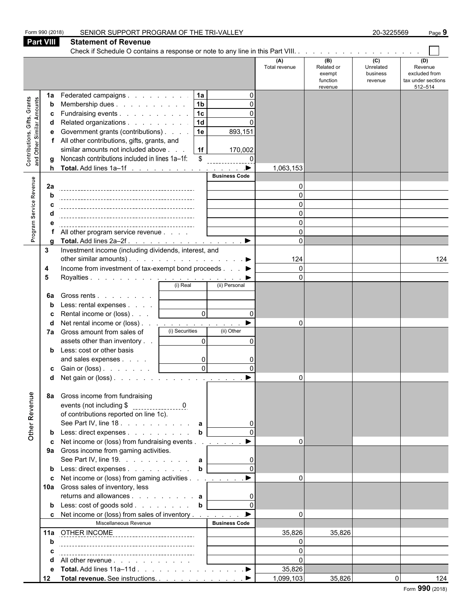|                                                                  | Form 990 (2018)<br><b>Part VIII</b> | SENIOR SUPPORT PROGRAM OF THE TRI-VALLEY<br><b>Statement of Revenue</b>                                                                                                                                                                                                                     |                                                         |                                                                                             |                      |                                                    | 20-3225569                              | Page 9                                                           |
|------------------------------------------------------------------|-------------------------------------|---------------------------------------------------------------------------------------------------------------------------------------------------------------------------------------------------------------------------------------------------------------------------------------------|---------------------------------------------------------|---------------------------------------------------------------------------------------------|----------------------|----------------------------------------------------|-----------------------------------------|------------------------------------------------------------------|
|                                                                  |                                     |                                                                                                                                                                                                                                                                                             |                                                         |                                                                                             |                      |                                                    |                                         |                                                                  |
|                                                                  |                                     |                                                                                                                                                                                                                                                                                             |                                                         |                                                                                             | (A)<br>Total revenue | (B)<br>Related or<br>exempt<br>function<br>revenue | (C)<br>Unrelated<br>business<br>revenue | (D)<br>Revenue<br>excluded from<br>tax under sections<br>512-514 |
| <b>Contributions, Gifts, Grants</b><br>and Other Similar Amounts | 1a<br>b<br>h                        | Federated campaigns<br>Membership dues<br>Fundraising events<br>Related organizations<br>Government grants (contributions)<br>All other contributions, gifts, grants, and<br>similar amounts not included above<br>Noncash contributions included in lines 1a-1f:<br>Total. Add lines 1a-1f | 1a<br> 1 <sub>b</sub><br> 1c <br>1d<br>1e<br>  1f<br>\$ | $\Omega$<br>$\Omega$<br>$\Omega$<br>893,151<br>170,002<br>$\Omega$<br>$\blacktriangleright$ | 1,063,153            |                                                    |                                         |                                                                  |
| Program Service Revenue                                          | 2a                                  |                                                                                                                                                                                                                                                                                             |                                                         | <b>Business Code</b>                                                                        | $\Omega$<br>$\Omega$ |                                                    |                                         |                                                                  |
|                                                                  |                                     |                                                                                                                                                                                                                                                                                             |                                                         |                                                                                             | $\Omega$             |                                                    |                                         |                                                                  |
|                                                                  |                                     |                                                                                                                                                                                                                                                                                             |                                                         |                                                                                             | $\Omega$<br>$\Omega$ |                                                    |                                         |                                                                  |
|                                                                  |                                     | All other program service revenue                                                                                                                                                                                                                                                           |                                                         |                                                                                             | $\Omega$             |                                                    |                                         |                                                                  |
|                                                                  |                                     |                                                                                                                                                                                                                                                                                             |                                                         |                                                                                             | $\Omega$             |                                                    |                                         |                                                                  |
|                                                                  | 3                                   | Investment income (including dividends, interest, and                                                                                                                                                                                                                                       |                                                         |                                                                                             |                      |                                                    |                                         |                                                                  |
|                                                                  | 4                                   | other similar amounts). $\ldots$ $\ldots$ $\ldots$ $\ldots$ $\ldots$ $\ldots$<br>Income from investment of tax-exempt bond proceeds ▶                                                                                                                                                       |                                                         |                                                                                             | 124<br>$\Omega$      |                                                    |                                         | 124                                                              |
|                                                                  | 5                                   |                                                                                                                                                                                                                                                                                             |                                                         |                                                                                             | $\Omega$             |                                                    |                                         |                                                                  |
|                                                                  |                                     |                                                                                                                                                                                                                                                                                             | (i) Real                                                | (ii) Personal                                                                               |                      |                                                    |                                         |                                                                  |
|                                                                  | 6a                                  | Gross rents                                                                                                                                                                                                                                                                                 |                                                         |                                                                                             |                      |                                                    |                                         |                                                                  |
|                                                                  |                                     | Less: rental expenses [                                                                                                                                                                                                                                                                     | $\overline{0}$                                          | $\Omega$                                                                                    |                      |                                                    |                                         |                                                                  |
|                                                                  | d                                   | Rental income or (loss)<br>Net rental income or (loss) <u>.</u>                                                                                                                                                                                                                             |                                                         |                                                                                             | $\Omega$             |                                                    |                                         |                                                                  |
|                                                                  | 7а                                  | Gross amount from sales of                                                                                                                                                                                                                                                                  | (i) Securities                                          | (ii) Other                                                                                  |                      |                                                    |                                         |                                                                  |
|                                                                  |                                     | assets other than inventory                                                                                                                                                                                                                                                                 | $\Omega$                                                | $\Omega$                                                                                    |                      |                                                    |                                         |                                                                  |
|                                                                  |                                     | Less: cost or other basis                                                                                                                                                                                                                                                                   |                                                         |                                                                                             |                      |                                                    |                                         |                                                                  |
|                                                                  |                                     | and sales expenses<br>c Gain or (loss). $\ldots$ $\ldots$ $\qquad$                                                                                                                                                                                                                          | 0<br>$\sim$                                             |                                                                                             |                      |                                                    |                                         |                                                                  |
|                                                                  | d                                   | Net gain or (loss). $\ldots$ $\ldots$ $\ldots$ $\ldots$ $\ldots$ $\ldots$                                                                                                                                                                                                                   | $\mathsf{v}$                                            |                                                                                             | $\Omega$             |                                                    |                                         |                                                                  |
|                                                                  | 8а                                  | Gross income from fundraising                                                                                                                                                                                                                                                               |                                                         |                                                                                             |                      |                                                    |                                         |                                                                  |
| Other Revenue                                                    |                                     | of contributions reported on line 1c).<br>See Part IV, line 18. a                                                                                                                                                                                                                           |                                                         |                                                                                             |                      |                                                    |                                         |                                                                  |
|                                                                  |                                     | Less: direct expenses b                                                                                                                                                                                                                                                                     |                                                         |                                                                                             |                      |                                                    |                                         |                                                                  |
|                                                                  |                                     | Net income or (loss) from fundraising events                                                                                                                                                                                                                                                |                                                         | $\blacktriangleright$                                                                       | $\Omega$             |                                                    |                                         |                                                                  |
|                                                                  |                                     | 9a Gross income from gaming activities.<br>See Part IV, line 19. $\ldots$ $\ldots$ $\ldots$ $\ldots$ <b>a</b>                                                                                                                                                                               |                                                         |                                                                                             |                      |                                                    |                                         |                                                                  |
|                                                                  |                                     | Less: direct expenses b                                                                                                                                                                                                                                                                     |                                                         |                                                                                             |                      |                                                    |                                         |                                                                  |
|                                                                  | c                                   | Net income or (loss) from gaming activities <u>. ▶</u>                                                                                                                                                                                                                                      |                                                         |                                                                                             | $\Omega$             |                                                    |                                         |                                                                  |
|                                                                  |                                     | 10a Gross sales of inventory, less<br>returns and allowances $\mathbf{a}$                                                                                                                                                                                                                   |                                                         |                                                                                             |                      |                                                    |                                         |                                                                  |
|                                                                  |                                     | <b>b</b> Less: cost of goods sold $\ldots$ $\ldots$ $\ldots$ <b>b</b>                                                                                                                                                                                                                       |                                                         | $\Omega$                                                                                    |                      |                                                    |                                         |                                                                  |
|                                                                  |                                     | c Net income or (loss) from sales of inventory<br>Miscellaneous Revenue                                                                                                                                                                                                                     |                                                         | $\blacktriangleright$<br><b>Business Code</b>                                               | $\overline{0}$       |                                                    |                                         |                                                                  |
|                                                                  |                                     | 11a OTHER INCOME ______________________________                                                                                                                                                                                                                                             |                                                         |                                                                                             | 35,826               | 35,826                                             |                                         |                                                                  |
|                                                                  | b                                   |                                                                                                                                                                                                                                                                                             |                                                         |                                                                                             | $\Omega$             |                                                    |                                         |                                                                  |
|                                                                  |                                     |                                                                                                                                                                                                                                                                                             |                                                         |                                                                                             | $\Omega$             |                                                    |                                         |                                                                  |
|                                                                  |                                     | All other revenue                                                                                                                                                                                                                                                                           |                                                         |                                                                                             | $\Omega$             |                                                    |                                         |                                                                  |
|                                                                  | 12                                  |                                                                                                                                                                                                                                                                                             |                                                         |                                                                                             | 35,826<br>1,099,103  | 35,826                                             | $\overline{0}$                          | 124                                                              |
|                                                                  |                                     | Total revenue. See instructions. ▶                                                                                                                                                                                                                                                          |                                                         |                                                                                             |                      |                                                    |                                         |                                                                  |

Form **990** (2018)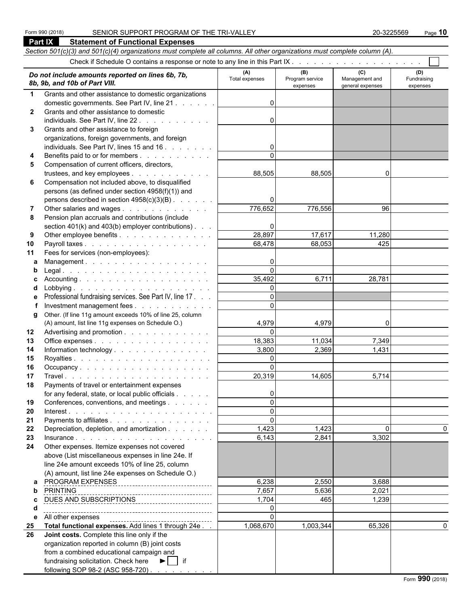|              | Section 501(c)(3) and 501(c)(4) organizations must complete all columns. All other organizations must complete column (A). |                       |                                    |                                           |                                |
|--------------|----------------------------------------------------------------------------------------------------------------------------|-----------------------|------------------------------------|-------------------------------------------|--------------------------------|
|              |                                                                                                                            |                       |                                    |                                           |                                |
|              | Do not include amounts reported on lines 6b, 7b,<br>8b, 9b, and 10b of Part VIII.                                          | (A)<br>Total expenses | (B)<br>Program service<br>expenses | (C)<br>Management and<br>general expenses | (D)<br>Fundraising<br>expenses |
| $\mathbf{1}$ | Grants and other assistance to domestic organizations                                                                      |                       |                                    |                                           |                                |
|              | domestic governments. See Part IV, line 21                                                                                 | $\Omega$              |                                    |                                           |                                |
| $\mathbf{2}$ | Grants and other assistance to domestic                                                                                    |                       |                                    |                                           |                                |
|              | individuals. See Part IV, line 22                                                                                          | $\Omega$              |                                    |                                           |                                |
| 3            | Grants and other assistance to foreign                                                                                     |                       |                                    |                                           |                                |
|              | organizations, foreign governments, and foreign                                                                            | $\overline{0}$        |                                    |                                           |                                |
| 4            | individuals. See Part IV, lines 15 and 16<br>Benefits paid to or for members                                               |                       |                                    |                                           |                                |
| 5            | Compensation of current officers, directors,                                                                               |                       |                                    |                                           |                                |
|              | trustees, and key employees                                                                                                | 88,505                | 88,505                             | 0                                         |                                |
| 6            | Compensation not included above, to disqualified                                                                           |                       |                                    |                                           |                                |
|              | persons (as defined under section 4958(f)(1)) and                                                                          |                       |                                    |                                           |                                |
|              | persons described in section 4958(c)(3)(B)                                                                                 | 0                     |                                    |                                           |                                |
| 7            | Other salaries and wages                                                                                                   | 776,652               | 776,556                            | 96                                        |                                |
| 8            | Pension plan accruals and contributions (include                                                                           |                       |                                    |                                           |                                |
|              | section $401(k)$ and $403(b)$ employer contributions). $\ldots$                                                            | 0                     |                                    |                                           |                                |
| 9            | Other employee benefits                                                                                                    | 28,897                | 17,617                             | 11,280                                    |                                |
| 10           | Payroll taxes                                                                                                              | 68,478                | 68,053                             | 425                                       |                                |
| 11           | Fees for services (non-employees):                                                                                         |                       |                                    |                                           |                                |
| a            | Management.                                                                                                                | 0<br>$\Omega$         |                                    |                                           |                                |
| b<br>C.      |                                                                                                                            | 35,492                | 6,711                              | 28,781                                    |                                |
| d            |                                                                                                                            | $\Omega$              |                                    |                                           |                                |
| е            | Professional fundraising services. See Part IV, line 17.                                                                   | $\Omega$              |                                    |                                           |                                |
|              | Investment management fees                                                                                                 | $\Omega$              |                                    |                                           |                                |
| g            | Other. (If line 11g amount exceeds 10% of line 25, column                                                                  |                       |                                    |                                           |                                |
|              | (A) amount, list line 11g expenses on Schedule O.)                                                                         | 4,979                 | 4,979                              | 0                                         |                                |
| 12           | Advertising and promotion                                                                                                  | $\Omega$              |                                    |                                           |                                |
| 13           | Office expenses                                                                                                            | 18,383                | 11,034                             | 7,349                                     |                                |
| 14           | Information technology                                                                                                     | 3.800                 | 2,369                              | 1,431                                     |                                |
| 15           |                                                                                                                            | $\Omega$              |                                    |                                           |                                |
| 16           | Occupancy                                                                                                                  | $\Omega$              |                                    |                                           |                                |
| 17           |                                                                                                                            | 20,319                | 14,605                             | 5,714                                     |                                |
| 18           | Payments of travel or entertainment expenses<br>for any federal, state, or local public officials                          | $\overline{0}$        |                                    |                                           |                                |
| 19           | Conferences, conventions, and meetings                                                                                     | $\Omega$              |                                    |                                           |                                |
| 20           |                                                                                                                            | $\Omega$              |                                    |                                           |                                |
| 21           | Payments to affiliates                                                                                                     | $\Omega$              |                                    |                                           |                                |
| 22           | Depreciation, depletion, and amortization                                                                                  | 1,423                 | 1,423                              | 0                                         | 0                              |
| 23           |                                                                                                                            | 6,143                 | 2,841                              | 3,302                                     |                                |
| 24           | Other expenses. Itemize expenses not covered                                                                               |                       |                                    |                                           |                                |
|              | above (List miscellaneous expenses in line 24e. If                                                                         |                       |                                    |                                           |                                |
|              | line 24e amount exceeds 10% of line 25, column                                                                             |                       |                                    |                                           |                                |
|              | (A) amount, list line 24e expenses on Schedule O.)                                                                         |                       |                                    |                                           |                                |
| a            |                                                                                                                            | 6,238                 | 2,550                              | 3,688                                     |                                |
| b            | <b>PRINTING</b>                                                                                                            | 7,657                 | 5,636                              | 2,021                                     |                                |
| c<br>d       | DUES AND SUBSCRIPTIONS                                                                                                     | 1,704<br>$\Omega$     | 465                                | 1,239                                     |                                |
| е            | All other expenses                                                                                                         | $\Omega$              |                                    |                                           |                                |
| 25           | ------------------------------------<br>Total functional expenses. Add lines 1 through 24e                                 | 1,068,670             | 1,003,344                          | 65,326                                    |                                |
| 26           | Joint costs. Complete this line only if the                                                                                |                       |                                    |                                           |                                |
|              | organization reported in column (B) joint costs                                                                            |                       |                                    |                                           |                                |
|              | from a combined educational campaign and                                                                                   |                       |                                    |                                           |                                |
|              | fundraising solicitation. Check here ▶   if                                                                                |                       |                                    |                                           |                                |
|              | following SOP 98-2 (ASC 958-720)                                                                                           |                       |                                    |                                           |                                |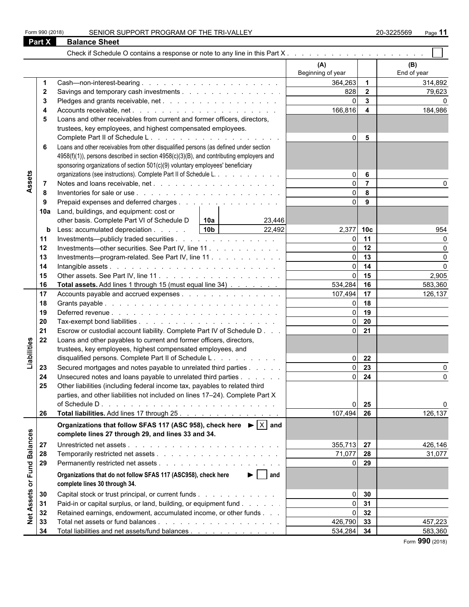|                 | Part X       | <b>Balance Sheet</b>                                                                              |                   |                         |             |
|-----------------|--------------|---------------------------------------------------------------------------------------------------|-------------------|-------------------------|-------------|
|                 |              |                                                                                                   |                   |                         |             |
|                 |              |                                                                                                   | (A)               |                         | (B)         |
|                 |              |                                                                                                   | Beginning of year |                         | End of year |
|                 |              |                                                                                                   | 364,263           | $\overline{1}$          | 314,892     |
|                 | $\mathbf{2}$ |                                                                                                   | 828               | $\overline{\mathbf{2}}$ | 79,623      |
|                 | 3            |                                                                                                   | $\Omega$          | $\mathbf{3}$            |             |
|                 |              |                                                                                                   | 166,816           | $\overline{4}$          | 184,986     |
|                 | 5            | Loans and other receivables from current and former officers, directors,                          |                   |                         |             |
|                 |              | trustees, key employees, and highest compensated employees.                                       |                   |                         |             |
|                 |              |                                                                                                   | $\overline{0}$    | 5                       |             |
|                 | 6            | Loans and other receivables from other disqualified persons (as defined under section             |                   |                         |             |
|                 |              | 4958(f)(1)), persons described in section 4958(c)(3)(B), and contributing employers and           |                   |                         |             |
|                 |              | sponsoring organizations of section 501(c)(9) voluntary employees' beneficiary                    |                   |                         |             |
|                 |              | organizations (see instructions). Complete Part II of Schedule L.                                 | $\Omega$          | 6                       |             |
| Assets          | -7           |                                                                                                   | $\Omega$          | $\overline{7}$          |             |
|                 | 8            |                                                                                                   | $\Omega$          | 8                       |             |
|                 | 9            | Prepaid expenses and deferred charges                                                             | $\Omega$          | 9                       |             |
|                 | 10a          | Land, buildings, and equipment: cost or                                                           |                   |                         |             |
|                 |              | other basis. Complete Part VI of Schedule D<br> 10a <br>23,446                                    |                   |                         |             |
|                 | b            | 10 <sub>b</sub><br>22,492<br>Less: accumulated depreciation                                       | 2,377 10c         |                         | 954         |
|                 | 11           | Investments—publicly traded securities                                                            | $\Omega$          | 11                      |             |
|                 | 12           | Investments—other securities. See Part IV, line 11                                                | ΩI                | 12                      | $\Omega$    |
|                 | 13           | Investments---program-related. See Part IV, line 11                                               | ΩI                | 13                      | $\Omega$    |
|                 | 14           |                                                                                                   | ΩI                | 14                      | $\Omega$    |
|                 | 15           |                                                                                                   | $\Omega$          | 15                      | 2,905       |
|                 | 16           | Total assets. Add lines 1 through 15 (must equal line 34)                                         | 534,284           | 16                      | 583,360     |
|                 | 17           | Accounts payable and accrued expenses                                                             | 107,494           | 17                      | 126,137     |
|                 | 18           |                                                                                                   | $\Omega$          | 18                      |             |
|                 | 19           |                                                                                                   | ΩI                | 19                      |             |
|                 |              |                                                                                                   | $\Omega$          | 20                      |             |
|                 | 20           |                                                                                                   | ΩI                |                         |             |
|                 | 21           | Escrow or custodial account liability. Complete Part IV of Schedule D                             |                   | 21                      |             |
| Liabilities     | 22           | Loans and other payables to current and former officers, directors,                               |                   |                         |             |
|                 |              | trustees, key employees, highest compensated employees, and                                       |                   |                         |             |
|                 |              | disqualified persons. Complete Part II of Schedule L.                                             | ΩI                | 22                      |             |
|                 | 23           | Secured mortgages and notes payable to unrelated third parties                                    | $\Omega$          | 23                      |             |
|                 | 24           | Unsecured notes and loans payable to unrelated third parties                                      | $\Omega$          | $\overline{24}$         | ∩           |
|                 | 25           | Other liabilities (including federal income tax, payables to related third                        |                   |                         |             |
|                 |              | parties, and other liabilities not included on lines 17-24). Complete Part X                      |                   |                         |             |
|                 |              |                                                                                                   | $\Omega$          | 25                      |             |
|                 | 26           | Total liabilities. Add lines 17 through 25.                                                       | 107,494           | 26                      | 126,137     |
|                 |              | Organizations that follow SFAS 117 (ASC 958), check here $\blacktriangleright  \overline{X} $ and |                   |                         |             |
|                 |              | complete lines 27 through 29, and lines 33 and 34.                                                |                   |                         |             |
|                 | 27           |                                                                                                   | 355,713 27        |                         | 426,146     |
| <b>Balances</b> |              |                                                                                                   |                   |                         |             |
|                 | 28           |                                                                                                   | 71,077 28         |                         | 31,077      |
| or Fund         | 29           |                                                                                                   |                   | 0 <sub>29</sub>         |             |
|                 |              | Organizations that do not follow SFAS 117 (ASC958), check here<br>$\blacktriangleright$   and     |                   |                         |             |
|                 |              | complete lines 30 through 34.                                                                     |                   |                         |             |
|                 | 30           | Capital stock or trust principal, or current funds                                                | $\Omega$          | 30                      |             |
| Assets          | 31           | Paid-in or capital surplus, or land, building, or equipment fund                                  | $\Omega$          | 31                      |             |
|                 | 32           | Retained earnings, endowment, accumulated income, or other funds                                  | $\overline{0}$    | 32                      |             |
| $\frac{1}{2}$   | 33           |                                                                                                   | 426,790 33        |                         | 457,223     |
|                 | 34           | Total liabilities and net assets/fund balances                                                    | 534,284 34        |                         | 583,360     |

Form **990** (2018)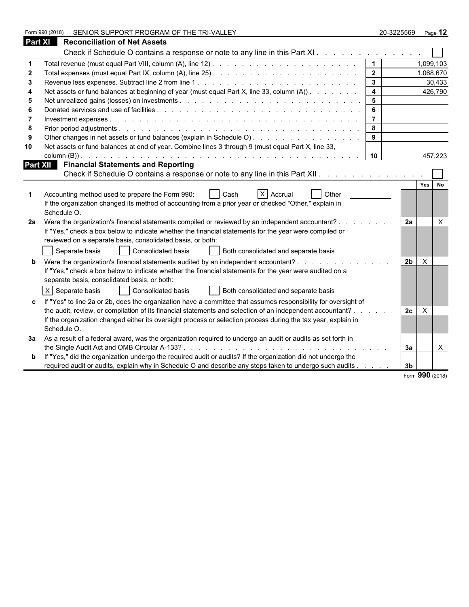|         | SENIOR SUPPORT PROGRAM OF THE TRI-VALLEY<br>Form 990 (2018)                                                    |                                                                                                                                                                                                                                   |                | 20-3225569 Page 12 |  |
|---------|----------------------------------------------------------------------------------------------------------------|-----------------------------------------------------------------------------------------------------------------------------------------------------------------------------------------------------------------------------------|----------------|--------------------|--|
| Part XI | <b>Reconciliation of Net Assets</b>                                                                            |                                                                                                                                                                                                                                   |                |                    |  |
|         | Check if Schedule O contains a response or note to any line in this Part XI.                                   |                                                                                                                                                                                                                                   |                |                    |  |
|         |                                                                                                                | $\mathbf 1$                                                                                                                                                                                                                       |                | 1,099,103          |  |
|         |                                                                                                                | 2 <sup>1</sup>                                                                                                                                                                                                                    |                | 1,068,670          |  |
|         |                                                                                                                | $\mathbf{3}$                                                                                                                                                                                                                      |                | 30,433             |  |
|         | Net assets or fund balances at beginning of year (must equal Part X, line 33, column (A))                      | 4                                                                                                                                                                                                                                 |                | 426,790            |  |
| 5       |                                                                                                                | 5                                                                                                                                                                                                                                 |                |                    |  |
|         |                                                                                                                | 6                                                                                                                                                                                                                                 |                |                    |  |
|         |                                                                                                                | $\overline{7}$                                                                                                                                                                                                                    |                |                    |  |
| 8       |                                                                                                                | 8                                                                                                                                                                                                                                 |                |                    |  |
| 9       | Other changes in net assets or fund balances (explain in Schedule O)                                           | 9                                                                                                                                                                                                                                 |                |                    |  |
| 10      | Net assets or fund balances at end of year. Combine lines 3 through 9 (must equal Part X, line 33,             |                                                                                                                                                                                                                                   |                |                    |  |
|         |                                                                                                                | 10                                                                                                                                                                                                                                |                | 457,223            |  |
|         | <b>Part XII</b> Financial Statements and Reporting                                                             |                                                                                                                                                                                                                                   |                |                    |  |
|         | Check if Schedule O contains a response or note to any line in this Part XII. A contact the state of the Check |                                                                                                                                                                                                                                   |                |                    |  |
|         |                                                                                                                |                                                                                                                                                                                                                                   |                | Yes<br><b>No</b>   |  |
|         | $X$ Accrual<br>Accounting method used to prepare the Form 990:<br><b>Other</b><br>Cash                         |                                                                                                                                                                                                                                   |                |                    |  |
|         | If the organization changed its method of accounting from a prior year or checked "Other," explain in          |                                                                                                                                                                                                                                   |                |                    |  |
|         | Schedule O.                                                                                                    |                                                                                                                                                                                                                                   |                |                    |  |
| 2a      | Were the organization's financial statements compiled or reviewed by an independent accountant?.               | $\mathbf{r}$ . The set of the set of the set of the set of the set of the set of the set of the set of the set of the set of the set of the set of the set of the set of the set of the set of the set of the set of the set of t | 2a             | $\times$           |  |
|         | If "Yes," check a box below to indicate whether the financial statements for the year were compiled or         |                                                                                                                                                                                                                                   |                |                    |  |
|         | reviewed on a separate basis, consolidated basis, or both:                                                     |                                                                                                                                                                                                                                   |                |                    |  |
|         | Consolidated basis<br>Separate basis<br>Both consolidated and separate basis                                   |                                                                                                                                                                                                                                   |                |                    |  |
|         | Were the organization's financial statements audited by an independent accountant?                             |                                                                                                                                                                                                                                   | 2 <sub>b</sub> | $\mathsf{X}$       |  |
|         | If "Yes," check a box below to indicate whether the financial statements for the year were audited on a        |                                                                                                                                                                                                                                   |                |                    |  |
|         | separate basis, consolidated basis, or both:                                                                   |                                                                                                                                                                                                                                   |                |                    |  |
|         | $X$ Separate basis<br>Consolidated basis<br>Both consolidated and separate basis                               |                                                                                                                                                                                                                                   |                |                    |  |
|         | If "Yes" to line 2a or 2b, does the organization have a committee that assumes responsibility for oversight of |                                                                                                                                                                                                                                   |                |                    |  |
|         | the audit, review, or compilation of its financial statements and selection of an independent accountant? .    |                                                                                                                                                                                                                                   | 2c             | X                  |  |
|         | If the organization changed either its oversight process or selection process during the tax year, explain in  |                                                                                                                                                                                                                                   |                |                    |  |
|         | Schedule O.                                                                                                    |                                                                                                                                                                                                                                   |                |                    |  |
|         | 3a As a result of a federal award, was the organization required to undergo an audit or audits as set forth in |                                                                                                                                                                                                                                   |                |                    |  |
|         |                                                                                                                |                                                                                                                                                                                                                                   | За             | $\times$           |  |
|         | If "Yes," did the organization undergo the required audit or audits? If the organization did not undergo the   |                                                                                                                                                                                                                                   |                |                    |  |
|         | required audit or audits, explain why in Schedule O and describe any steps taken to undergo such audits        |                                                                                                                                                                                                                                   | 3 <sub>b</sub> |                    |  |
|         |                                                                                                                |                                                                                                                                                                                                                                   |                | Form 990 (2018)    |  |
|         |                                                                                                                |                                                                                                                                                                                                                                   |                |                    |  |

|  |  | $\frac{1}{2}$ orm 990 (2018) |
|--|--|------------------------------|
|--|--|------------------------------|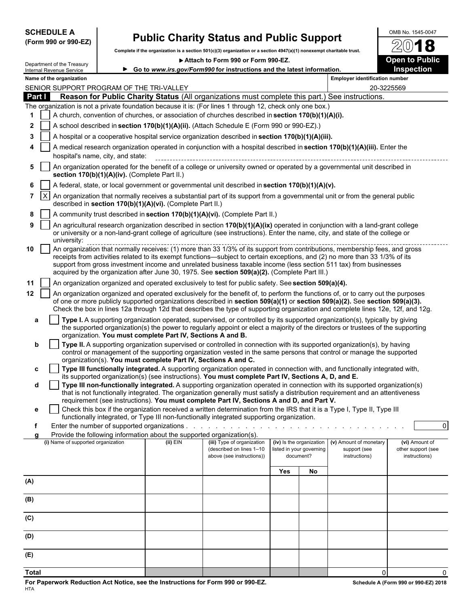| <b>SCHEDULE A</b> |  |                      |
|-------------------|--|----------------------|
|                   |  | (Form 990 or 990-EZ) |

# **Public Charity Status and Public Support**  $\frac{600B\ N_{0.}1545-0047}{20}$

**Complete if the organization is a section 501(c)(3) organization or a section 4947(a)(1) nonexempt charitable trust.**

▶ Attach to Form 990 or Form 990-EZ. **Open to Public** 



| Department of the Treasury |
|----------------------------|
| Internal Revenue Service   |
| Name of the organization   |

|              |            | Department or the Treasury<br>Internal Revenue Service |                                               |                                                                        | ► Go to www.irs.gov/Form990 for instructions and the latest information.                                                                                                                                                                                                                                                                                                                           |     |                                       |                                       | <b>Inspection</b>                   |
|--------------|------------|--------------------------------------------------------|-----------------------------------------------|------------------------------------------------------------------------|----------------------------------------------------------------------------------------------------------------------------------------------------------------------------------------------------------------------------------------------------------------------------------------------------------------------------------------------------------------------------------------------------|-----|---------------------------------------|---------------------------------------|-------------------------------------|
|              |            | Name of the organization                               |                                               |                                                                        |                                                                                                                                                                                                                                                                                                                                                                                                    |     |                                       | <b>Employer identification number</b> |                                     |
|              |            |                                                        | SENIOR SUPPORT PROGRAM OF THE TRI-VALLEY      |                                                                        |                                                                                                                                                                                                                                                                                                                                                                                                    |     |                                       |                                       | 20-3225569                          |
|              | Part I     |                                                        |                                               |                                                                        | Reason for Public Charity Status (All organizations must complete this part.) See instructions.                                                                                                                                                                                                                                                                                                    |     |                                       |                                       |                                     |
| 1            |            |                                                        |                                               |                                                                        | The organization is not a private foundation because it is: (For lines 1 through 12, check only one box.)<br>A church, convention of churches, or association of churches described in section 170(b)(1)(A)(i).                                                                                                                                                                                    |     |                                       |                                       |                                     |
|              |            |                                                        |                                               |                                                                        |                                                                                                                                                                                                                                                                                                                                                                                                    |     |                                       |                                       |                                     |
| $\mathbf{2}$ |            |                                                        |                                               |                                                                        | A school described in section 170(b)(1)(A)(ii). (Attach Schedule E (Form 990 or 990-EZ).)                                                                                                                                                                                                                                                                                                          |     |                                       |                                       |                                     |
| 3            |            |                                                        |                                               |                                                                        | A hospital or a cooperative hospital service organization described in section 170(b)(1)(A)(iii).                                                                                                                                                                                                                                                                                                  |     |                                       |                                       |                                     |
| 4            |            |                                                        | hospital's name, city, and state:             |                                                                        | A medical research organization operated in conjunction with a hospital described in section 170(b)(1)(A)(iii). Enter the                                                                                                                                                                                                                                                                          |     |                                       |                                       |                                     |
| 5            |            |                                                        |                                               |                                                                        | An organization operated for the benefit of a college or university owned or operated by a governmental unit described in                                                                                                                                                                                                                                                                          |     |                                       |                                       |                                     |
| 6            |            |                                                        | section 170(b)(1)(A)(iv). (Complete Part II.) |                                                                        | A federal, state, or local government or governmental unit described in section 170(b)(1)(A)(v).                                                                                                                                                                                                                                                                                                   |     |                                       |                                       |                                     |
|              | $7 \mid X$ |                                                        |                                               |                                                                        | An organization that normally receives a substantial part of its support from a governmental unit or from the general public                                                                                                                                                                                                                                                                       |     |                                       |                                       |                                     |
|              |            |                                                        |                                               | described in section 170(b)(1)(A)(vi). (Complete Part II.)             |                                                                                                                                                                                                                                                                                                                                                                                                    |     |                                       |                                       |                                     |
| 8<br>9       |            |                                                        |                                               |                                                                        | A community trust described in section 170(b)(1)(A)(vi). (Complete Part II.)                                                                                                                                                                                                                                                                                                                       |     |                                       |                                       |                                     |
|              |            | university:                                            |                                               |                                                                        | An agricultural research organization described in section 170(b)(1)(A)(ix) operated in conjunction with a land-grant college<br>or university or a non-land-grant college of agriculture (see instructions). Enter the name, city, and state of the college or                                                                                                                                    |     |                                       |                                       |                                     |
| 10           |            |                                                        |                                               |                                                                        | An organization that normally receives: (1) more than 33 1/3% of its support from contributions, membership fees, and gross<br>receipts from activities related to its exempt functions—subject to certain exceptions, and (2) no more than 33 1/3% of its<br>support from gross investment income and unrelated business taxable income (less section 511 tax) from businesses                    |     |                                       |                                       |                                     |
|              |            |                                                        |                                               |                                                                        | acquired by the organization after June 30, 1975. See section 509(a)(2). (Complete Part III.)                                                                                                                                                                                                                                                                                                      |     |                                       |                                       |                                     |
| 11           |            |                                                        |                                               |                                                                        | An organization organized and operated exclusively to test for public safety. See section 509(a)(4).                                                                                                                                                                                                                                                                                               |     |                                       |                                       |                                     |
| $12 \,$      |            |                                                        |                                               |                                                                        | An organization organized and operated exclusively for the benefit of, to perform the functions of, or to carry out the purposes<br>of one or more publicly supported organizations described in section 509(a)(1) or section 509(a)(2). See section 509(a)(3).<br>Check the box in lines 12a through 12d that describes the type of supporting organization and complete lines 12e, 12f, and 12g. |     |                                       |                                       |                                     |
| a            |            |                                                        |                                               | organization. You must complete Part IV, Sections A and B.             | Type I. A supporting organization operated, supervised, or controlled by its supported organization(s), typically by giving<br>the supported organization(s) the power to regularly appoint or elect a majority of the directors or trustees of the supporting                                                                                                                                     |     |                                       |                                       |                                     |
| b            |            |                                                        |                                               |                                                                        | Type II. A supporting organization supervised or controlled in connection with its supported organization(s), by having<br>control or management of the supporting organization vested in the same persons that control or manage the supported                                                                                                                                                    |     |                                       |                                       |                                     |
|              |            |                                                        |                                               | organization(s). You must complete Part IV, Sections A and C.          |                                                                                                                                                                                                                                                                                                                                                                                                    |     |                                       |                                       |                                     |
| c            |            |                                                        |                                               |                                                                        | Type III functionally integrated. A supporting organization operated in connection with, and functionally integrated with,                                                                                                                                                                                                                                                                         |     |                                       |                                       |                                     |
|              |            |                                                        |                                               |                                                                        | its supported organization(s) (see instructions). You must complete Part IV, Sections A, D, and E.<br>Type III non-functionally integrated. A supporting organization operated in connection with its supported organization(s)                                                                                                                                                                    |     |                                       |                                       |                                     |
| d            |            |                                                        |                                               |                                                                        | that is not functionally integrated. The organization generally must satisfy a distribution requirement and an attentiveness                                                                                                                                                                                                                                                                       |     |                                       |                                       |                                     |
|              |            |                                                        |                                               |                                                                        | requirement (see instructions). You must complete Part IV, Sections A and D, and Part V.                                                                                                                                                                                                                                                                                                           |     |                                       |                                       |                                     |
|              |            |                                                        |                                               |                                                                        | Check this box if the organization received a written determination from the IRS that it is a Type I, Type II, Type III                                                                                                                                                                                                                                                                            |     |                                       |                                       |                                     |
|              |            |                                                        |                                               | Enter the number of supported organizations $\ldots$ $\ldots$ $\ldots$ | functionally integrated, or Type III non-functionally integrated supporting organization.                                                                                                                                                                                                                                                                                                          |     |                                       |                                       | $\overline{0}$                      |
| a            |            |                                                        |                                               | Provide the following information about the supported organization(s). |                                                                                                                                                                                                                                                                                                                                                                                                    |     |                                       |                                       |                                     |
|              |            | (i) Name of supported organization                     |                                               | $(ii)$ EIN                                                             | (iii) Type of organization                                                                                                                                                                                                                                                                                                                                                                         |     | (iv) Is the organization              | (v) Amount of monetary                | (vi) Amount of                      |
|              |            |                                                        |                                               |                                                                        | (described on lines 1-10<br>above (see instructions))                                                                                                                                                                                                                                                                                                                                              |     | listed in your governing<br>document? | support (see<br>instructions)         | other support (see<br>instructions) |
|              |            |                                                        |                                               |                                                                        |                                                                                                                                                                                                                                                                                                                                                                                                    | Yes | No                                    |                                       |                                     |
| (A)          |            |                                                        |                                               |                                                                        |                                                                                                                                                                                                                                                                                                                                                                                                    |     |                                       |                                       |                                     |
| (B)          |            |                                                        |                                               |                                                                        |                                                                                                                                                                                                                                                                                                                                                                                                    |     |                                       |                                       |                                     |
|              |            |                                                        |                                               |                                                                        |                                                                                                                                                                                                                                                                                                                                                                                                    |     |                                       |                                       |                                     |
| (C)          |            |                                                        |                                               |                                                                        |                                                                                                                                                                                                                                                                                                                                                                                                    |     |                                       |                                       |                                     |
| (D)          |            |                                                        |                                               |                                                                        |                                                                                                                                                                                                                                                                                                                                                                                                    |     |                                       |                                       |                                     |
| (E)          |            |                                                        |                                               |                                                                        |                                                                                                                                                                                                                                                                                                                                                                                                    |     |                                       |                                       |                                     |
| <b>Total</b> |            |                                                        |                                               |                                                                        |                                                                                                                                                                                                                                                                                                                                                                                                    |     |                                       | 0                                     | U                                   |
|              |            |                                                        |                                               |                                                                        |                                                                                                                                                                                                                                                                                                                                                                                                    |     |                                       |                                       |                                     |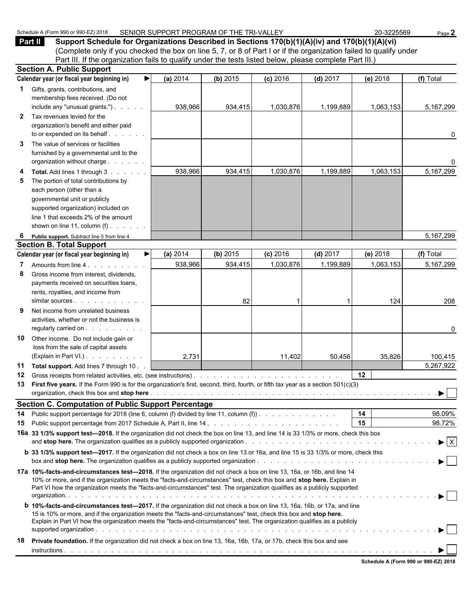| ረ) 2018<br>Schedule<br>$_{\odot}$ and or 990 $^{-1}$<br>$\sqrt{\text{Form }99^\circ}$<br>$\mathbf{r}$ | SENIOR SUPPORT PROGRAM OF THE TRI-VALLEY | -3225569<br>ne. | Page. |
|-------------------------------------------------------------------------------------------------------|------------------------------------------|-----------------|-------|
|-------------------------------------------------------------------------------------------------------|------------------------------------------|-----------------|-------|

**Part II Support Schedule for Organizations Described in Sections 170(b)(1)(A)(iv) and 170(b)(1)(A)(vi)** (Complete only if you checked the box on line 5, 7, or 8 of Part I or if the organization failed to qualify under Part III. If the organization fails to qualify under the tests listed below, please complete Part III.)

|              | <b>Section A. Public Support</b>                                                                                                                                                                                                                   |          |          |            |            |           |                                |
|--------------|----------------------------------------------------------------------------------------------------------------------------------------------------------------------------------------------------------------------------------------------------|----------|----------|------------|------------|-----------|--------------------------------|
|              | Calendar year (or fiscal year beginning in)                                                                                                                                                                                                        | (a) 2014 | (b) 2015 | $(c)$ 2016 | $(d)$ 2017 | (e) 2018  | (f) Total                      |
|              | 1 Gifts, grants, contributions, and                                                                                                                                                                                                                |          |          |            |            |           |                                |
|              | membership fees received. (Do not                                                                                                                                                                                                                  |          |          |            |            |           |                                |
|              | include any "unusual grants.")                                                                                                                                                                                                                     | 938,966  | 934,415  | 1,030,876  | 1,199,889  | 1,063,153 | 5,167,299                      |
| $\mathbf{2}$ | Tax revenues levied for the                                                                                                                                                                                                                        |          |          |            |            |           |                                |
|              | organization's benefit and either paid                                                                                                                                                                                                             |          |          |            |            |           |                                |
|              | to or expended on its behalf                                                                                                                                                                                                                       |          |          |            |            |           | 0                              |
| 3            | The value of services or facilities                                                                                                                                                                                                                |          |          |            |            |           |                                |
|              | furnished by a governmental unit to the                                                                                                                                                                                                            |          |          |            |            |           |                                |
|              | organization without charge                                                                                                                                                                                                                        |          |          |            |            |           | 0                              |
| 4            | Total. Add lines 1 through 3                                                                                                                                                                                                                       | 938,966  | 934,415  | 1,030,876  | 1,199,889  | 1,063,153 | 5,167,299                      |
| 5            | The portion of total contributions by                                                                                                                                                                                                              |          |          |            |            |           |                                |
|              | each person (other than a                                                                                                                                                                                                                          |          |          |            |            |           |                                |
|              | governmental unit or publicly                                                                                                                                                                                                                      |          |          |            |            |           |                                |
|              | supported organization) included on                                                                                                                                                                                                                |          |          |            |            |           |                                |
|              | line 1 that exceeds 2% of the amount                                                                                                                                                                                                               |          |          |            |            |           |                                |
|              | shown on line 11, column $(f)$ .                                                                                                                                                                                                                   |          |          |            |            |           |                                |
| 6            | Public support. Subtract line 5 from line 4                                                                                                                                                                                                        |          |          |            |            |           | 5,167,299                      |
|              | <b>Section B. Total Support</b>                                                                                                                                                                                                                    |          |          |            |            |           |                                |
|              | Calendar year (or fiscal year beginning in)                                                                                                                                                                                                        | (a) 2014 | (b) 2015 | $(c)$ 2016 | $(d)$ 2017 | (e) 2018  | (f) Total                      |
| 7            | Amounts from line 4.                                                                                                                                                                                                                               | 938,966  | 934,415  | 1,030,876  | 1,199,889  | 1,063,153 | 5,167,299                      |
| 8            | Gross income from interest, dividends,                                                                                                                                                                                                             |          |          |            |            |           |                                |
|              | payments received on securities loans,                                                                                                                                                                                                             |          |          |            |            |           |                                |
|              | rents, royalties, and income from                                                                                                                                                                                                                  |          |          |            |            |           |                                |
|              | similar sources                                                                                                                                                                                                                                    |          | 82       |            |            | 124       | 208                            |
| 9            | Net income from unrelated business                                                                                                                                                                                                                 |          |          |            |            |           |                                |
|              | activities, whether or not the business is                                                                                                                                                                                                         |          |          |            |            |           |                                |
|              | regularly carried on                                                                                                                                                                                                                               |          |          |            |            |           | 0                              |
| 10           | Other income. Do not include gain or                                                                                                                                                                                                               |          |          |            |            |           |                                |
|              | loss from the sale of capital assets<br>(Explain in Part VI.)                                                                                                                                                                                      |          |          |            |            |           |                                |
|              |                                                                                                                                                                                                                                                    | 2,731    |          | 11,402     | 50,456     | 35,826    | 100,415                        |
| 11<br>12     | Total support. Add lines 7 through 10.                                                                                                                                                                                                             |          |          |            |            | 12        | 5,267,922                      |
| 13           | First five years. If the Form 990 is for the organization's first, second, third, fourth, or fifth tax year as a section 501(c)(3)                                                                                                                 |          |          |            |            |           |                                |
|              |                                                                                                                                                                                                                                                    |          |          |            |            |           |                                |
|              | <b>Section C. Computation of Public Support Percentage</b>                                                                                                                                                                                         |          |          |            |            |           |                                |
|              |                                                                                                                                                                                                                                                    |          |          |            |            | 14        | 98.09%                         |
| 15           | 14 Public support percentage for 2018 (line 6, column (f) divided by line 11, column (f)).                                                                                                                                                         |          |          |            |            | 15        | 98.72%                         |
|              | 16a 33 1/3% support test-2018. If the organization did not check the box on line 13, and line 14 is 33 1/3% or more, check this box                                                                                                                |          |          |            |            |           |                                |
|              |                                                                                                                                                                                                                                                    |          |          |            |            |           | $\blacktriangleright$ $\mid$ X |
|              | b 33 1/3% support test-2017. If the organization did not check a box on line 13 or 16a, and line 15 is 33 1/3% or more, check this                                                                                                                 |          |          |            |            |           |                                |
|              |                                                                                                                                                                                                                                                    |          |          |            |            |           |                                |
|              |                                                                                                                                                                                                                                                    |          |          |            |            |           |                                |
|              | 17a 10%-facts-and-circumstances test-2018. If the organization did not check a box on line 13, 16a, or 16b, and line 14<br>10% or more, and if the organization meets the "facts-and-circumstances" test, check this box and stop here. Explain in |          |          |            |            |           |                                |
|              | Part VI how the organization meets the "facts-and-circumstances" test. The organization qualifies as a publicly supported                                                                                                                          |          |          |            |            |           |                                |
|              |                                                                                                                                                                                                                                                    |          |          |            |            |           |                                |
|              | <b>b</b> 10%-facts-and-circumstances test-2017. If the organization did not check a box on line 13, 16a, 16b, or 17a, and line                                                                                                                     |          |          |            |            |           |                                |
|              | 15 is 10% or more, and if the organization meets the "facts-and-circumstances" test, check this box and stop here.                                                                                                                                 |          |          |            |            |           |                                |
|              | Explain in Part VI how the organization meets the "facts-and-circumstances" test. The organization qualifies as a publicly                                                                                                                         |          |          |            |            |           |                                |
|              |                                                                                                                                                                                                                                                    |          |          |            |            |           | ▶│                             |
| 18           | Private foundation. If the organization did not check a box on line 13, 16a, 16b, 17a, or 17b, check this box and see                                                                                                                              |          |          |            |            |           |                                |
|              |                                                                                                                                                                                                                                                    |          |          |            |            |           |                                |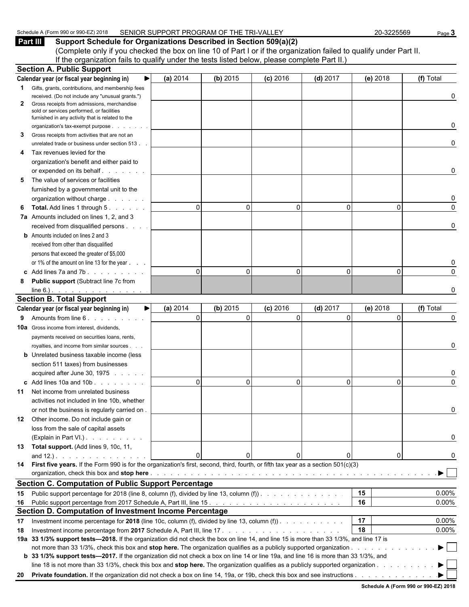| 32018<br>Schedule<br>350 or 900<br>. (Form 990<br>$\cdots$<br>. | SENIOR SUPPORT PROGRAM OF THE TRI-V<br>.<br>'RI-VA∟<br>-<br>-- | -3225569<br>ົ | Paɑe |
|-----------------------------------------------------------------|----------------------------------------------------------------|---------------|------|
|                                                                 |                                                                |               |      |

**Part III Support Schedule for Organizations Described in Section 509(a)(2)** (Complete only if you checked the box on line 10 of Part I or if the organization failed to qualify under Part II. If the organization fails to qualify under the tests listed below, please complete Part II.) **Section A. Public Support**

|     | Section A. Fublic Support                                                                                                              |              |              |            |              |              |           |
|-----|----------------------------------------------------------------------------------------------------------------------------------------|--------------|--------------|------------|--------------|--------------|-----------|
|     | ▶<br>Calendar year (or fiscal year beginning in)                                                                                       | (a) 2014     | (b) 2015     | $(c)$ 2016 | $(d)$ 2017   | (e) 2018     | (f) Total |
|     | Gifts, grants, contributions, and membership fees                                                                                      |              |              |            |              |              |           |
|     | received. (Do not include any "unusual grants.")                                                                                       |              |              |            |              |              | 0         |
| 2   | Gross receipts from admissions, merchandise                                                                                            |              |              |            |              |              |           |
|     | sold or services performed, or facilities<br>furnished in any activity that is related to the                                          |              |              |            |              |              |           |
|     | organization's tax-exempt purpose                                                                                                      |              |              |            |              |              | 0         |
| 3   | Gross receipts from activities that are not an                                                                                         |              |              |            |              |              |           |
|     | unrelated trade or business under section 513.                                                                                         |              |              |            |              |              | 0         |
| 4   | Tax revenues levied for the                                                                                                            |              |              |            |              |              |           |
|     | organization's benefit and either paid to                                                                                              |              |              |            |              |              |           |
|     | or expended on its behalf<br>and the company                                                                                           |              |              |            |              |              | 0         |
| 5   | The value of services or facilities                                                                                                    |              |              |            |              |              |           |
|     | furnished by a governmental unit to the                                                                                                |              |              |            |              |              |           |
|     |                                                                                                                                        |              |              |            |              |              |           |
|     | organization without charge                                                                                                            | $\Omega$     | 0            | $\Omega$   | $\mathbf{0}$ | $\Omega$     | 0         |
| 6   | <b>Total.</b> Add lines 1 through 5.                                                                                                   |              |              |            |              |              |           |
|     | 7a Amounts included on lines 1, 2, and 3                                                                                               |              |              |            |              |              | 0         |
|     | received from disqualified persons                                                                                                     |              |              |            |              |              |           |
|     | <b>b</b> Amounts included on lines 2 and 3                                                                                             |              |              |            |              |              |           |
|     | received from other than disqualified                                                                                                  |              |              |            |              |              |           |
|     | persons that exceed the greater of \$5,000                                                                                             |              |              |            |              |              |           |
|     | or 1% of the amount on line 13 for the year                                                                                            |              |              |            |              |              |           |
|     | c Add lines 7a and 7b. $\ldots$ . $\ldots$                                                                                             | $\Omega$     | 0            | $\Omega$   | $\mathbf{0}$ | $\Omega$     | $\Omega$  |
| 8   | Public support (Subtract line 7c from                                                                                                  |              |              |            |              |              |           |
|     | $line 6.)$ $\ldots$ $\ldots$ $\ldots$ $\ldots$ $\ldots$                                                                                |              |              |            |              |              | O         |
|     | <b>Section B. Total Support</b>                                                                                                        |              |              |            |              |              |           |
|     | Calendar year (or fiscal year beginning in)<br>▶                                                                                       | (a) 2014     | (b) 2015     | $(c)$ 2016 | $(d)$ 2017   | (e) 2018     | (f) Total |
| 9   | Amounts from line 6.                                                                                                                   | $\mathbf{0}$ | $\mathbf{0}$ | $\Omega$   | $\Omega$     | $\mathbf{0}$ | 0         |
|     | 10a Gross income from interest, dividends,                                                                                             |              |              |            |              |              |           |
|     | payments received on securities loans, rents,                                                                                          |              |              |            |              |              |           |
|     | royalties, and income from similar sources.                                                                                            |              |              |            |              |              | 0         |
|     | <b>b</b> Unrelated business taxable income (less                                                                                       |              |              |            |              |              |           |
|     | section 511 taxes) from businesses                                                                                                     |              |              |            |              |              |           |
|     | acquired after June 30, 1975                                                                                                           |              |              |            |              |              |           |
|     | $\text{c}$ Add lines 10a and 10b $\ldots$                                                                                              | $\mathbf{0}$ | $\Omega$     | $\Omega$   | $\mathbf{0}$ | $\Omega$     | $\Omega$  |
| 11  | Net income from unrelated business                                                                                                     |              |              |            |              |              |           |
|     | activities not included in line 10b, whether                                                                                           |              |              |            |              |              |           |
|     | or not the business is regularly carried on.                                                                                           |              |              |            |              |              | 0         |
| 12  | Other income. Do not include gain or                                                                                                   |              |              |            |              |              |           |
|     | loss from the sale of capital assets                                                                                                   |              |              |            |              |              |           |
|     | (Explain in Part VI.)                                                                                                                  |              |              |            |              |              | 0         |
| 13. | Total support. (Add lines 9, 10c, 11,                                                                                                  |              |              |            |              |              |           |
|     | and $12.$ ). $\ldots$ $\ldots$ $\ldots$ $\ldots$                                                                                       | $\Omega$     | 0            |            |              | 0            | 0         |
|     | 14 First five years. If the Form 990 is for the organization's first, second, third, fourth, or fifth tax year as a section 501(c)(3)  |              |              |            |              |              |           |
|     |                                                                                                                                        |              |              |            |              |              | ▶         |
|     | <b>Section C. Computation of Public Support Percentage</b>                                                                             |              |              |            |              |              |           |
| 15  | Public support percentage for 2018 (line 8, column (f), divided by line 13, column (f)).                                               |              |              |            |              | 15           | 0.00%     |
| 16  |                                                                                                                                        |              |              |            |              | 16           | 0.00%     |
|     | Section D. Computation of Investment Income Percentage                                                                                 |              |              |            |              |              |           |
| 17  | Investment income percentage for 2018 (line 10c, column (f), divided by line 13, column (f)). $\ldots$                                 |              |              |            |              | 17           | 0.00%     |
|     |                                                                                                                                        |              |              |            |              | 18           | 0.00%     |
| 18  | 19a 33 1/3% support tests-2018. If the organization did not check the box on line 14, and line 15 is more than 33 1/3%, and line 17 is |              |              |            |              |              |           |
|     |                                                                                                                                        |              |              |            |              |              |           |
|     | b 33 1/3% support tests-2017. If the organization did not check a box on line 14 or line 19a, and line 16 is more than 33 1/3%, and    |              |              |            |              |              |           |
|     |                                                                                                                                        |              |              |            |              |              |           |
|     |                                                                                                                                        |              |              |            |              |              |           |
|     |                                                                                                                                        |              |              |            |              |              |           |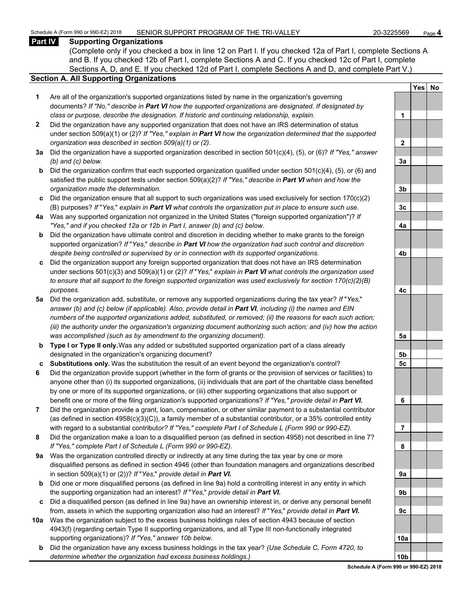#### **Part IV Supporting Organizations**

(Complete only if you checked a box in line 12 on Part I. If you checked 12a of Part I, complete Sections A and B. If you checked 12b of Part I, complete Sections A and C. If you checked 12c of Part I, complete Sections A, D, and E. If you checked 12d of Part I, complete Sections A and D, and complete Part V.)

#### **Section A. All Supporting Organizations**

- **1** Are all of the organization's supported organizations listed by name in the organization's governing documents? *If "No," describe in Part VI how the supported organizations are designated. If designated by class or purpose, describe the designation. If historic and continuing relationship, explain.* **1**
- **2** Did the organization have any supported organization that does not have an IRS determination of status under section 509(a)(1) or (2)? *If "Yes," explain in Part VI how the organization determined that the supported organization was described in section 509(a)(1) or (2).*
- **3a** Did the organization have a supported organization described in section 501(c)(4), (5), or (6)? *If "Yes," answer (b) and (c) below.* **3a**
- **b** Did the organization confirm that each supported organization qualified under section 501(c)(4), (5), or (6) and satisfied the public support tests under section 509(a)(2)? *If "Yes," describe in Part VI when and how the organization made the determination.* **3b**
- **c** Did the organization ensure that all support to such organizations was used exclusively for section 170(c)(2) (B) purposes? *If* "*Yes,*" *explain in Part VI what controls the organization put in place to ensure such use.* **3c**
- **4a** Was any supported organization not organized in the United States ("foreign supported organization")? *If "Yes," and if you checked 12a or 12b in Part I, answer (b) and (c) below.* **4a**
- **b** Did the organization have ultimate control and discretion in deciding whether to make grants to the foreign supported organization? *If* "*Yes,*" *describe in Part VI how the organization had such control and discretion despite being controlled or supervised by or in connection with its supported organizations.* **4b**
- **c** Did the organization support any foreign supported organization that does not have an IRS determination under sections 501(c)(3) and 509(a)(1) or (2)? *If* "*Yes,*" *explain in Part VI what controls the organization used to ensure that all support to the foreign supported organization was used exclusively for section 170(c)(2)(B) purposes.* **4c**
- **5a** Did the organization add, substitute, or remove any supported organizations during the tax year? *If* "*Yes,*" *answer (b) and (c) below (if applicable). Also, provide detail in Part VI, including (i) the names and EIN numbers of the supported organizations added, substituted, or removed; (ii) the reasons for each such action; (iii) the authority under the organization's organizing document authorizing such action; and (iv) how the action was accomplished (such as by amendment to the organizing document).* **5a**
- **b Type I or Type II only.** Was any added or substituted supported organization part of a class already designated in the organization's organizing document? **5b**
- **c Substitutions only.** Was the substitution the result of an event beyond the organization's control? **5c**
- **6** Did the organization provide support (whether in the form of grants or the provision of services or facilities) to anyone other than (i) its supported organizations, (ii) individuals that are part of the charitable class benefited by one or more of its supported organizations, or (iii) other supporting organizations that also support or benefit one or more of the filing organization's supported organizations? *If "Yes," provide detail in Part VI.* **6**
- **7** Did the organization provide a grant, loan, compensation, or other similar payment to a substantial contributor (as defined in section 4958(c)(3)(C)), a family member of a substantial contributor, or a 35% controlled entity with regard to a substantial contribut*or? If "Yes," complete Part I of Schedule L (Form 990 or 990-EZ).* **7**
- **8** Did the organization make a loan to a disqualified person (as defined in section 4958) not described in line 7? *If "Yes," complete Part I of Schedule L (Form 990 or 990-EZ).* **8**
- **9a** Was the organization controlled directly or indirectly at any time during the tax year by one or more disqualified persons as defined in section 4946 (other than foundation managers and organizations described in section 509(a)(1) or (2))? *If* "*Yes*," *provide detail in Part VI.*
- **b** Did one or more disqualified persons (as defined in line 9a) hold a controlling interest in any entity in which the supporting organization had an interest? *If* "*Yes,*" *provide detail in Part VI.* **9b**
- **c** Did a disqualified person (as defined in line 9a) have an ownership interest in, or derive any personal benefit from, assets in which the supporting organization also had an interest? *If* "*Yes,*" *provide detail in Part VI.* **9c**
- **10a** Was the organization subject to the excess business holdings rules of section 4943 because of section 4943(f) (regarding certain Type II supporting organizations, and all Type III non-functionally integrated supporting organizations)? If "Yes," answer 10b below.
	- **b** Did the organization have any excess business holdings in the tax year? *(Use Schedule C, Form 4720, to determine whether the organization had excess business holdings.)* **10b**

|                | Yes<br>Ι | <u>No</u> |
|----------------|----------|-----------|
|                |          |           |
| 1              |          |           |
|                |          |           |
| $\overline{2}$ |          |           |
|                |          |           |
| <u>3a</u>      |          |           |
|                |          |           |
| <u>3b</u>      |          |           |
|                |          |           |
| <u>3c</u>      |          |           |
| 4a             |          |           |
|                |          |           |
| 4 <sub>b</sub> |          |           |
|                |          |           |
| 4c             |          |           |
|                |          |           |
| <u>5a</u>      |          |           |
| <u>5b</u>      |          |           |
| <u>5c</u>      |          |           |
|                |          |           |
| 6              |          |           |
|                |          |           |
| $\overline{7}$ |          |           |
| 8              |          |           |
|                |          |           |
| 9а             |          |           |
|                |          |           |
| 9b             |          |           |
|                |          |           |
| 9c             |          |           |
| 0a             |          |           |
|                |          |           |
| J<br>n         |          |           |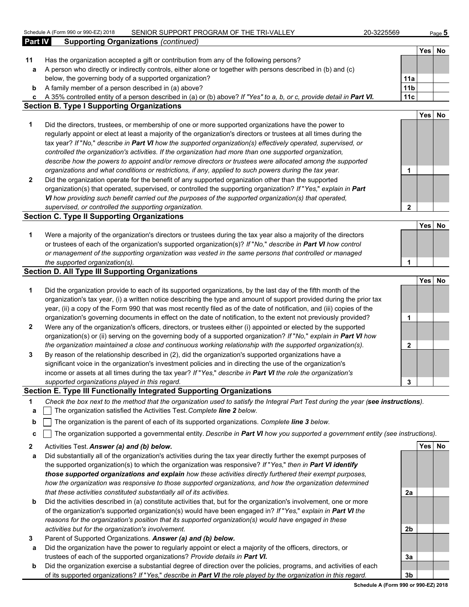|              | Schedule A (Form 990 or 990-EZ) 2018<br>SENIOR SUPPORT PROGRAM OF THE TRI-VALLEY                                                  | 20-3225569      |        | Page 5 |
|--------------|-----------------------------------------------------------------------------------------------------------------------------------|-----------------|--------|--------|
| Part IV      | <b>Supporting Organizations (continued)</b>                                                                                       |                 |        |        |
|              |                                                                                                                                   |                 |        | Yes No |
| 11           | Has the organization accepted a gift or contribution from any of the following persons?                                           |                 |        |        |
| а            | A person who directly or indirectly controls, either alone or together with persons described in (b) and (c)                      |                 |        |        |
|              | below, the governing body of a supported organization?                                                                            | 11a             |        |        |
| b            | A family member of a person described in (a) above?                                                                               | 11 <sub>b</sub> |        |        |
| c            | A 35% controlled entity of a person described in (a) or (b) above? If "Yes" to a, b, or c, provide detail in Part VI.             | 11c             |        |        |
|              | <b>Section B. Type I Supporting Organizations</b>                                                                                 |                 |        |        |
|              |                                                                                                                                   |                 |        | Yes No |
| 1            | Did the directors, trustees, or membership of one or more supported organizations have the power to                               |                 |        |        |
|              | regularly appoint or elect at least a majority of the organization's directors or trustees at all times during the                |                 |        |        |
|              | tax year? If "No," describe in Part VI how the supported organization(s) effectively operated, supervised, or                     |                 |        |        |
|              | controlled the organization's activities. If the organization had more than one supported organization,                           |                 |        |        |
|              | describe how the powers to appoint and/or remove directors or trustees were allocated among the supported                         |                 |        |        |
|              | organizations and what conditions or restrictions, if any, applied to such powers during the tax year.                            | 1               |        |        |
| $\mathbf{2}$ | Did the organization operate for the benefit of any supported organization other than the supported                               |                 |        |        |
|              | organization(s) that operated, supervised, or controlled the supporting organization? If "Yes," explain in Part                   |                 |        |        |
|              | VI how providing such benefit carried out the purposes of the supported organization(s) that operated,                            |                 |        |        |
|              | supervised, or controlled the supporting organization.                                                                            | $\mathbf{2}$    |        |        |
|              | <b>Section C. Type II Supporting Organizations</b>                                                                                |                 |        |        |
|              |                                                                                                                                   |                 | Yes    | No     |
| 1            | Were a majority of the organization's directors or trustees during the tax year also a majority of the directors                  |                 |        |        |
|              | or trustees of each of the organization's supported organization(s)? If "No," describe in Part VI how control                     |                 |        |        |
|              | or management of the supporting organization was vested in the same persons that controlled or managed                            |                 |        |        |
|              | the supported organization(s).                                                                                                    | 1               |        |        |
|              | <b>Section D. All Type III Supporting Organizations</b>                                                                           |                 |        |        |
|              |                                                                                                                                   |                 | Yes    | No     |
| 1            | Did the organization provide to each of its supported organizations, by the last day of the fifth month of the                    |                 |        |        |
|              | organization's tax year, (i) a written notice describing the type and amount of support provided during the prior tax             |                 |        |        |
|              | year, (ii) a copy of the Form 990 that was most recently filed as of the date of notification, and (iii) copies of the            |                 |        |        |
|              | organization's governing documents in effect on the date of notification, to the extent not previously provided?                  | 1               |        |        |
| 2            | Were any of the organization's officers, directors, or trustees either (i) appointed or elected by the supported                  |                 |        |        |
|              | organization(s) or (ii) serving on the governing body of a supported organization? If "No," explain in Part VI how                |                 |        |        |
|              | the organization maintained a close and continuous working relationship with the supported organization(s).                       | 2               |        |        |
| 3            | By reason of the relationship described in (2), did the organization's supported organizations have a                             |                 |        |        |
|              | significant voice in the organization's investment policies and in directing the use of the organization's                        |                 |        |        |
|              | income or assets at all times during the tax year? If "Yes," describe in Part VI the role the organization's                      |                 |        |        |
|              | supported organizations played in this regard.                                                                                    | 3               |        |        |
|              | Section E. Type III Functionally Integrated Supporting Organizations                                                              |                 |        |        |
| 1            | Check the box next to the method that the organization used to satisfy the Integral Part Test during the year (see instructions). |                 |        |        |
| а            | The organization satisfied the Activities Test. Complete line 2 below.                                                            |                 |        |        |
| b            | The organization is the parent of each of its supported organizations. Complete line 3 below.                                     |                 |        |        |
| с            | The organization supported a governmental entity. Describe in Part VI how you supported a government entity (see instructions).   |                 |        |        |
| 2            | Activities Test. Answer (a) and (b) below.                                                                                        |                 | Yes No |        |
|              |                                                                                                                                   |                 |        |        |

- **a** Did substantially all of the organization's activities during the tax year directly further the exempt purposes of the supported organization(s) to which the organization was responsive? *If* "*Yes,*" *then in Part VI identify those supported organizations and explain how these activities directly furthered their exempt purposes, how the organization was responsive to those supported organizations, and how the organization determined that these activities constituted substantially all of its activities.* **2a**
- **b** Did the activities described in (a) constitute activities that, but for the organization's involvement, one or more of the organization's supported organization(s) would have been engaged in? *If* "*Yes,*" *explain in Part VI the reasons for the organization's position that its supported organization(s) would have engaged in these activities but for the organization's involvement.* **2b**
- **3** Parent of Supported Organizations. *Answer (a) and (b) below.*
- **a** Did the organization have the power to regularly appoint or elect a majority of the officers, directors, or trustees of each of the supported organizations? *Provide details in Part VI.* **3a**
- **b** Did the organization exercise a substantial degree of direction over the policies, programs, and activities of each of its supported organizations? *If* "*Yes,*" *describe in Part VI the role played by the organization in this regard.* **3b**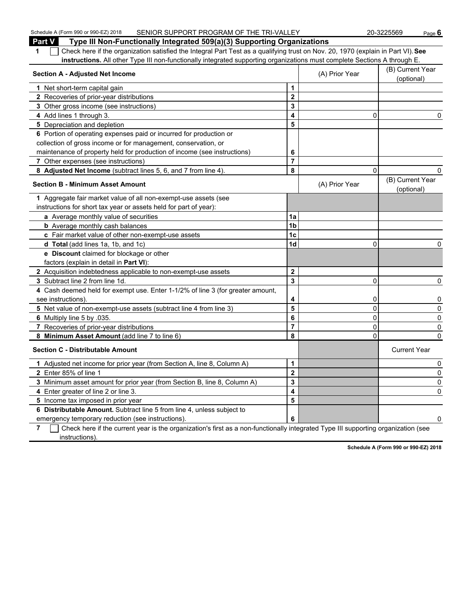| Schedule A (Form 990 or 990-EZ) 2018<br>SENIOR SUPPORT PROGRAM OF THE TRI-VALLEY                                                                        |                         |                | 20-3225569<br>Page $6$         |
|---------------------------------------------------------------------------------------------------------------------------------------------------------|-------------------------|----------------|--------------------------------|
| Part V<br>Type III Non-Functionally Integrated 509(a)(3) Supporting Organizations                                                                       |                         |                |                                |
| Check here if the organization satisfied the Integral Part Test as a qualifying trust on Nov. 20, 1970 (explain in Part VI). See<br>1                   |                         |                |                                |
| instructions. All other Type III non-functionally integrated supporting organizations must complete Sections A through E.                               |                         |                |                                |
| <b>Section A - Adjusted Net Income</b>                                                                                                                  |                         | (A) Prior Year | (B) Current Year<br>(optional) |
| 1 Net short-term capital gain                                                                                                                           | 1                       |                |                                |
| 2 Recoveries of prior-year distributions                                                                                                                | $\overline{2}$          |                |                                |
| 3 Other gross income (see instructions)                                                                                                                 | 3                       |                |                                |
| 4 Add lines 1 through 3.                                                                                                                                | 4                       | 0              | 0                              |
| 5 Depreciation and depletion                                                                                                                            | 5                       |                |                                |
| 6 Portion of operating expenses paid or incurred for production or                                                                                      |                         |                |                                |
| collection of gross income or for management, conservation, or                                                                                          |                         |                |                                |
| maintenance of property held for production of income (see instructions)                                                                                | 6                       |                |                                |
| 7 Other expenses (see instructions)                                                                                                                     | $\overline{7}$          |                |                                |
| 8 Adjusted Net Income (subtract lines 5, 6, and 7 from line 4).                                                                                         | 8                       | 0              | 0                              |
| <b>Section B - Minimum Asset Amount</b>                                                                                                                 |                         | (A) Prior Year | (B) Current Year<br>(optional) |
| 1 Aggregate fair market value of all non-exempt-use assets (see                                                                                         |                         |                |                                |
| instructions for short tax year or assets held for part of year):                                                                                       |                         |                |                                |
| a Average monthly value of securities                                                                                                                   | 1a                      |                |                                |
| <b>b</b> Average monthly cash balances                                                                                                                  | 1 <sub>b</sub>          |                |                                |
| c Fair market value of other non-exempt-use assets                                                                                                      | 1c                      |                |                                |
| d Total (add lines 1a, 1b, and 1c)                                                                                                                      | 1d                      | 0              | 0                              |
| e Discount claimed for blockage or other                                                                                                                |                         |                |                                |
| factors (explain in detail in Part VI):                                                                                                                 |                         |                |                                |
| 2 Acquisition indebtedness applicable to non-exempt-use assets                                                                                          | $\overline{2}$          |                |                                |
| 3 Subtract line 2 from line 1d.                                                                                                                         | $\overline{\mathbf{3}}$ | 0              | 0                              |
| 4 Cash deemed held for exempt use. Enter 1-1/2% of line 3 (for greater amount,                                                                          |                         |                |                                |
| see instructions).                                                                                                                                      | 4                       | 0              | 0                              |
| 5 Net value of non-exempt-use assets (subtract line 4 from line 3)                                                                                      | 5                       | 0              | 0                              |
| 6 Multiply line 5 by .035.                                                                                                                              | 6                       | 0              | 0                              |
| 7 Recoveries of prior-year distributions                                                                                                                | $\overline{7}$          | 0              | 0                              |
| 8 Minimum Asset Amount (add line 7 to line 6)                                                                                                           | 8                       | 0              | $\mathbf{0}$                   |
| <b>Section C - Distributable Amount</b>                                                                                                                 |                         |                | <b>Current Year</b>            |
| 1 Adjusted net income for prior year (from Section A, line 8, Column A)                                                                                 | 1                       |                | 0                              |
| 2 Enter 85% of line 1                                                                                                                                   | $\overline{2}$          |                | $\mathbf{0}$                   |
| 3 Minimum asset amount for prior year (from Section B, line 8, Column A)                                                                                | 3                       |                | 0                              |
| 4 Enter greater of line 2 or line 3.                                                                                                                    | 4                       |                | 0                              |
| 5 Income tax imposed in prior year                                                                                                                      | 5                       |                |                                |
| 6 Distributable Amount. Subtract line 5 from line 4, unless subject to                                                                                  |                         |                |                                |
| emergency temporary reduction (see instructions).                                                                                                       | 6                       |                | 0                              |
| $\overline{7}$ $\Box$ Check here if the current vear is the organization's first as a non-functionally integrated Type III supporting organization (see |                         |                |                                |

**7** Check here if the current year is the organization's first as a non-functionally integrated Type III supporting organization (see instructions).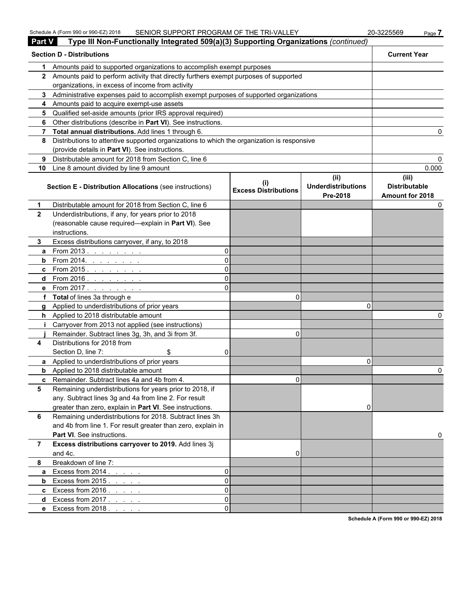| <b>Part V</b>  | Type III Non-Functionally Integrated 509(a)(3) Supporting Organizations (continued)                                                           |                             |                                   |                               |
|----------------|-----------------------------------------------------------------------------------------------------------------------------------------------|-----------------------------|-----------------------------------|-------------------------------|
|                | <b>Section D - Distributions</b>                                                                                                              |                             |                                   | <b>Current Year</b>           |
| 1              | Amounts paid to supported organizations to accomplish exempt purposes                                                                         |                             |                                   |                               |
|                | 2 Amounts paid to perform activity that directly furthers exempt purposes of supported                                                        |                             |                                   |                               |
|                | organizations, in excess of income from activity                                                                                              |                             |                                   |                               |
|                | 3 Administrative expenses paid to accomplish exempt purposes of supported organizations                                                       |                             |                                   |                               |
|                | 4 Amounts paid to acquire exempt-use assets                                                                                                   |                             |                                   |                               |
|                | 5 Qualified set-aside amounts (prior IRS approval required)                                                                                   |                             |                                   |                               |
|                | 6 Other distributions (describe in Part VI). See instructions.                                                                                |                             |                                   |                               |
|                | 7 Total annual distributions. Add lines 1 through 6.                                                                                          |                             |                                   |                               |
| 8              | Distributions to attentive supported organizations to which the organization is responsive<br>(provide details in Part VI). See instructions. |                             |                                   |                               |
| 9              | Distributable amount for 2018 from Section C, line 6                                                                                          |                             |                                   |                               |
|                | 10 Line 8 amount divided by line 9 amount                                                                                                     |                             |                                   | 0.000                         |
|                | Section E - Distribution Allocations (see instructions)                                                                                       | <b>Excess Distributions</b> | (ii)<br><b>Underdistributions</b> | (iii)<br><b>Distributable</b> |
| 1              | Distributable amount for 2018 from Section C, line 6                                                                                          |                             | Pre-2018                          | Amount for 2018               |
| $\mathbf{2}$   | Underdistributions, if any, for years prior to 2018                                                                                           |                             |                                   |                               |
|                | (reasonable cause required-explain in Part VI). See                                                                                           |                             |                                   |                               |
|                | instructions.                                                                                                                                 |                             |                                   |                               |
| 3.             | Excess distributions carryover, if any, to 2018                                                                                               |                             |                                   |                               |
| a              | From 2013. $\ldots$<br>ΩI                                                                                                                     |                             |                                   |                               |
|                | <b>b</b> From 2014. <u>.</u><br>ΩI                                                                                                            |                             |                                   |                               |
|                | ΩI<br>c From 2015. <u>.</u>                                                                                                                   |                             |                                   |                               |
|                | d From 2016. <u>.</u><br>ΩI                                                                                                                   |                             |                                   |                               |
|                | e From 2017.<br>ΩI                                                                                                                            |                             |                                   |                               |
|                | f Total of lines 3a through e                                                                                                                 | 0                           |                                   |                               |
|                | g Applied to underdistributions of prior years                                                                                                |                             | n                                 |                               |
|                | h Applied to 2018 distributable amount                                                                                                        |                             |                                   |                               |
|                | Carryover from 2013 not applied (see instructions)                                                                                            |                             |                                   |                               |
|                | Remainder. Subtract lines 3g, 3h, and 3i from 3f.                                                                                             | 0                           |                                   |                               |
| 4              | Distributions for 2018 from                                                                                                                   |                             |                                   |                               |
|                | Section D, line 7:<br>\$<br>01                                                                                                                |                             |                                   |                               |
|                | a Applied to underdistributions of prior years                                                                                                |                             | 0                                 |                               |
|                | <b>b</b> Applied to 2018 distributable amount                                                                                                 |                             |                                   |                               |
|                | c Remainder. Subtract lines 4a and 4b from 4                                                                                                  | U.                          |                                   |                               |
| 5              | Remaining underdistributions for years prior to 2018, if                                                                                      |                             |                                   |                               |
|                | any. Subtract lines 3g and 4a from line 2. For result                                                                                         |                             |                                   |                               |
|                | greater than zero, explain in Part VI. See instructions.                                                                                      |                             | 0                                 |                               |
| 6              | Remaining underdistributions for 2018. Subtract lines 3h                                                                                      |                             |                                   |                               |
|                | and 4b from line 1. For result greater than zero, explain in                                                                                  |                             |                                   |                               |
|                | Part VI. See instructions.                                                                                                                    |                             |                                   |                               |
| $\overline{7}$ | Excess distributions carryover to 2019. Add lines 3j                                                                                          |                             |                                   |                               |
|                | and 4c.                                                                                                                                       | 0                           |                                   |                               |
| 8              | Breakdown of line 7:                                                                                                                          |                             |                                   |                               |
| a              | Excess from $2014.$ $\ldots$ $\ldots$<br>$\Omega$                                                                                             |                             |                                   |                               |
| b              | Excess from $2015$ .<br>$\Omega$                                                                                                              |                             |                                   |                               |
|                | c Excess from $2016.$ $\ldots$ $\ldots$<br>$\Omega$                                                                                           |                             |                                   |                               |
| d              | Excess from 2017.<br>$\Omega$                                                                                                                 |                             |                                   |                               |
|                | e Excess from 2018.<br>$\Omega$                                                                                                               |                             |                                   |                               |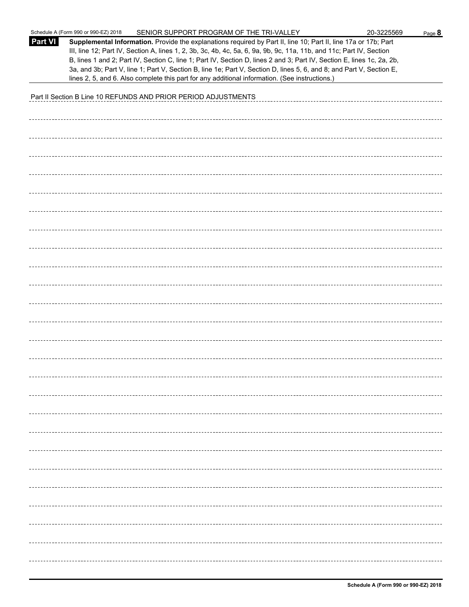|                | Schedule A (Form 990 or 990-EZ) 2018<br>SENIOR SUPPORT PROGRAM OF THE TRI-VALLEY                                                                                                                                                                                                                                                                                                                                                                                                          | 20-3225569 | Page 8 |
|----------------|-------------------------------------------------------------------------------------------------------------------------------------------------------------------------------------------------------------------------------------------------------------------------------------------------------------------------------------------------------------------------------------------------------------------------------------------------------------------------------------------|------------|--------|
| <b>Part VI</b> | Supplemental Information. Provide the explanations required by Part II, line 10; Part II, line 17a or 17b; Part<br>III, line 12; Part IV, Section A, lines 1, 2, 3b, 3c, 4b, 4c, 5a, 6, 9a, 9b, 9c, 11a, 11b, and 11c; Part IV, Section<br>B, lines 1 and 2; Part IV, Section C, line 1; Part IV, Section D, lines 2 and 3; Part IV, Section E, lines 1c, 2a, 2b,<br>3a, and 3b; Part V, line 1; Part V, Section B, line 1e; Part V, Section D, lines 5, 6, and 8; and Part V, Section E, |            |        |
|                | lines 2, 5, and 6. Also complete this part for any additional information. (See instructions.)                                                                                                                                                                                                                                                                                                                                                                                            |            |        |
|                | Part II Section B Line 10 REFUNDS AND PRIOR PERIOD ADJUSTMENTS                                                                                                                                                                                                                                                                                                                                                                                                                            |            |        |
|                |                                                                                                                                                                                                                                                                                                                                                                                                                                                                                           |            |        |
|                |                                                                                                                                                                                                                                                                                                                                                                                                                                                                                           |            |        |
|                |                                                                                                                                                                                                                                                                                                                                                                                                                                                                                           |            |        |
|                |                                                                                                                                                                                                                                                                                                                                                                                                                                                                                           |            |        |
|                |                                                                                                                                                                                                                                                                                                                                                                                                                                                                                           |            |        |
|                |                                                                                                                                                                                                                                                                                                                                                                                                                                                                                           |            |        |
|                |                                                                                                                                                                                                                                                                                                                                                                                                                                                                                           |            |        |
|                |                                                                                                                                                                                                                                                                                                                                                                                                                                                                                           |            |        |
|                |                                                                                                                                                                                                                                                                                                                                                                                                                                                                                           |            |        |
|                |                                                                                                                                                                                                                                                                                                                                                                                                                                                                                           |            |        |
|                |                                                                                                                                                                                                                                                                                                                                                                                                                                                                                           |            |        |
|                |                                                                                                                                                                                                                                                                                                                                                                                                                                                                                           |            |        |
|                |                                                                                                                                                                                                                                                                                                                                                                                                                                                                                           |            |        |
|                |                                                                                                                                                                                                                                                                                                                                                                                                                                                                                           |            |        |
|                |                                                                                                                                                                                                                                                                                                                                                                                                                                                                                           |            |        |
|                |                                                                                                                                                                                                                                                                                                                                                                                                                                                                                           |            |        |
|                |                                                                                                                                                                                                                                                                                                                                                                                                                                                                                           |            |        |
|                |                                                                                                                                                                                                                                                                                                                                                                                                                                                                                           |            |        |
|                |                                                                                                                                                                                                                                                                                                                                                                                                                                                                                           |            |        |
|                |                                                                                                                                                                                                                                                                                                                                                                                                                                                                                           |            |        |
|                |                                                                                                                                                                                                                                                                                                                                                                                                                                                                                           |            |        |
|                |                                                                                                                                                                                                                                                                                                                                                                                                                                                                                           |            |        |
|                |                                                                                                                                                                                                                                                                                                                                                                                                                                                                                           |            |        |
|                |                                                                                                                                                                                                                                                                                                                                                                                                                                                                                           |            |        |
|                |                                                                                                                                                                                                                                                                                                                                                                                                                                                                                           |            |        |
|                |                                                                                                                                                                                                                                                                                                                                                                                                                                                                                           |            |        |
|                |                                                                                                                                                                                                                                                                                                                                                                                                                                                                                           |            |        |
|                |                                                                                                                                                                                                                                                                                                                                                                                                                                                                                           |            |        |
|                |                                                                                                                                                                                                                                                                                                                                                                                                                                                                                           |            |        |
|                |                                                                                                                                                                                                                                                                                                                                                                                                                                                                                           |            |        |
|                |                                                                                                                                                                                                                                                                                                                                                                                                                                                                                           |            |        |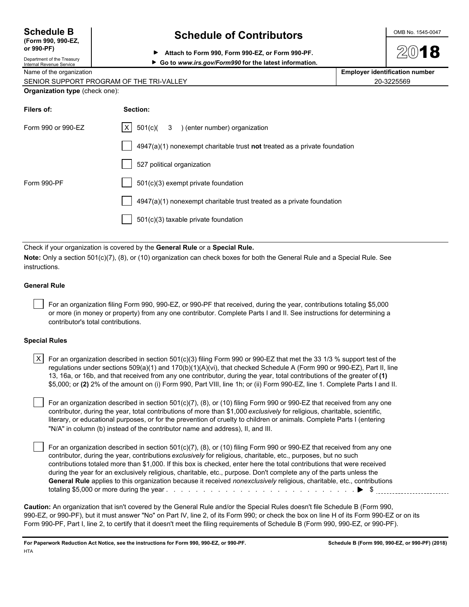| <b>Schedule B</b>  |  |
|--------------------|--|
| (Form 990, 990-EZ, |  |

**or 990-PF)**

## **Schedule of Contributors**  $\frac{\text{OMB No. 1545-0047}}{}$

**Attach to Form 990, Form 990-EZ, or Form 990-PF.**

Department of the Treasury Internal Revenue Service **Go to** *www.irs.gov/Form990* **for the latest information.**

| Name of the organization | <b>Employer identification number</b> |
|--------------------------|---------------------------------------|
|                          |                                       |

| SENIOR SUPPORT PROGRAM OF THE TRI-VALLEY | 20-3225569 |
|------------------------------------------|------------|
|                                          |            |

#### **Organization type** (check one):

| Filers of:         | Section:                                                                  |
|--------------------|---------------------------------------------------------------------------|
| Form 990 or 990-EZ | $ X $ 501(c)( 3 ) (enter number) organization                             |
|                    | 4947(a)(1) nonexempt charitable trust not treated as a private foundation |
|                    | 527 political organization                                                |
| Form 990-PF        | $501(c)(3)$ exempt private foundation                                     |
|                    | 4947(a)(1) nonexempt charitable trust treated as a private foundation     |
|                    | $501(c)(3)$ taxable private foundation                                    |

Check if your organization is covered by the **General Rule** or a **Special Rule.**

**Note:** Only a section 501(c)(7), (8), or (10) organization can check boxes for both the General Rule and a Special Rule. See instructions.

#### **General Rule**

 For an organization filing Form 990, 990-EZ, or 990-PF that received, during the year, contributions totaling \$5,000 or more (in money or property) from any one contributor. Complete Parts I and II. See instructions for determining a contributor's total contributions.

#### **Special Rules**

| X   For an organization described in section 501(c)(3) filing Form 990 or 990-EZ that met the 33 1/3 % support test of the  |
|-----------------------------------------------------------------------------------------------------------------------------|
| regulations under sections 509(a)(1) and 170(b)(1)(A)(vi), that checked Schedule A (Form 990 or 990-EZ), Part II, line      |
| 13, 16a, or 16b, and that received from any one contributor, during the year, total contributions of the greater of (1)     |
| \$5,000; or (2) 2% of the amount on (i) Form 990, Part VIII, line 1h; or (ii) Form 990-EZ, line 1. Complete Parts I and II. |

 For an organization described in section 501(c)(7), (8), or (10) filing Form 990 or 990-EZ that received from any one contributor, during the year, total contributions of more than \$1,000 *exclusively* for religious, charitable, scientific, literary, or educational purposes, or for the prevention of cruelty to children or animals. Complete Parts I (entering "N/A" in column (b) instead of the contributor name and address), II, and III.

For an organization described in section 501(c)(7), (8), or (10) filing Form 990 or 990-EZ that received from any one contributor, during the year, contributions *exclusively* for religious, charitable, etc., purposes, but no such contributions totaled more than \$1,000. If this box is checked, enter here the total contributions that were received during the year for an exclusively religious, charitable, etc., purpose. Don't complete any of the parts unless the **General Rule** applies to this organization because it received *nonexclusively* religious, charitable, etc., contributions totaling \$5,000 or more during the year . . . . . . . . . . . . . . . . . . . . . . . . . . . . . . . . . . . . . . . . . . . . . . . . . . . \$

**Caution:** An organization that isn't covered by the General Rule and/or the Special Rules doesn't file Schedule B (Form 990, 990-EZ, or 990-PF), but it must answer "No" on Part IV, line 2, of its Form 990; or check the box on line H of its Form 990-EZ or on its Form 990-PF, Part I, line 2, to certify that it doesn't meet the filing requirements of Schedule B (Form 990, 990-EZ, or 990-PF).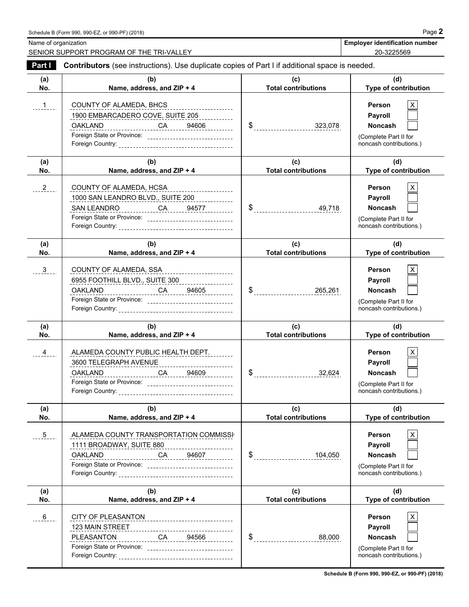Name of organization **Employer identification number Employer identification number** 

SENIOR SUPPORT PROGRAM OF THE TRI-VALLEY 20-3225569

| Part I        | Contributors (see instructions). Use duplicate copies of Part I if additional space is needed.                                                                                                  |                                   |                                                                                                     |  |
|---------------|-------------------------------------------------------------------------------------------------------------------------------------------------------------------------------------------------|-----------------------------------|-----------------------------------------------------------------------------------------------------|--|
| (a)<br>No.    | (b)<br>Name, address, and ZIP + 4                                                                                                                                                               | (c)<br><b>Total contributions</b> | (d)<br>Type of contribution                                                                         |  |
| $1 -$         | COUNTY OF ALAMEDA, BHCS<br>1900 EMBARCADERO COVE, SUITE 205<br><b>OAKLAND</b><br>______________________CA_______94606___________<br>Foreign State or Province: ________________________________ |                                   | X<br><b>Person</b><br>Payroll<br><b>Noncash</b><br>(Complete Part II for<br>noncash contributions.) |  |
| (a)<br>No.    | (b)<br>Name, address, and ZIP + 4                                                                                                                                                               | (c)<br><b>Total contributions</b> | (d)<br>Type of contribution                                                                         |  |
| $2 -$         | COUNTY OF ALAMEDA, HCSA<br>1000 SAN LEANDRO BLVD., SUITE 200<br>SAN LEANDRO ______________CA______94577_________                                                                                |                                   | X<br><b>Person</b><br>Payroll<br><b>Noncash</b><br>(Complete Part II for<br>noncash contributions.) |  |
| (a)<br>No.    | (b)<br>Name, address, and ZIP + 4                                                                                                                                                               | (c)<br><b>Total contributions</b> | (d)<br>Type of contribution                                                                         |  |
| $\frac{3}{2}$ | <b>COUNTY OF ALAMEDA, SSA</b><br>________________________<br>6955 FOOTHILL BLVD., SUITE 300<br><u>OAKLAND CA 04605</u>                                                                          |                                   | X<br>Person<br>Payroll<br><b>Noncash</b><br>(Complete Part II for<br>noncash contributions.)        |  |
| (a)<br>No.    | (b)<br>Name, address, and ZIP + 4                                                                                                                                                               | (c)<br><b>Total contributions</b> | (d)<br>Type of contribution                                                                         |  |
| $-4$          | ALAMEDA COUNTY PUBLIC HEALTH DEPT.<br>3600 TELEGRAPH AVENUE<br>OAKLAND<br>Foreign State or Province: _______________________________                                                            |                                   | X<br><b>Person</b><br>Payroll<br><b>Noncash</b><br>(Complete Part II for<br>noncash contributions.) |  |
| (a)<br>No.    | (b)<br>Name, address, and ZIP + 4                                                                                                                                                               | (c)<br><b>Total contributions</b> | (d)<br><b>Type of contribution</b>                                                                  |  |
| 5             | ALAMEDA COUNTY TRANSPORTATION COMMISSI<br>1111 BROADWAY, SUITE 880<br><b>OAKLAND</b>                                                                                                            | \$<br>-------------------104,050  | Person<br>X<br>Payroll<br><b>Noncash</b><br>(Complete Part II for<br>noncash contributions.)        |  |
| (a)<br>No.    | (b)<br>Name, address, and ZIP + 4                                                                                                                                                               | (c)<br><b>Total contributions</b> | (d)<br>Type of contribution                                                                         |  |
| $6 \quad -$   | CITY OF PLEASANTON<br>-----------------------------                                                                                                                                             |                                   | Person<br>Payroll                                                                                   |  |

**Schedule B (Form 990, 990-EZ, or 990-PF) (2018)**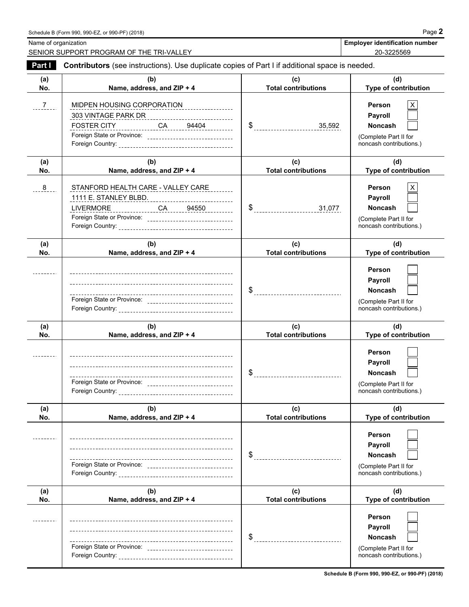Name of organization **Employer identification number Employer identification number** 

SENIOR SUPPORT PROGRAM OF THE TRI-VALLEY 20-3225569

| Part I        | Contributors (see instructions). Use duplicate copies of Part I if additional space is needed.                                                |                                   |                                                                                                       |  |  |  |  |  |
|---------------|-----------------------------------------------------------------------------------------------------------------------------------------------|-----------------------------------|-------------------------------------------------------------------------------------------------------|--|--|--|--|--|
| (a)<br>No.    | (b)<br>Name, address, and ZIP + 4                                                                                                             | (c)<br><b>Total contributions</b> | (d)<br>Type of contribution                                                                           |  |  |  |  |  |
| $\frac{7}{2}$ | MIDPEN HOUSING CORPORATION<br>FOSTER CITY _____________ CA _____ 94404 ________<br>Foreign State or Province: _______________________________ |                                   | <b>Person</b><br>Χ<br>Payroll<br><b>Noncash</b><br>(Complete Part II for<br>noncash contributions.)   |  |  |  |  |  |
| (a)<br>No.    | (b)<br>Name, address, and ZIP + 4                                                                                                             | (c)<br><b>Total contributions</b> | (d)<br>Type of contribution                                                                           |  |  |  |  |  |
| 8             | STANFORD HEALTH CARE - VALLEY CARE                                                                                                            |                                   | <b>Person</b><br>X<br>Payroll<br><b>Noncash</b><br>(Complete Part II for<br>noncash contributions.)   |  |  |  |  |  |
| (a)<br>No.    | (b)<br>Name, address, and ZIP + 4                                                                                                             | (c)<br><b>Total contributions</b> | (d)<br><b>Type of contribution</b>                                                                    |  |  |  |  |  |
|               | ---<br>Foreign State or Province: _______________________________                                                                             |                                   | Person<br>Payroll<br><b>Noncash</b><br>(Complete Part II for<br>noncash contributions.)               |  |  |  |  |  |
| (a)<br>No.    | (b)<br>Name, address, and ZIP + 4                                                                                                             | (c)<br><b>Total contributions</b> | (d)<br>Type of contribution                                                                           |  |  |  |  |  |
|               | Foreign State or Province: _______________________________                                                                                    |                                   | Person<br>Payroll<br><b>Noncash</b><br>(Complete Part II for<br>noncash contributions.)               |  |  |  |  |  |
| (a)<br>No.    | (b)<br>Name, address, and ZIP + 4                                                                                                             | (c)<br><b>Total contributions</b> | (d)<br>Type of contribution                                                                           |  |  |  |  |  |
|               | ----------------------------------<br>Foreign State or Province: _________________________________                                            | \$                                | Person<br>Payroll<br><b>Noncash</b><br>(Complete Part II for<br>noncash contributions.)               |  |  |  |  |  |
| (a)<br>No.    | (b)<br>Name, address, and ZIP + 4                                                                                                             | (c)<br><b>Total contributions</b> | (d)<br>Type of contribution                                                                           |  |  |  |  |  |
|               | ---------------------------------                                                                                                             | S                                 | <b>Person</b><br><b>Payroll</b><br><b>Noncash</b><br>(Complete Part II for<br>noncash contributions.) |  |  |  |  |  |

**Schedule B (Form 990, 990-EZ, or 990-PF) (2018)**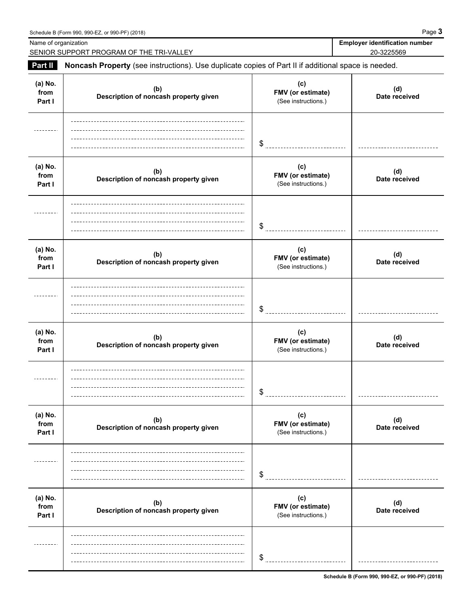| Schedule B (Form 990, 990-EZ, or 990-PF) (2018) | Page |
|-------------------------------------------------|------|
|                                                 |      |

| Name of organization      | SENIOR SUPPORT PROGRAM OF THE TRI-VALLEY                                                            |                                                 | <b>Employer identification number</b><br>20-3225569 |
|---------------------------|-----------------------------------------------------------------------------------------------------|-------------------------------------------------|-----------------------------------------------------|
| Part II                   | Noncash Property (see instructions). Use duplicate copies of Part II if additional space is needed. |                                                 |                                                     |
| (a) No.<br>from<br>Part I | (b)<br>Description of noncash property given                                                        | (c)<br>FMV (or estimate)<br>(See instructions.) | (d)<br>Date received                                |
|                           |                                                                                                     | \$                                              |                                                     |
| (a) No.<br>from<br>Part I | (b)<br>Description of noncash property given                                                        | (c)<br>FMV (or estimate)<br>(See instructions.) | (d)<br>Date received                                |
|                           |                                                                                                     | \$                                              |                                                     |
| (a) No.<br>from<br>Part I | (b)<br>Description of noncash property given                                                        | (c)<br>FMV (or estimate)<br>(See instructions.) | (d)<br>Date received                                |
|                           |                                                                                                     | \$                                              |                                                     |
| (a) No.<br>from<br>Part I | (b)<br>Description of noncash property given                                                        | (c)<br>FMV (or estimate)<br>(See instructions.) | (d)<br>Date received                                |
|                           |                                                                                                     | \$                                              |                                                     |
| (a) No.<br>from<br>Part I | (b)<br>Description of noncash property given                                                        | (c)<br>FMV (or estimate)<br>(See instructions.) | (d)<br>Date received                                |
|                           |                                                                                                     | \$                                              |                                                     |
| (a) No.<br>from<br>Part I | (b)<br>Description of noncash property given                                                        | (c)<br>FMV (or estimate)<br>(See instructions.) | (d)<br>Date received                                |
|                           |                                                                                                     | \$                                              |                                                     |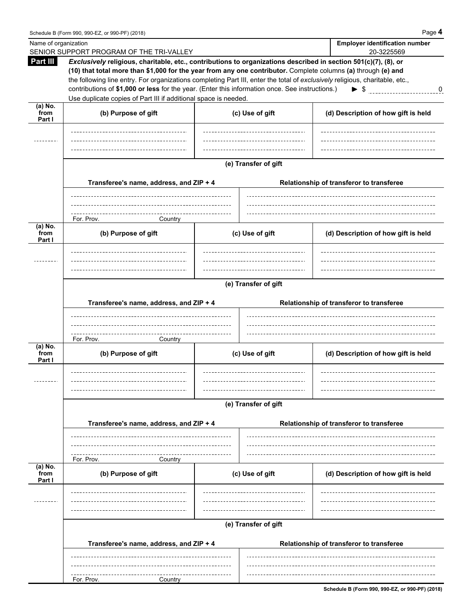| Name of organization        | SENIOR SUPPORT PROGRAM OF THE TRI-VALLEY                                                                                                                                                                                                                                                                                                                                                                                                                                                                                               |                      |                                          | <b>Employer identification number</b><br>20-3225569 |
|-----------------------------|----------------------------------------------------------------------------------------------------------------------------------------------------------------------------------------------------------------------------------------------------------------------------------------------------------------------------------------------------------------------------------------------------------------------------------------------------------------------------------------------------------------------------------------|----------------------|------------------------------------------|-----------------------------------------------------|
| Part III                    | Exclusively religious, charitable, etc., contributions to organizations described in section 501(c)(7), (8), or<br>(10) that total more than \$1,000 for the year from any one contributor. Complete columns (a) through (e) and<br>the following line entry. For organizations completing Part III, enter the total of exclusively religious, charitable, etc.,<br>contributions of \$1,000 or less for the year. (Enter this information once. See instructions.)<br>Use duplicate copies of Part III if additional space is needed. |                      |                                          | $\triangleright$ \$ 0                               |
| $(a)$ No.<br>from<br>Part I | (b) Purpose of gift                                                                                                                                                                                                                                                                                                                                                                                                                                                                                                                    | (c) Use of gift      |                                          | (d) Description of how gift is held                 |
|                             |                                                                                                                                                                                                                                                                                                                                                                                                                                                                                                                                        |                      |                                          |                                                     |
|                             | Transferee's name, address, and ZIP + 4                                                                                                                                                                                                                                                                                                                                                                                                                                                                                                | (e) Transfer of gift |                                          | Relationship of transferor to transferee            |
|                             | For. Prov.<br>Country                                                                                                                                                                                                                                                                                                                                                                                                                                                                                                                  |                      |                                          |                                                     |
| $(a)$ No.<br>from<br>Part I | (b) Purpose of gift                                                                                                                                                                                                                                                                                                                                                                                                                                                                                                                    | (c) Use of gift      |                                          | (d) Description of how gift is held                 |
|                             | Transferee's name, address, and ZIP + 4                                                                                                                                                                                                                                                                                                                                                                                                                                                                                                | (e) Transfer of gift |                                          | Relationship of transferor to transferee            |
|                             | For. Prov.<br>Country                                                                                                                                                                                                                                                                                                                                                                                                                                                                                                                  |                      |                                          |                                                     |
| (a) No.<br>from<br>Part I   | (b) Purpose of gift                                                                                                                                                                                                                                                                                                                                                                                                                                                                                                                    | (c) Use of gift      |                                          | (d) Description of how gift is held                 |
|                             | Transferee's name, address, and ZIP + 4                                                                                                                                                                                                                                                                                                                                                                                                                                                                                                | (e) Transfer of gift |                                          | Relationship of transferor to transferee            |
|                             | For. Prov.<br>Country                                                                                                                                                                                                                                                                                                                                                                                                                                                                                                                  |                      |                                          |                                                     |
| (a) No.<br>from<br>Part I   | (b) Purpose of gift                                                                                                                                                                                                                                                                                                                                                                                                                                                                                                                    | (c) Use of gift      |                                          | (d) Description of how gift is held                 |
|                             |                                                                                                                                                                                                                                                                                                                                                                                                                                                                                                                                        |                      |                                          |                                                     |
|                             | Transferee's name, address, and ZIP + 4                                                                                                                                                                                                                                                                                                                                                                                                                                                                                                | (e) Transfer of gift | Relationship of transferor to transferee |                                                     |
|                             | For. Prov.<br>Country                                                                                                                                                                                                                                                                                                                                                                                                                                                                                                                  |                      |                                          |                                                     |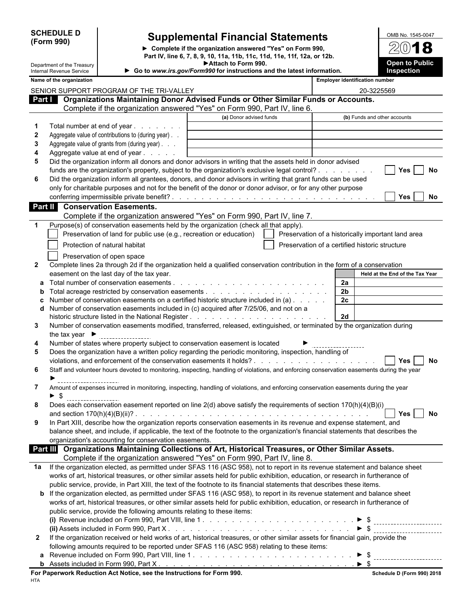| <b>SCHEDULE D</b> |  |
|-------------------|--|
| (Form 990)        |  |

 $\overline{\phantom{a}}$ 

I

Department of the Treasury

## **E Supplemental Financial Statements**

**Complete if the organization answered "Yes" on Form 990, Part IV, line 6, 7, 8, 9, 10, 11a, 11b, 11c, 11d, 11e, 11f, 12a, or 12b. Attach to Form 990.**

| OMB No. 1545-0047     |
|-----------------------|
| $2(0)$ <b>18</b>      |
| <b>Open to Public</b> |
| Inspection            |

| Name of the organization<br><b>Employer identification number</b><br>SENIOR SUPPORT PROGRAM OF THE TRI-VALLEY<br>20-3225569<br>Part   Organizations Maintaining Donor Advised Funds or Other Similar Funds or Accounts.<br>Complete if the organization answered "Yes" on Form 990, Part IV, line 6.<br>(a) Donor advised funds<br>(b) Funds and other accounts<br>Total number at end of year<br>1<br>$\mathbf{2}$<br>Aggregate value of contributions to (during year).<br>Aggregate value of grants from (during year)<br>3<br>Aggregate value at end of year<br>4<br>Did the organization inform all donors and donor advisors in writing that the assets held in donor advised<br>5<br>funds are the organization's property, subject to the organization's exclusive legal control?<br><b>Yes</b><br>No<br>Did the organization inform all grantees, donors, and donor advisors in writing that grant funds can be used<br>6<br>only for charitable purposes and not for the benefit of the donor or donor advisor, or for any other purpose<br>Yes<br><b>Conservation Easements.</b><br>Part II<br>Complete if the organization answered "Yes" on Form 990, Part IV, line 7.<br>Purpose(s) of conservation easements held by the organization (check all that apply).<br>-1<br>Preservation of land for public use (e.g., recreation or education)<br>Preservation of a historically important land area<br>Protection of natural habitat<br>Preservation of a certified historic structure<br>Preservation of open space<br>Complete lines 2a through 2d if the organization held a qualified conservation contribution in the form of a conservation<br>$\mathbf{2}$<br>easement on the last day of the tax year.<br>Held at the End of the Tax Year<br>Total number of conservation easements.<br>2a<br>a<br>2 <sub>b</sub><br>b<br>2 <sub>c</sub><br>Number of conservation easements on a certified historic structure included in (a)<br>Number of conservation easements included in (c) acquired after 7/25/06, and not on a<br>d<br>2d<br>Number of conservation easements modified, transferred, released, extinguished, or terminated by the organization during<br>3<br>the tax year $\blacktriangleright$<br>Number of states where property subject to conservation easement is located<br>4<br>Does the organization have a written policy regarding the periodic monitoring, inspection, handling of<br>5<br><b>No</b><br>Yes<br>6<br>Staff and volunteer hours devoted to monitoring, inspecting, handling of violations, and enforcing conservation easements during the year<br>Amount of expenses incurred in monitoring, inspecting, handling of violations, and enforcing conservation easements during the year<br>7<br>-\$<br>Does each conservation easement reported on line 2(d) above satisfy the requirements of section 170(h)(4)(B)(i)<br>8<br>In Part XIII, describe how the organization reports conservation easements in its revenue and expense statement, and<br>9<br>balance sheet, and include, if applicable, the text of the footnote to the organization's financial statements that describes the<br>organization's accounting for conservation easements.<br>Part III Organizations Maintaining Collections of Art, Historical Treasures, or Other Similar Assets.<br>Complete if the organization answered "Yes" on Form 990, Part IV, line 8.<br>If the organization elected, as permitted under SFAS 116 (ASC 958), not to report in its revenue statement and balance sheet<br>1a<br>works of art, historical treasures, or other similar assets held for public exhibition, education, or research in furtherance of<br>public service, provide, in Part XIII, the text of the footnote to its financial statements that describes these items.<br><b>b</b> If the organization elected, as permitted under SFAS 116 (ASC 958), to report in its revenue statement and balance sheet<br>works of art, historical treasures, or other similar assets held for public exhibition, education, or research in furtherance of<br>public service, provide the following amounts relating to these items:<br>$\triangleright$ S<br>If the organization received or held works of art, historical treasures, or other similar assets for financial gain, provide the<br>$\mathbf{2}$<br>following amounts required to be reported under SFAS 116 (ASC 958) relating to these items:<br>a | Internal Revenue Service | Go to www.irs.gov/Form990 for instructions and the latest information. |  |  | Inspection |  |
|------------------------------------------------------------------------------------------------------------------------------------------------------------------------------------------------------------------------------------------------------------------------------------------------------------------------------------------------------------------------------------------------------------------------------------------------------------------------------------------------------------------------------------------------------------------------------------------------------------------------------------------------------------------------------------------------------------------------------------------------------------------------------------------------------------------------------------------------------------------------------------------------------------------------------------------------------------------------------------------------------------------------------------------------------------------------------------------------------------------------------------------------------------------------------------------------------------------------------------------------------------------------------------------------------------------------------------------------------------------------------------------------------------------------------------------------------------------------------------------------------------------------------------------------------------------------------------------------------------------------------------------------------------------------------------------------------------------------------------------------------------------------------------------------------------------------------------------------------------------------------------------------------------------------------------------------------------------------------------------------------------------------------------------------------------------------------------------------------------------------------------------------------------------------------------------------------------------------------------------------------------------------------------------------------------------------------------------------------------------------------------------------------------------------------------------------------------------------------------------------------------------------------------------------------------------------------------------------------------------------------------------------------------------------------------------------------------------------------------------------------------------------------------------------------------------------------------------------------------------------------------------------------------------------------------------------------------------------------------------------------------------------------------------------------------------------------------------------------------------------------------------------------------------------------------------------------------------------------------------------------------------------------------------------------------------------------------------------------------------------------------------------------------------------------------------------------------------------------------------------------------------------------------------------------------------------------------------------------------------------------------------------------------------------------------------------------------------------------------------------------------------------------------------------------------------------------------------------------------------------------------------------------------------------------------------------------------------------------------------------------------------------------------------------------------------------------------------------------------------------------------------------------------------------------------------------------------------------------------------------------------------------------------------------------------------------------------------------------------------------------------------------------------------------------------------|--------------------------|------------------------------------------------------------------------|--|--|------------|--|
|                                                                                                                                                                                                                                                                                                                                                                                                                                                                                                                                                                                                                                                                                                                                                                                                                                                                                                                                                                                                                                                                                                                                                                                                                                                                                                                                                                                                                                                                                                                                                                                                                                                                                                                                                                                                                                                                                                                                                                                                                                                                                                                                                                                                                                                                                                                                                                                                                                                                                                                                                                                                                                                                                                                                                                                                                                                                                                                                                                                                                                                                                                                                                                                                                                                                                                                                                                                                                                                                                                                                                                                                                                                                                                                                                                                                                                                                                                                                                                                                                                                                                                                                                                                                                                                                                                                                                                                                                                          |                          |                                                                        |  |  |            |  |
|                                                                                                                                                                                                                                                                                                                                                                                                                                                                                                                                                                                                                                                                                                                                                                                                                                                                                                                                                                                                                                                                                                                                                                                                                                                                                                                                                                                                                                                                                                                                                                                                                                                                                                                                                                                                                                                                                                                                                                                                                                                                                                                                                                                                                                                                                                                                                                                                                                                                                                                                                                                                                                                                                                                                                                                                                                                                                                                                                                                                                                                                                                                                                                                                                                                                                                                                                                                                                                                                                                                                                                                                                                                                                                                                                                                                                                                                                                                                                                                                                                                                                                                                                                                                                                                                                                                                                                                                                                          |                          |                                                                        |  |  |            |  |
| No.<br>$\sqrt{1}$ Yes $\Box$ No                                                                                                                                                                                                                                                                                                                                                                                                                                                                                                                                                                                                                                                                                                                                                                                                                                                                                                                                                                                                                                                                                                                                                                                                                                                                                                                                                                                                                                                                                                                                                                                                                                                                                                                                                                                                                                                                                                                                                                                                                                                                                                                                                                                                                                                                                                                                                                                                                                                                                                                                                                                                                                                                                                                                                                                                                                                                                                                                                                                                                                                                                                                                                                                                                                                                                                                                                                                                                                                                                                                                                                                                                                                                                                                                                                                                                                                                                                                                                                                                                                                                                                                                                                                                                                                                                                                                                                                                          |                          |                                                                        |  |  |            |  |
|                                                                                                                                                                                                                                                                                                                                                                                                                                                                                                                                                                                                                                                                                                                                                                                                                                                                                                                                                                                                                                                                                                                                                                                                                                                                                                                                                                                                                                                                                                                                                                                                                                                                                                                                                                                                                                                                                                                                                                                                                                                                                                                                                                                                                                                                                                                                                                                                                                                                                                                                                                                                                                                                                                                                                                                                                                                                                                                                                                                                                                                                                                                                                                                                                                                                                                                                                                                                                                                                                                                                                                                                                                                                                                                                                                                                                                                                                                                                                                                                                                                                                                                                                                                                                                                                                                                                                                                                                                          |                          |                                                                        |  |  |            |  |
|                                                                                                                                                                                                                                                                                                                                                                                                                                                                                                                                                                                                                                                                                                                                                                                                                                                                                                                                                                                                                                                                                                                                                                                                                                                                                                                                                                                                                                                                                                                                                                                                                                                                                                                                                                                                                                                                                                                                                                                                                                                                                                                                                                                                                                                                                                                                                                                                                                                                                                                                                                                                                                                                                                                                                                                                                                                                                                                                                                                                                                                                                                                                                                                                                                                                                                                                                                                                                                                                                                                                                                                                                                                                                                                                                                                                                                                                                                                                                                                                                                                                                                                                                                                                                                                                                                                                                                                                                                          |                          |                                                                        |  |  |            |  |
|                                                                                                                                                                                                                                                                                                                                                                                                                                                                                                                                                                                                                                                                                                                                                                                                                                                                                                                                                                                                                                                                                                                                                                                                                                                                                                                                                                                                                                                                                                                                                                                                                                                                                                                                                                                                                                                                                                                                                                                                                                                                                                                                                                                                                                                                                                                                                                                                                                                                                                                                                                                                                                                                                                                                                                                                                                                                                                                                                                                                                                                                                                                                                                                                                                                                                                                                                                                                                                                                                                                                                                                                                                                                                                                                                                                                                                                                                                                                                                                                                                                                                                                                                                                                                                                                                                                                                                                                                                          |                          |                                                                        |  |  |            |  |
|                                                                                                                                                                                                                                                                                                                                                                                                                                                                                                                                                                                                                                                                                                                                                                                                                                                                                                                                                                                                                                                                                                                                                                                                                                                                                                                                                                                                                                                                                                                                                                                                                                                                                                                                                                                                                                                                                                                                                                                                                                                                                                                                                                                                                                                                                                                                                                                                                                                                                                                                                                                                                                                                                                                                                                                                                                                                                                                                                                                                                                                                                                                                                                                                                                                                                                                                                                                                                                                                                                                                                                                                                                                                                                                                                                                                                                                                                                                                                                                                                                                                                                                                                                                                                                                                                                                                                                                                                                          |                          |                                                                        |  |  |            |  |
|                                                                                                                                                                                                                                                                                                                                                                                                                                                                                                                                                                                                                                                                                                                                                                                                                                                                                                                                                                                                                                                                                                                                                                                                                                                                                                                                                                                                                                                                                                                                                                                                                                                                                                                                                                                                                                                                                                                                                                                                                                                                                                                                                                                                                                                                                                                                                                                                                                                                                                                                                                                                                                                                                                                                                                                                                                                                                                                                                                                                                                                                                                                                                                                                                                                                                                                                                                                                                                                                                                                                                                                                                                                                                                                                                                                                                                                                                                                                                                                                                                                                                                                                                                                                                                                                                                                                                                                                                                          |                          |                                                                        |  |  |            |  |
|                                                                                                                                                                                                                                                                                                                                                                                                                                                                                                                                                                                                                                                                                                                                                                                                                                                                                                                                                                                                                                                                                                                                                                                                                                                                                                                                                                                                                                                                                                                                                                                                                                                                                                                                                                                                                                                                                                                                                                                                                                                                                                                                                                                                                                                                                                                                                                                                                                                                                                                                                                                                                                                                                                                                                                                                                                                                                                                                                                                                                                                                                                                                                                                                                                                                                                                                                                                                                                                                                                                                                                                                                                                                                                                                                                                                                                                                                                                                                                                                                                                                                                                                                                                                                                                                                                                                                                                                                                          |                          |                                                                        |  |  |            |  |
|                                                                                                                                                                                                                                                                                                                                                                                                                                                                                                                                                                                                                                                                                                                                                                                                                                                                                                                                                                                                                                                                                                                                                                                                                                                                                                                                                                                                                                                                                                                                                                                                                                                                                                                                                                                                                                                                                                                                                                                                                                                                                                                                                                                                                                                                                                                                                                                                                                                                                                                                                                                                                                                                                                                                                                                                                                                                                                                                                                                                                                                                                                                                                                                                                                                                                                                                                                                                                                                                                                                                                                                                                                                                                                                                                                                                                                                                                                                                                                                                                                                                                                                                                                                                                                                                                                                                                                                                                                          |                          |                                                                        |  |  |            |  |
|                                                                                                                                                                                                                                                                                                                                                                                                                                                                                                                                                                                                                                                                                                                                                                                                                                                                                                                                                                                                                                                                                                                                                                                                                                                                                                                                                                                                                                                                                                                                                                                                                                                                                                                                                                                                                                                                                                                                                                                                                                                                                                                                                                                                                                                                                                                                                                                                                                                                                                                                                                                                                                                                                                                                                                                                                                                                                                                                                                                                                                                                                                                                                                                                                                                                                                                                                                                                                                                                                                                                                                                                                                                                                                                                                                                                                                                                                                                                                                                                                                                                                                                                                                                                                                                                                                                                                                                                                                          |                          |                                                                        |  |  |            |  |
|                                                                                                                                                                                                                                                                                                                                                                                                                                                                                                                                                                                                                                                                                                                                                                                                                                                                                                                                                                                                                                                                                                                                                                                                                                                                                                                                                                                                                                                                                                                                                                                                                                                                                                                                                                                                                                                                                                                                                                                                                                                                                                                                                                                                                                                                                                                                                                                                                                                                                                                                                                                                                                                                                                                                                                                                                                                                                                                                                                                                                                                                                                                                                                                                                                                                                                                                                                                                                                                                                                                                                                                                                                                                                                                                                                                                                                                                                                                                                                                                                                                                                                                                                                                                                                                                                                                                                                                                                                          |                          |                                                                        |  |  |            |  |
|                                                                                                                                                                                                                                                                                                                                                                                                                                                                                                                                                                                                                                                                                                                                                                                                                                                                                                                                                                                                                                                                                                                                                                                                                                                                                                                                                                                                                                                                                                                                                                                                                                                                                                                                                                                                                                                                                                                                                                                                                                                                                                                                                                                                                                                                                                                                                                                                                                                                                                                                                                                                                                                                                                                                                                                                                                                                                                                                                                                                                                                                                                                                                                                                                                                                                                                                                                                                                                                                                                                                                                                                                                                                                                                                                                                                                                                                                                                                                                                                                                                                                                                                                                                                                                                                                                                                                                                                                                          |                          |                                                                        |  |  |            |  |
|                                                                                                                                                                                                                                                                                                                                                                                                                                                                                                                                                                                                                                                                                                                                                                                                                                                                                                                                                                                                                                                                                                                                                                                                                                                                                                                                                                                                                                                                                                                                                                                                                                                                                                                                                                                                                                                                                                                                                                                                                                                                                                                                                                                                                                                                                                                                                                                                                                                                                                                                                                                                                                                                                                                                                                                                                                                                                                                                                                                                                                                                                                                                                                                                                                                                                                                                                                                                                                                                                                                                                                                                                                                                                                                                                                                                                                                                                                                                                                                                                                                                                                                                                                                                                                                                                                                                                                                                                                          |                          |                                                                        |  |  |            |  |
|                                                                                                                                                                                                                                                                                                                                                                                                                                                                                                                                                                                                                                                                                                                                                                                                                                                                                                                                                                                                                                                                                                                                                                                                                                                                                                                                                                                                                                                                                                                                                                                                                                                                                                                                                                                                                                                                                                                                                                                                                                                                                                                                                                                                                                                                                                                                                                                                                                                                                                                                                                                                                                                                                                                                                                                                                                                                                                                                                                                                                                                                                                                                                                                                                                                                                                                                                                                                                                                                                                                                                                                                                                                                                                                                                                                                                                                                                                                                                                                                                                                                                                                                                                                                                                                                                                                                                                                                                                          |                          |                                                                        |  |  |            |  |
|                                                                                                                                                                                                                                                                                                                                                                                                                                                                                                                                                                                                                                                                                                                                                                                                                                                                                                                                                                                                                                                                                                                                                                                                                                                                                                                                                                                                                                                                                                                                                                                                                                                                                                                                                                                                                                                                                                                                                                                                                                                                                                                                                                                                                                                                                                                                                                                                                                                                                                                                                                                                                                                                                                                                                                                                                                                                                                                                                                                                                                                                                                                                                                                                                                                                                                                                                                                                                                                                                                                                                                                                                                                                                                                                                                                                                                                                                                                                                                                                                                                                                                                                                                                                                                                                                                                                                                                                                                          |                          |                                                                        |  |  |            |  |
|                                                                                                                                                                                                                                                                                                                                                                                                                                                                                                                                                                                                                                                                                                                                                                                                                                                                                                                                                                                                                                                                                                                                                                                                                                                                                                                                                                                                                                                                                                                                                                                                                                                                                                                                                                                                                                                                                                                                                                                                                                                                                                                                                                                                                                                                                                                                                                                                                                                                                                                                                                                                                                                                                                                                                                                                                                                                                                                                                                                                                                                                                                                                                                                                                                                                                                                                                                                                                                                                                                                                                                                                                                                                                                                                                                                                                                                                                                                                                                                                                                                                                                                                                                                                                                                                                                                                                                                                                                          |                          |                                                                        |  |  |            |  |
|                                                                                                                                                                                                                                                                                                                                                                                                                                                                                                                                                                                                                                                                                                                                                                                                                                                                                                                                                                                                                                                                                                                                                                                                                                                                                                                                                                                                                                                                                                                                                                                                                                                                                                                                                                                                                                                                                                                                                                                                                                                                                                                                                                                                                                                                                                                                                                                                                                                                                                                                                                                                                                                                                                                                                                                                                                                                                                                                                                                                                                                                                                                                                                                                                                                                                                                                                                                                                                                                                                                                                                                                                                                                                                                                                                                                                                                                                                                                                                                                                                                                                                                                                                                                                                                                                                                                                                                                                                          |                          |                                                                        |  |  |            |  |
|                                                                                                                                                                                                                                                                                                                                                                                                                                                                                                                                                                                                                                                                                                                                                                                                                                                                                                                                                                                                                                                                                                                                                                                                                                                                                                                                                                                                                                                                                                                                                                                                                                                                                                                                                                                                                                                                                                                                                                                                                                                                                                                                                                                                                                                                                                                                                                                                                                                                                                                                                                                                                                                                                                                                                                                                                                                                                                                                                                                                                                                                                                                                                                                                                                                                                                                                                                                                                                                                                                                                                                                                                                                                                                                                                                                                                                                                                                                                                                                                                                                                                                                                                                                                                                                                                                                                                                                                                                          |                          |                                                                        |  |  |            |  |
|                                                                                                                                                                                                                                                                                                                                                                                                                                                                                                                                                                                                                                                                                                                                                                                                                                                                                                                                                                                                                                                                                                                                                                                                                                                                                                                                                                                                                                                                                                                                                                                                                                                                                                                                                                                                                                                                                                                                                                                                                                                                                                                                                                                                                                                                                                                                                                                                                                                                                                                                                                                                                                                                                                                                                                                                                                                                                                                                                                                                                                                                                                                                                                                                                                                                                                                                                                                                                                                                                                                                                                                                                                                                                                                                                                                                                                                                                                                                                                                                                                                                                                                                                                                                                                                                                                                                                                                                                                          |                          |                                                                        |  |  |            |  |
|                                                                                                                                                                                                                                                                                                                                                                                                                                                                                                                                                                                                                                                                                                                                                                                                                                                                                                                                                                                                                                                                                                                                                                                                                                                                                                                                                                                                                                                                                                                                                                                                                                                                                                                                                                                                                                                                                                                                                                                                                                                                                                                                                                                                                                                                                                                                                                                                                                                                                                                                                                                                                                                                                                                                                                                                                                                                                                                                                                                                                                                                                                                                                                                                                                                                                                                                                                                                                                                                                                                                                                                                                                                                                                                                                                                                                                                                                                                                                                                                                                                                                                                                                                                                                                                                                                                                                                                                                                          |                          |                                                                        |  |  |            |  |
|                                                                                                                                                                                                                                                                                                                                                                                                                                                                                                                                                                                                                                                                                                                                                                                                                                                                                                                                                                                                                                                                                                                                                                                                                                                                                                                                                                                                                                                                                                                                                                                                                                                                                                                                                                                                                                                                                                                                                                                                                                                                                                                                                                                                                                                                                                                                                                                                                                                                                                                                                                                                                                                                                                                                                                                                                                                                                                                                                                                                                                                                                                                                                                                                                                                                                                                                                                                                                                                                                                                                                                                                                                                                                                                                                                                                                                                                                                                                                                                                                                                                                                                                                                                                                                                                                                                                                                                                                                          |                          |                                                                        |  |  |            |  |
|                                                                                                                                                                                                                                                                                                                                                                                                                                                                                                                                                                                                                                                                                                                                                                                                                                                                                                                                                                                                                                                                                                                                                                                                                                                                                                                                                                                                                                                                                                                                                                                                                                                                                                                                                                                                                                                                                                                                                                                                                                                                                                                                                                                                                                                                                                                                                                                                                                                                                                                                                                                                                                                                                                                                                                                                                                                                                                                                                                                                                                                                                                                                                                                                                                                                                                                                                                                                                                                                                                                                                                                                                                                                                                                                                                                                                                                                                                                                                                                                                                                                                                                                                                                                                                                                                                                                                                                                                                          |                          |                                                                        |  |  |            |  |
|                                                                                                                                                                                                                                                                                                                                                                                                                                                                                                                                                                                                                                                                                                                                                                                                                                                                                                                                                                                                                                                                                                                                                                                                                                                                                                                                                                                                                                                                                                                                                                                                                                                                                                                                                                                                                                                                                                                                                                                                                                                                                                                                                                                                                                                                                                                                                                                                                                                                                                                                                                                                                                                                                                                                                                                                                                                                                                                                                                                                                                                                                                                                                                                                                                                                                                                                                                                                                                                                                                                                                                                                                                                                                                                                                                                                                                                                                                                                                                                                                                                                                                                                                                                                                                                                                                                                                                                                                                          |                          |                                                                        |  |  |            |  |
|                                                                                                                                                                                                                                                                                                                                                                                                                                                                                                                                                                                                                                                                                                                                                                                                                                                                                                                                                                                                                                                                                                                                                                                                                                                                                                                                                                                                                                                                                                                                                                                                                                                                                                                                                                                                                                                                                                                                                                                                                                                                                                                                                                                                                                                                                                                                                                                                                                                                                                                                                                                                                                                                                                                                                                                                                                                                                                                                                                                                                                                                                                                                                                                                                                                                                                                                                                                                                                                                                                                                                                                                                                                                                                                                                                                                                                                                                                                                                                                                                                                                                                                                                                                                                                                                                                                                                                                                                                          |                          |                                                                        |  |  |            |  |
|                                                                                                                                                                                                                                                                                                                                                                                                                                                                                                                                                                                                                                                                                                                                                                                                                                                                                                                                                                                                                                                                                                                                                                                                                                                                                                                                                                                                                                                                                                                                                                                                                                                                                                                                                                                                                                                                                                                                                                                                                                                                                                                                                                                                                                                                                                                                                                                                                                                                                                                                                                                                                                                                                                                                                                                                                                                                                                                                                                                                                                                                                                                                                                                                                                                                                                                                                                                                                                                                                                                                                                                                                                                                                                                                                                                                                                                                                                                                                                                                                                                                                                                                                                                                                                                                                                                                                                                                                                          |                          |                                                                        |  |  |            |  |
|                                                                                                                                                                                                                                                                                                                                                                                                                                                                                                                                                                                                                                                                                                                                                                                                                                                                                                                                                                                                                                                                                                                                                                                                                                                                                                                                                                                                                                                                                                                                                                                                                                                                                                                                                                                                                                                                                                                                                                                                                                                                                                                                                                                                                                                                                                                                                                                                                                                                                                                                                                                                                                                                                                                                                                                                                                                                                                                                                                                                                                                                                                                                                                                                                                                                                                                                                                                                                                                                                                                                                                                                                                                                                                                                                                                                                                                                                                                                                                                                                                                                                                                                                                                                                                                                                                                                                                                                                                          |                          |                                                                        |  |  |            |  |
|                                                                                                                                                                                                                                                                                                                                                                                                                                                                                                                                                                                                                                                                                                                                                                                                                                                                                                                                                                                                                                                                                                                                                                                                                                                                                                                                                                                                                                                                                                                                                                                                                                                                                                                                                                                                                                                                                                                                                                                                                                                                                                                                                                                                                                                                                                                                                                                                                                                                                                                                                                                                                                                                                                                                                                                                                                                                                                                                                                                                                                                                                                                                                                                                                                                                                                                                                                                                                                                                                                                                                                                                                                                                                                                                                                                                                                                                                                                                                                                                                                                                                                                                                                                                                                                                                                                                                                                                                                          |                          |                                                                        |  |  |            |  |
|                                                                                                                                                                                                                                                                                                                                                                                                                                                                                                                                                                                                                                                                                                                                                                                                                                                                                                                                                                                                                                                                                                                                                                                                                                                                                                                                                                                                                                                                                                                                                                                                                                                                                                                                                                                                                                                                                                                                                                                                                                                                                                                                                                                                                                                                                                                                                                                                                                                                                                                                                                                                                                                                                                                                                                                                                                                                                                                                                                                                                                                                                                                                                                                                                                                                                                                                                                                                                                                                                                                                                                                                                                                                                                                                                                                                                                                                                                                                                                                                                                                                                                                                                                                                                                                                                                                                                                                                                                          |                          |                                                                        |  |  |            |  |
|                                                                                                                                                                                                                                                                                                                                                                                                                                                                                                                                                                                                                                                                                                                                                                                                                                                                                                                                                                                                                                                                                                                                                                                                                                                                                                                                                                                                                                                                                                                                                                                                                                                                                                                                                                                                                                                                                                                                                                                                                                                                                                                                                                                                                                                                                                                                                                                                                                                                                                                                                                                                                                                                                                                                                                                                                                                                                                                                                                                                                                                                                                                                                                                                                                                                                                                                                                                                                                                                                                                                                                                                                                                                                                                                                                                                                                                                                                                                                                                                                                                                                                                                                                                                                                                                                                                                                                                                                                          |                          |                                                                        |  |  |            |  |
|                                                                                                                                                                                                                                                                                                                                                                                                                                                                                                                                                                                                                                                                                                                                                                                                                                                                                                                                                                                                                                                                                                                                                                                                                                                                                                                                                                                                                                                                                                                                                                                                                                                                                                                                                                                                                                                                                                                                                                                                                                                                                                                                                                                                                                                                                                                                                                                                                                                                                                                                                                                                                                                                                                                                                                                                                                                                                                                                                                                                                                                                                                                                                                                                                                                                                                                                                                                                                                                                                                                                                                                                                                                                                                                                                                                                                                                                                                                                                                                                                                                                                                                                                                                                                                                                                                                                                                                                                                          |                          |                                                                        |  |  |            |  |
|                                                                                                                                                                                                                                                                                                                                                                                                                                                                                                                                                                                                                                                                                                                                                                                                                                                                                                                                                                                                                                                                                                                                                                                                                                                                                                                                                                                                                                                                                                                                                                                                                                                                                                                                                                                                                                                                                                                                                                                                                                                                                                                                                                                                                                                                                                                                                                                                                                                                                                                                                                                                                                                                                                                                                                                                                                                                                                                                                                                                                                                                                                                                                                                                                                                                                                                                                                                                                                                                                                                                                                                                                                                                                                                                                                                                                                                                                                                                                                                                                                                                                                                                                                                                                                                                                                                                                                                                                                          |                          |                                                                        |  |  |            |  |
|                                                                                                                                                                                                                                                                                                                                                                                                                                                                                                                                                                                                                                                                                                                                                                                                                                                                                                                                                                                                                                                                                                                                                                                                                                                                                                                                                                                                                                                                                                                                                                                                                                                                                                                                                                                                                                                                                                                                                                                                                                                                                                                                                                                                                                                                                                                                                                                                                                                                                                                                                                                                                                                                                                                                                                                                                                                                                                                                                                                                                                                                                                                                                                                                                                                                                                                                                                                                                                                                                                                                                                                                                                                                                                                                                                                                                                                                                                                                                                                                                                                                                                                                                                                                                                                                                                                                                                                                                                          |                          |                                                                        |  |  |            |  |
|                                                                                                                                                                                                                                                                                                                                                                                                                                                                                                                                                                                                                                                                                                                                                                                                                                                                                                                                                                                                                                                                                                                                                                                                                                                                                                                                                                                                                                                                                                                                                                                                                                                                                                                                                                                                                                                                                                                                                                                                                                                                                                                                                                                                                                                                                                                                                                                                                                                                                                                                                                                                                                                                                                                                                                                                                                                                                                                                                                                                                                                                                                                                                                                                                                                                                                                                                                                                                                                                                                                                                                                                                                                                                                                                                                                                                                                                                                                                                                                                                                                                                                                                                                                                                                                                                                                                                                                                                                          |                          |                                                                        |  |  |            |  |
|                                                                                                                                                                                                                                                                                                                                                                                                                                                                                                                                                                                                                                                                                                                                                                                                                                                                                                                                                                                                                                                                                                                                                                                                                                                                                                                                                                                                                                                                                                                                                                                                                                                                                                                                                                                                                                                                                                                                                                                                                                                                                                                                                                                                                                                                                                                                                                                                                                                                                                                                                                                                                                                                                                                                                                                                                                                                                                                                                                                                                                                                                                                                                                                                                                                                                                                                                                                                                                                                                                                                                                                                                                                                                                                                                                                                                                                                                                                                                                                                                                                                                                                                                                                                                                                                                                                                                                                                                                          |                          |                                                                        |  |  |            |  |
|                                                                                                                                                                                                                                                                                                                                                                                                                                                                                                                                                                                                                                                                                                                                                                                                                                                                                                                                                                                                                                                                                                                                                                                                                                                                                                                                                                                                                                                                                                                                                                                                                                                                                                                                                                                                                                                                                                                                                                                                                                                                                                                                                                                                                                                                                                                                                                                                                                                                                                                                                                                                                                                                                                                                                                                                                                                                                                                                                                                                                                                                                                                                                                                                                                                                                                                                                                                                                                                                                                                                                                                                                                                                                                                                                                                                                                                                                                                                                                                                                                                                                                                                                                                                                                                                                                                                                                                                                                          |                          |                                                                        |  |  |            |  |
|                                                                                                                                                                                                                                                                                                                                                                                                                                                                                                                                                                                                                                                                                                                                                                                                                                                                                                                                                                                                                                                                                                                                                                                                                                                                                                                                                                                                                                                                                                                                                                                                                                                                                                                                                                                                                                                                                                                                                                                                                                                                                                                                                                                                                                                                                                                                                                                                                                                                                                                                                                                                                                                                                                                                                                                                                                                                                                                                                                                                                                                                                                                                                                                                                                                                                                                                                                                                                                                                                                                                                                                                                                                                                                                                                                                                                                                                                                                                                                                                                                                                                                                                                                                                                                                                                                                                                                                                                                          |                          |                                                                        |  |  |            |  |
|                                                                                                                                                                                                                                                                                                                                                                                                                                                                                                                                                                                                                                                                                                                                                                                                                                                                                                                                                                                                                                                                                                                                                                                                                                                                                                                                                                                                                                                                                                                                                                                                                                                                                                                                                                                                                                                                                                                                                                                                                                                                                                                                                                                                                                                                                                                                                                                                                                                                                                                                                                                                                                                                                                                                                                                                                                                                                                                                                                                                                                                                                                                                                                                                                                                                                                                                                                                                                                                                                                                                                                                                                                                                                                                                                                                                                                                                                                                                                                                                                                                                                                                                                                                                                                                                                                                                                                                                                                          |                          |                                                                        |  |  |            |  |
|                                                                                                                                                                                                                                                                                                                                                                                                                                                                                                                                                                                                                                                                                                                                                                                                                                                                                                                                                                                                                                                                                                                                                                                                                                                                                                                                                                                                                                                                                                                                                                                                                                                                                                                                                                                                                                                                                                                                                                                                                                                                                                                                                                                                                                                                                                                                                                                                                                                                                                                                                                                                                                                                                                                                                                                                                                                                                                                                                                                                                                                                                                                                                                                                                                                                                                                                                                                                                                                                                                                                                                                                                                                                                                                                                                                                                                                                                                                                                                                                                                                                                                                                                                                                                                                                                                                                                                                                                                          |                          |                                                                        |  |  |            |  |
|                                                                                                                                                                                                                                                                                                                                                                                                                                                                                                                                                                                                                                                                                                                                                                                                                                                                                                                                                                                                                                                                                                                                                                                                                                                                                                                                                                                                                                                                                                                                                                                                                                                                                                                                                                                                                                                                                                                                                                                                                                                                                                                                                                                                                                                                                                                                                                                                                                                                                                                                                                                                                                                                                                                                                                                                                                                                                                                                                                                                                                                                                                                                                                                                                                                                                                                                                                                                                                                                                                                                                                                                                                                                                                                                                                                                                                                                                                                                                                                                                                                                                                                                                                                                                                                                                                                                                                                                                                          |                          |                                                                        |  |  |            |  |
|                                                                                                                                                                                                                                                                                                                                                                                                                                                                                                                                                                                                                                                                                                                                                                                                                                                                                                                                                                                                                                                                                                                                                                                                                                                                                                                                                                                                                                                                                                                                                                                                                                                                                                                                                                                                                                                                                                                                                                                                                                                                                                                                                                                                                                                                                                                                                                                                                                                                                                                                                                                                                                                                                                                                                                                                                                                                                                                                                                                                                                                                                                                                                                                                                                                                                                                                                                                                                                                                                                                                                                                                                                                                                                                                                                                                                                                                                                                                                                                                                                                                                                                                                                                                                                                                                                                                                                                                                                          |                          |                                                                        |  |  |            |  |
|                                                                                                                                                                                                                                                                                                                                                                                                                                                                                                                                                                                                                                                                                                                                                                                                                                                                                                                                                                                                                                                                                                                                                                                                                                                                                                                                                                                                                                                                                                                                                                                                                                                                                                                                                                                                                                                                                                                                                                                                                                                                                                                                                                                                                                                                                                                                                                                                                                                                                                                                                                                                                                                                                                                                                                                                                                                                                                                                                                                                                                                                                                                                                                                                                                                                                                                                                                                                                                                                                                                                                                                                                                                                                                                                                                                                                                                                                                                                                                                                                                                                                                                                                                                                                                                                                                                                                                                                                                          |                          |                                                                        |  |  |            |  |
|                                                                                                                                                                                                                                                                                                                                                                                                                                                                                                                                                                                                                                                                                                                                                                                                                                                                                                                                                                                                                                                                                                                                                                                                                                                                                                                                                                                                                                                                                                                                                                                                                                                                                                                                                                                                                                                                                                                                                                                                                                                                                                                                                                                                                                                                                                                                                                                                                                                                                                                                                                                                                                                                                                                                                                                                                                                                                                                                                                                                                                                                                                                                                                                                                                                                                                                                                                                                                                                                                                                                                                                                                                                                                                                                                                                                                                                                                                                                                                                                                                                                                                                                                                                                                                                                                                                                                                                                                                          |                          |                                                                        |  |  |            |  |
|                                                                                                                                                                                                                                                                                                                                                                                                                                                                                                                                                                                                                                                                                                                                                                                                                                                                                                                                                                                                                                                                                                                                                                                                                                                                                                                                                                                                                                                                                                                                                                                                                                                                                                                                                                                                                                                                                                                                                                                                                                                                                                                                                                                                                                                                                                                                                                                                                                                                                                                                                                                                                                                                                                                                                                                                                                                                                                                                                                                                                                                                                                                                                                                                                                                                                                                                                                                                                                                                                                                                                                                                                                                                                                                                                                                                                                                                                                                                                                                                                                                                                                                                                                                                                                                                                                                                                                                                                                          |                          |                                                                        |  |  |            |  |
|                                                                                                                                                                                                                                                                                                                                                                                                                                                                                                                                                                                                                                                                                                                                                                                                                                                                                                                                                                                                                                                                                                                                                                                                                                                                                                                                                                                                                                                                                                                                                                                                                                                                                                                                                                                                                                                                                                                                                                                                                                                                                                                                                                                                                                                                                                                                                                                                                                                                                                                                                                                                                                                                                                                                                                                                                                                                                                                                                                                                                                                                                                                                                                                                                                                                                                                                                                                                                                                                                                                                                                                                                                                                                                                                                                                                                                                                                                                                                                                                                                                                                                                                                                                                                                                                                                                                                                                                                                          |                          |                                                                        |  |  |            |  |
|                                                                                                                                                                                                                                                                                                                                                                                                                                                                                                                                                                                                                                                                                                                                                                                                                                                                                                                                                                                                                                                                                                                                                                                                                                                                                                                                                                                                                                                                                                                                                                                                                                                                                                                                                                                                                                                                                                                                                                                                                                                                                                                                                                                                                                                                                                                                                                                                                                                                                                                                                                                                                                                                                                                                                                                                                                                                                                                                                                                                                                                                                                                                                                                                                                                                                                                                                                                                                                                                                                                                                                                                                                                                                                                                                                                                                                                                                                                                                                                                                                                                                                                                                                                                                                                                                                                                                                                                                                          |                          |                                                                        |  |  |            |  |
|                                                                                                                                                                                                                                                                                                                                                                                                                                                                                                                                                                                                                                                                                                                                                                                                                                                                                                                                                                                                                                                                                                                                                                                                                                                                                                                                                                                                                                                                                                                                                                                                                                                                                                                                                                                                                                                                                                                                                                                                                                                                                                                                                                                                                                                                                                                                                                                                                                                                                                                                                                                                                                                                                                                                                                                                                                                                                                                                                                                                                                                                                                                                                                                                                                                                                                                                                                                                                                                                                                                                                                                                                                                                                                                                                                                                                                                                                                                                                                                                                                                                                                                                                                                                                                                                                                                                                                                                                                          |                          |                                                                        |  |  |            |  |
|                                                                                                                                                                                                                                                                                                                                                                                                                                                                                                                                                                                                                                                                                                                                                                                                                                                                                                                                                                                                                                                                                                                                                                                                                                                                                                                                                                                                                                                                                                                                                                                                                                                                                                                                                                                                                                                                                                                                                                                                                                                                                                                                                                                                                                                                                                                                                                                                                                                                                                                                                                                                                                                                                                                                                                                                                                                                                                                                                                                                                                                                                                                                                                                                                                                                                                                                                                                                                                                                                                                                                                                                                                                                                                                                                                                                                                                                                                                                                                                                                                                                                                                                                                                                                                                                                                                                                                                                                                          |                          |                                                                        |  |  |            |  |
|                                                                                                                                                                                                                                                                                                                                                                                                                                                                                                                                                                                                                                                                                                                                                                                                                                                                                                                                                                                                                                                                                                                                                                                                                                                                                                                                                                                                                                                                                                                                                                                                                                                                                                                                                                                                                                                                                                                                                                                                                                                                                                                                                                                                                                                                                                                                                                                                                                                                                                                                                                                                                                                                                                                                                                                                                                                                                                                                                                                                                                                                                                                                                                                                                                                                                                                                                                                                                                                                                                                                                                                                                                                                                                                                                                                                                                                                                                                                                                                                                                                                                                                                                                                                                                                                                                                                                                                                                                          |                          |                                                                        |  |  |            |  |
|                                                                                                                                                                                                                                                                                                                                                                                                                                                                                                                                                                                                                                                                                                                                                                                                                                                                                                                                                                                                                                                                                                                                                                                                                                                                                                                                                                                                                                                                                                                                                                                                                                                                                                                                                                                                                                                                                                                                                                                                                                                                                                                                                                                                                                                                                                                                                                                                                                                                                                                                                                                                                                                                                                                                                                                                                                                                                                                                                                                                                                                                                                                                                                                                                                                                                                                                                                                                                                                                                                                                                                                                                                                                                                                                                                                                                                                                                                                                                                                                                                                                                                                                                                                                                                                                                                                                                                                                                                          |                          |                                                                        |  |  |            |  |
|                                                                                                                                                                                                                                                                                                                                                                                                                                                                                                                                                                                                                                                                                                                                                                                                                                                                                                                                                                                                                                                                                                                                                                                                                                                                                                                                                                                                                                                                                                                                                                                                                                                                                                                                                                                                                                                                                                                                                                                                                                                                                                                                                                                                                                                                                                                                                                                                                                                                                                                                                                                                                                                                                                                                                                                                                                                                                                                                                                                                                                                                                                                                                                                                                                                                                                                                                                                                                                                                                                                                                                                                                                                                                                                                                                                                                                                                                                                                                                                                                                                                                                                                                                                                                                                                                                                                                                                                                                          |                          |                                                                        |  |  |            |  |
|                                                                                                                                                                                                                                                                                                                                                                                                                                                                                                                                                                                                                                                                                                                                                                                                                                                                                                                                                                                                                                                                                                                                                                                                                                                                                                                                                                                                                                                                                                                                                                                                                                                                                                                                                                                                                                                                                                                                                                                                                                                                                                                                                                                                                                                                                                                                                                                                                                                                                                                                                                                                                                                                                                                                                                                                                                                                                                                                                                                                                                                                                                                                                                                                                                                                                                                                                                                                                                                                                                                                                                                                                                                                                                                                                                                                                                                                                                                                                                                                                                                                                                                                                                                                                                                                                                                                                                                                                                          |                          |                                                                        |  |  |            |  |
|                                                                                                                                                                                                                                                                                                                                                                                                                                                                                                                                                                                                                                                                                                                                                                                                                                                                                                                                                                                                                                                                                                                                                                                                                                                                                                                                                                                                                                                                                                                                                                                                                                                                                                                                                                                                                                                                                                                                                                                                                                                                                                                                                                                                                                                                                                                                                                                                                                                                                                                                                                                                                                                                                                                                                                                                                                                                                                                                                                                                                                                                                                                                                                                                                                                                                                                                                                                                                                                                                                                                                                                                                                                                                                                                                                                                                                                                                                                                                                                                                                                                                                                                                                                                                                                                                                                                                                                                                                          |                          |                                                                        |  |  |            |  |
|                                                                                                                                                                                                                                                                                                                                                                                                                                                                                                                                                                                                                                                                                                                                                                                                                                                                                                                                                                                                                                                                                                                                                                                                                                                                                                                                                                                                                                                                                                                                                                                                                                                                                                                                                                                                                                                                                                                                                                                                                                                                                                                                                                                                                                                                                                                                                                                                                                                                                                                                                                                                                                                                                                                                                                                                                                                                                                                                                                                                                                                                                                                                                                                                                                                                                                                                                                                                                                                                                                                                                                                                                                                                                                                                                                                                                                                                                                                                                                                                                                                                                                                                                                                                                                                                                                                                                                                                                                          |                          |                                                                        |  |  |            |  |
|                                                                                                                                                                                                                                                                                                                                                                                                                                                                                                                                                                                                                                                                                                                                                                                                                                                                                                                                                                                                                                                                                                                                                                                                                                                                                                                                                                                                                                                                                                                                                                                                                                                                                                                                                                                                                                                                                                                                                                                                                                                                                                                                                                                                                                                                                                                                                                                                                                                                                                                                                                                                                                                                                                                                                                                                                                                                                                                                                                                                                                                                                                                                                                                                                                                                                                                                                                                                                                                                                                                                                                                                                                                                                                                                                                                                                                                                                                                                                                                                                                                                                                                                                                                                                                                                                                                                                                                                                                          |                          |                                                                        |  |  |            |  |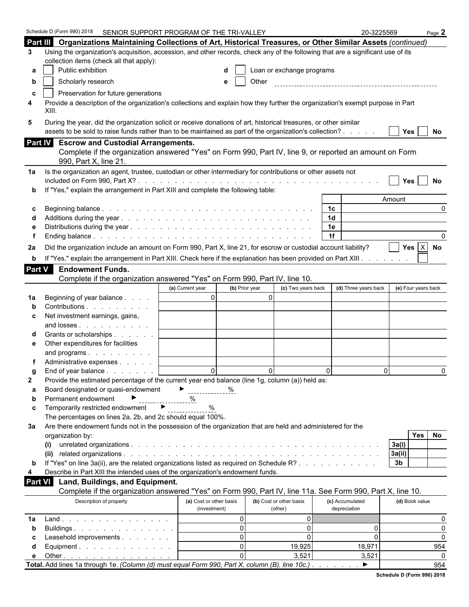|               | Schedule D (Form 990) 2018 SENIOR SUPPORT PROGRAM OF THE TRI-VALLEY                                                                                                     |                                                      |                                |                 | 20-3225569           |                     | Page $2$        |
|---------------|-------------------------------------------------------------------------------------------------------------------------------------------------------------------------|------------------------------------------------------|--------------------------------|-----------------|----------------------|---------------------|-----------------|
|               | Part III Organizations Maintaining Collections of Art, Historical Treasures, or Other Similar Assets (continued)                                                        |                                                      |                                |                 |                      |                     |                 |
| 3             | Using the organization's acquisition, accession, and other records, check any of the following that are a significant use of its                                        |                                                      |                                |                 |                      |                     |                 |
|               | collection items (check all that apply):                                                                                                                                |                                                      |                                |                 |                      |                     |                 |
| а             | Public exhibition                                                                                                                                                       |                                                      | Loan or exchange programs      |                 |                      |                     |                 |
| b             | Scholarly research                                                                                                                                                      | e                                                    | Other                          |                 |                      |                     |                 |
|               | Preservation for future generations                                                                                                                                     |                                                      |                                |                 |                      |                     |                 |
| c<br>4        | Provide a description of the organization's collections and explain how they further the organization's exempt purpose in Part                                          |                                                      |                                |                 |                      |                     |                 |
|               | XIII.                                                                                                                                                                   |                                                      |                                |                 |                      |                     |                 |
| 5             | During the year, did the organization solicit or receive donations of art, historical treasures, or other similar                                                       |                                                      |                                |                 |                      |                     |                 |
|               | assets to be sold to raise funds rather than to be maintained as part of the organization's collection?                                                                 |                                                      |                                |                 |                      | Yes                 | No              |
|               | Part IV Escrow and Custodial Arrangements.                                                                                                                              |                                                      |                                |                 |                      |                     |                 |
|               | Complete if the organization answered "Yes" on Form 990, Part IV, line 9, or reported an amount on Form                                                                 |                                                      |                                |                 |                      |                     |                 |
|               | 990, Part X, line 21.                                                                                                                                                   |                                                      |                                |                 |                      |                     |                 |
|               |                                                                                                                                                                         |                                                      |                                |                 |                      |                     |                 |
| 1a            | Is the organization an agent, trustee, custodian or other intermediary for contributions or other assets not                                                            |                                                      |                                |                 |                      |                     |                 |
|               | If "Yes," explain the arrangement in Part XIII and complete the following table:                                                                                        |                                                      |                                |                 |                      | Yes                 | No              |
|               |                                                                                                                                                                         |                                                      |                                |                 |                      | Amount              |                 |
| С             |                                                                                                                                                                         |                                                      |                                | 1 <sup>c</sup>  |                      |                     | $\Omega$        |
|               |                                                                                                                                                                         |                                                      |                                | 1 <sub>d</sub>  |                      |                     |                 |
|               |                                                                                                                                                                         |                                                      |                                | 1e              |                      |                     |                 |
|               |                                                                                                                                                                         |                                                      |                                | 1f              |                      |                     |                 |
| 2a            | Did the organization include an amount on Form 990, Part X, line 21, for escrow or custodial account liability?                                                         |                                                      |                                |                 |                      |                     | Yes $X$ No      |
|               | If "Yes," explain the arrangement in Part XIII. Check here if the explanation has been provided on Part XIII.                                                           |                                                      |                                |                 |                      |                     |                 |
| b             |                                                                                                                                                                         |                                                      |                                |                 |                      |                     |                 |
| <b>Part V</b> | <b>Endowment Funds.</b>                                                                                                                                                 |                                                      |                                |                 |                      |                     |                 |
|               | Complete if the organization answered "Yes" on Form 990, Part IV, line 10.                                                                                              |                                                      |                                |                 |                      |                     |                 |
|               |                                                                                                                                                                         | (b) Prior year<br>(a) Current year<br>$\overline{0}$ | (c) Two years back<br>$\Omega$ |                 | (d) Three years back | (e) Four years back |                 |
| 1a            | Beginning of year balance<br>Contributions                                                                                                                              |                                                      |                                |                 |                      |                     |                 |
|               | Net investment earnings, gains,                                                                                                                                         |                                                      |                                |                 |                      |                     |                 |
| c             | and losses                                                                                                                                                              |                                                      |                                |                 |                      |                     |                 |
|               | Grants or scholarships                                                                                                                                                  |                                                      |                                |                 |                      |                     |                 |
| е             | Other expenditures for facilities                                                                                                                                       |                                                      |                                |                 |                      |                     |                 |
|               | and programs                                                                                                                                                            |                                                      |                                |                 |                      |                     |                 |
|               | Administrative expenses                                                                                                                                                 |                                                      |                                |                 |                      |                     |                 |
|               | End of year balance                                                                                                                                                     | $\Omega$                                             | $\Omega$                       | $\Omega$        | $\Omega$             |                     | <sup>0</sup>    |
| 2             | Provide the estimated percentage of the current year end balance (line 1g, column (a)) held as:                                                                         |                                                      |                                |                 |                      |                     |                 |
| a             | Board designated or quasi-endowment                                                                                                                                     | $\blacktriangleright$<br>%                           |                                |                 |                      |                     |                 |
| b             | Permanent endowment                                                                                                                                                     | %                                                    |                                |                 |                      |                     |                 |
| c             | Temporarily restricted endowment<br>▸                                                                                                                                   | %                                                    |                                |                 |                      |                     |                 |
|               | The percentages on lines 2a, 2b, and 2c should equal 100%.                                                                                                              |                                                      |                                |                 |                      |                     |                 |
| За            | Are there endowment funds not in the possession of the organization that are held and administered for the                                                              |                                                      |                                |                 |                      |                     |                 |
|               | organization by:                                                                                                                                                        |                                                      |                                |                 |                      | <b>Yes</b>          | No              |
|               | (i)                                                                                                                                                                     |                                                      |                                |                 |                      | 3a(i)               |                 |
|               |                                                                                                                                                                         |                                                      |                                |                 |                      | 3a(ii)              |                 |
| b             | If "Yes" on line 3a(ii), are the related organizations listed as required on Schedule R?                                                                                |                                                      |                                |                 |                      | 3 <sub>b</sub>      |                 |
| 4             | Describe in Part XIII the intended uses of the organization's endowment funds.                                                                                          |                                                      |                                |                 |                      |                     |                 |
| Part VI       | Land, Buildings, and Equipment.                                                                                                                                         |                                                      |                                |                 |                      |                     |                 |
|               | Complete if the organization answered "Yes" on Form 990, Part IV, line 11a. See Form 990, Part X, line 10.                                                              |                                                      |                                |                 |                      |                     |                 |
|               | Description of property                                                                                                                                                 | (a) Cost or other basis                              | (b) Cost or other basis        | (c) Accumulated |                      | (d) Book value      |                 |
|               |                                                                                                                                                                         | (investment)                                         | (other)                        | depreciation    |                      |                     |                 |
| 1a            | Land.                                                                                                                                                                   | $\mathbf 0$                                          | $\overline{0}$                 |                 |                      |                     | 0               |
| b             | Buildings                                                                                                                                                               | $\Omega$                                             | $\overline{0}$                 |                 | 0                    |                     | 0               |
|               | Leasehold improvements                                                                                                                                                  | $\Omega$<br>$\Omega$                                 | $\Omega$                       |                 | 0                    |                     | 0               |
| d             | Equipment. $\ldots$ $\ldots$ $\ldots$ $\ldots$ $\ldots$                                                                                                                 | $\Omega$                                             | 19,925                         |                 | 18,971               |                     | 954<br>$\Omega$ |
| е             | Other $\ldots$ $\ldots$ $\ldots$ $\ldots$ $\ldots$ $\ldots$ $\ldots$<br>Total. Add lines 1a through 1e. (Column (d) must equal Form 990, Part X, column (B), line 10c.) |                                                      | 3,521                          |                 | 3,521<br>▶           |                     | 954             |
|               |                                                                                                                                                                         |                                                      |                                |                 |                      |                     |                 |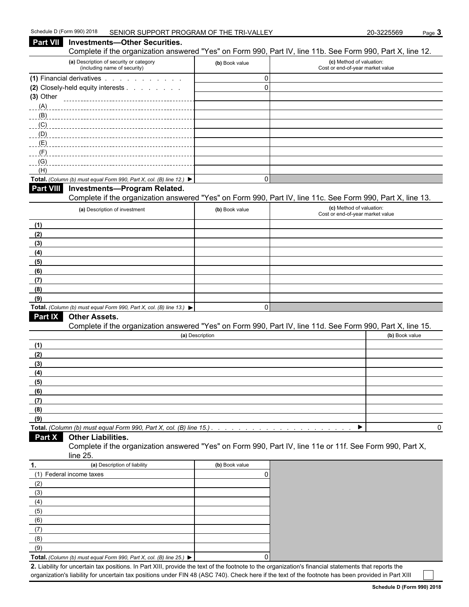#### **Part VII** Investments—Other Securities. Complete if the organization answered "Yes" on Form 990, Part IV, line 11b. See Form 990, Part X, line 12. **(a)** Description of security or category (including name of security) **(b)** Book value **(c)** Method of valuation: Cost or end-of-year market value **(1)** Financial derivatives  $\therefore$   $\therefore$   $\therefore$   $\therefore$   $\therefore$  . . . . . . . . 0 **(2)** Closely-held equity interests . . . . . . . . . . . . . . . . . . . . . . . . . . . . . . . . . . . . . . . . . . . . . . . . . . . . . . 0 **(3)** Other  $(A)$ \_\_\_\_(B)\_\_\_\_\_\_\_\_\_\_\_\_\_\_\_\_\_\_\_ (C) <u>(D) \_\_\_\_\_\_\_\_\_\_\_\_\_\_\_\_\_\_\_\_\_\_\_\_\_\_\_\_\_\_\_\_\_</u>  $(E)$  $(F)$  $(G)$ (H) **Total.** *(Column (b) must equal Form 990, Part X, col. (B) line 12.)* 0 **Part VIII Investments—Program Related.** Complete if the organization answered "Yes" on Form 990, Part IV, line 11c. See Form 990, Part X, line 13. **(a)** Description of investment **(b)** Book value **(b)** Book value **(c)** Method of valuation: Cost or end-of-year market value **(1) (2) (3) (4) (5) (6) (7) (8) (9) Total.** *(Column (b) must equal Form 990, Part X, col. (B) line 13.)* 0 **Part IX Other Assets.** Complete if the organization answered "Yes" on Form 990, Part IV, line 11d. See Form 990, Part X, line 15. **(a)** Description **(b)** Book value **(1) (2) (3) (4) (5) (6) (7) (8) (9) Total.** *(Column (b) must equal Form 990, Part X, col. (B) line 15.) . . . . . . . . . . . . . . . . . . . . . . . . . . . . . . . . . . . . . . . . . . . .* 0 **Part X Other Liabilities.** Complete if the organization answered "Yes" on Form 990, Part IV, line 11e or 11f. See Form 990, Part X, line 25. **1. (a)** Description of liability **(b)** Book value (1) Federal income taxes 0 (2)

| (2)                                                                                      |  |
|------------------------------------------------------------------------------------------|--|
| (3)                                                                                      |  |
| (4)                                                                                      |  |
| (5)                                                                                      |  |
| (6)                                                                                      |  |
| (7)                                                                                      |  |
| (8)                                                                                      |  |
| (9)                                                                                      |  |
| Total. (Column (b) must equal Form 990, Part X, col. (B) line 25.) $\blacktriangleright$ |  |

**2.** Liability for uncertain tax positions. In Part XIII, provide the text of the footnote to the organization's financial statements that reports the organization's liability for uncertain tax positions under FIN 48 (ASC 740). Check here if the text of the footnote has been provided in Part XIII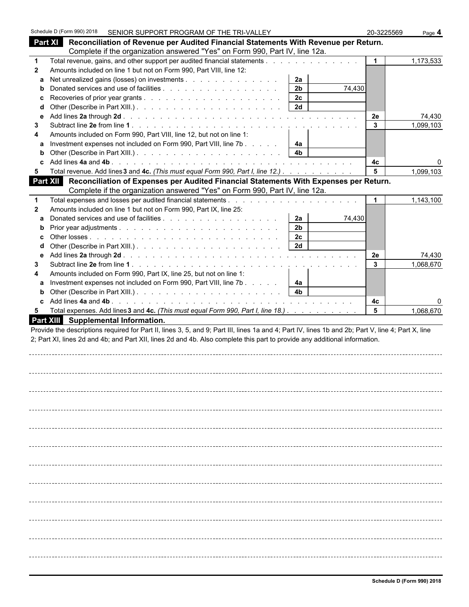|              | Schedule D (Form 990) 2018 |                                            | SENIOR SUPPORT PROGRAM OF THE TRI-VALLEY                                                                                                           |                      |        | 20-3225569   | Page 4    |
|--------------|----------------------------|--------------------------------------------|----------------------------------------------------------------------------------------------------------------------------------------------------|----------------------|--------|--------------|-----------|
|              |                            |                                            | Part XI Reconciliation of Revenue per Audited Financial Statements With Revenue per Return.                                                        |                      |        |              |           |
|              |                            |                                            | Complete if the organization answered "Yes" on Form 990, Part IV, line 12a.                                                                        |                      |        |              |           |
| $\mathbf 1$  |                            |                                            |                                                                                                                                                    |                      |        | $\mathbf{1}$ | 1,173,533 |
| $\mathbf{2}$ |                            |                                            | Amounts included on line 1 but not on Form 990, Part VIII, line 12:                                                                                |                      |        |              |           |
|              |                            |                                            | a Net unrealized gains (losses) on investments                                                                                                     | 2a                   |        |              |           |
| b            |                            |                                            |                                                                                                                                                    | 2 <sub>b</sub>       | 74,430 |              |           |
| c<br>d       |                            |                                            |                                                                                                                                                    | 2c<br>2d             |        |              |           |
| е            |                            |                                            |                                                                                                                                                    |                      |        | 2e           | 74,430    |
| 3            |                            |                                            |                                                                                                                                                    |                      |        | $\mathbf{3}$ | 1,099,103 |
| 4            |                            |                                            | Amounts included on Form 990, Part VIII, line 12, but not on line 1:                                                                               |                      |        |              |           |
| a            |                            |                                            | Investment expenses not included on Form 990, Part VIII, line 7b                                                                                   | 4a                   |        |              |           |
| b            |                            |                                            |                                                                                                                                                    | 4 <sub>b</sub>       |        |              |           |
|              |                            |                                            |                                                                                                                                                    |                      |        | 4c           |           |
| 5            |                            |                                            | Total revenue. Add lines 3 and 4c. (This must equal Form 990, Part I, line 12.)                                                                    |                      |        | 5            | 1,099,103 |
|              |                            |                                            | Part XII Reconciliation of Expenses per Audited Financial Statements With Expenses per Return.                                                     |                      |        |              |           |
|              |                            |                                            | Complete if the organization answered "Yes" on Form 990, Part IV, line 12a.                                                                        |                      |        |              |           |
| 1            |                            |                                            |                                                                                                                                                    |                      |        |              | 1,143,100 |
| $\mathbf{2}$ |                            |                                            | Amounts included on line 1 but not on Form 990, Part IX, line 25:                                                                                  |                      |        |              |           |
| a<br>b       |                            |                                            |                                                                                                                                                    | 2a<br>2 <sub>b</sub> | 74,430 |              |           |
|              |                            |                                            |                                                                                                                                                    | 2 <sub>c</sub>       |        |              |           |
| d            |                            |                                            |                                                                                                                                                    | 2d                   |        |              |           |
| е            |                            |                                            |                                                                                                                                                    |                      |        | 2e           | 74,430    |
| 3            |                            |                                            |                                                                                                                                                    |                      |        | 3            | 1,068,670 |
| 4            |                            |                                            | Amounts included on Form 990, Part IX, line 25, but not on line 1:                                                                                 |                      |        |              |           |
| a            |                            |                                            | Investment expenses not included on Form 990, Part VIII, line 7b                                                                                   | 4a                   |        |              |           |
| b            |                            |                                            |                                                                                                                                                    | 4 <sub>b</sub>       |        |              |           |
| c.           |                            |                                            |                                                                                                                                                    |                      |        | 4с           |           |
| 5            |                            | <b>Part XIII</b> Supplemental Information. | Total expenses. Add lines 3 and 4c. (This must equal Form 990, Part I, line 18.)                                                                   |                      |        | 5            | 1,068,670 |
|              |                            |                                            | Provide the descriptions required for Part II, lines 3, 5, and 9; Part III, lines 1a and 4; Part IV, lines 1b and 2b; Part V, line 4; Part X, line |                      |        |              |           |
|              |                            |                                            | 2; Part XI, lines 2d and 4b; and Part XII, lines 2d and 4b. Also complete this part to provide any additional information.                         |                      |        |              |           |
|              |                            |                                            |                                                                                                                                                    |                      |        |              |           |
|              |                            |                                            |                                                                                                                                                    |                      |        |              |           |
|              |                            |                                            |                                                                                                                                                    |                      |        |              |           |
|              |                            |                                            |                                                                                                                                                    |                      |        |              |           |
|              |                            |                                            |                                                                                                                                                    |                      |        |              |           |
|              |                            |                                            |                                                                                                                                                    |                      |        |              |           |
|              |                            |                                            |                                                                                                                                                    |                      |        |              |           |
|              |                            |                                            |                                                                                                                                                    |                      |        |              |           |
|              |                            |                                            |                                                                                                                                                    |                      |        |              |           |
|              |                            |                                            |                                                                                                                                                    |                      |        |              |           |
|              |                            |                                            |                                                                                                                                                    |                      |        |              |           |
|              |                            |                                            |                                                                                                                                                    |                      |        |              |           |
|              |                            |                                            |                                                                                                                                                    |                      |        |              |           |
|              |                            |                                            |                                                                                                                                                    |                      |        |              |           |
|              |                            |                                            |                                                                                                                                                    |                      |        |              |           |
|              |                            |                                            |                                                                                                                                                    |                      |        |              |           |
|              |                            |                                            |                                                                                                                                                    |                      |        |              |           |
|              |                            |                                            |                                                                                                                                                    |                      |        |              |           |
|              |                            |                                            |                                                                                                                                                    |                      |        |              |           |
|              |                            |                                            |                                                                                                                                                    |                      |        |              |           |
|              |                            |                                            |                                                                                                                                                    |                      |        |              |           |
|              |                            |                                            |                                                                                                                                                    |                      |        |              |           |
|              |                            |                                            |                                                                                                                                                    |                      |        |              |           |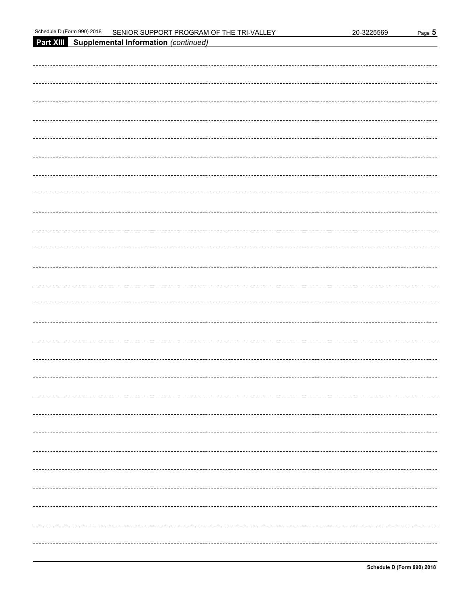| Schedule I<br>0011<br>990)<br>rorm) ل<br>…ו 20 ויי | : SUPPORT PROGRAM OF THE<br>:Nior<br>TRI-<br>-VAI<br>~- | 3225569<br>?በ-.<br>$\cdot \cdot$ | Page<br>-- |
|----------------------------------------------------|---------------------------------------------------------|----------------------------------|------------|
|----------------------------------------------------|---------------------------------------------------------|----------------------------------|------------|

| Part XIII Supplemental Information (continued) |
|------------------------------------------------|
|                                                |
|                                                |
|                                                |
|                                                |
|                                                |
|                                                |
|                                                |
|                                                |
|                                                |
|                                                |
|                                                |
|                                                |
|                                                |
|                                                |
|                                                |
|                                                |
|                                                |
|                                                |
|                                                |
|                                                |
|                                                |
|                                                |
|                                                |
|                                                |
|                                                |
|                                                |
|                                                |
|                                                |
|                                                |
|                                                |
|                                                |
|                                                |
|                                                |
|                                                |
|                                                |
|                                                |
|                                                |
|                                                |
| ----------------------------------             |
|                                                |
|                                                |
|                                                |
|                                                |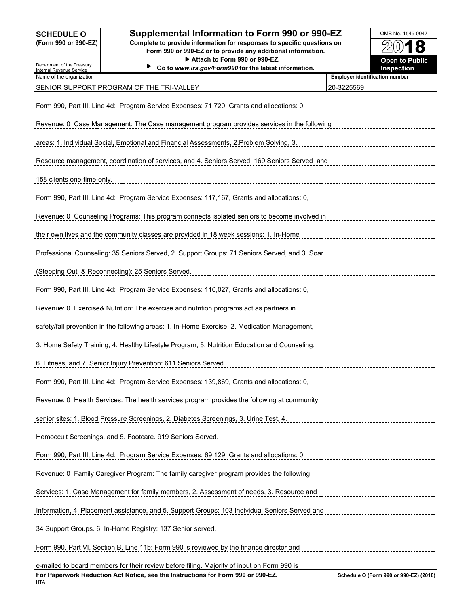Department of the Treasury

### **SCHEDULE O Supplemental Information to Form 990 or 990-EZ** OMB No. 1545-0047

**(Form 990 or 990-EZ) Complete to provide information for responses to specific questions on Form 990 or 990-EZ or to provide any additional information.** ▶ Attach to Form 990 or 990-EZ. **Open to Public** 

**Go to** *www.irs.gov/Form990* **for the latest information. Inspection**



| Internal Revenue Service   | 90 to <i>www.irs.gov/Formaso</i> for the latest imormation.                                                                                 | mspecuon                                            |
|----------------------------|---------------------------------------------------------------------------------------------------------------------------------------------|-----------------------------------------------------|
| Name of the organization   | SENIOR SUPPORT PROGRAM OF THE TRI-VALLEY                                                                                                    | <b>Employer identification number</b><br>20-3225569 |
|                            | Form 990, Part III, Line 4d: Program Service Expenses: 71,720, Grants and allocations: 0,                                                   |                                                     |
|                            | Revenue: 0 Case Management: The Case management program provides services in the following                                                  |                                                     |
|                            | areas: 1. Individual Social, Emotional and Financial Assessments, 2. Problem Solving, 3.                                                    |                                                     |
|                            | Resource management, coordination of services, and 4. Seniors Served: 169 Seniors Served and                                                |                                                     |
| 158 clients one-time-only. |                                                                                                                                             |                                                     |
|                            | Form 990, Part III, Line 4d: Program Service Expenses: 117,167, Grants and allocations: 0,                                                  |                                                     |
|                            | Revenue: 0 Counseling Programs: This program connects isolated seniors to become involved in                                                |                                                     |
|                            | their own lives and the community classes are provided in 18 week sessions: 1. In-Home                                                      |                                                     |
|                            | Professional Counseling: 35 Seniors Served, 2. Support Groups: 71 Seniors Served, and 3. Soar                                               |                                                     |
|                            | (Stepping Out & Reconnecting): 25 Seniors Served.                                                                                           |                                                     |
|                            | Form 990, Part III, Line 4d: Program Service Expenses: 110,027, Grants and allocations: 0,                                                  |                                                     |
|                            | Revenue: 0 Exercise& Nutrition: The exercise and nutrition programs act as partners in                                                      |                                                     |
|                            | safety/fall prevention in the following areas: 1. In-Home Exercise, 2. Medication Management,                                               |                                                     |
|                            | 3. Home Safety Training, 4. Healthy Lifestyle Program, 5. Nutrition Education and Counseling,                                               |                                                     |
|                            | 6. Fitness, and 7. Senior Injury Prevention: 611 Seniors Served.                                                                            |                                                     |
|                            | Form 990, Part III, Line 4d: Program Service Expenses: 139,869, Grants and allocations: 0,                                                  |                                                     |
|                            | Revenue: 0 Health Services: The health services program provides the following at community                                                 |                                                     |
|                            | senior sites: 1. Blood Pressure Screenings, 2. Diabetes Screenings, 3. Urine Test, 4.                                                       |                                                     |
|                            | Hemoccult Screenings, and 5. Footcare. 919 Seniors Served.                                                                                  |                                                     |
|                            | Form 990, Part III, Line 4d: Program Service Expenses: 69,129, Grants and allocations: 0, Concentration Concentration Concentration of Port |                                                     |
|                            | Revenue: 0 Family Caregiver Program: The family caregiver program provides the following                                                    |                                                     |
|                            | Services: 1. Case Management for family members, 2. Assessment of needs, 3. Resource and                                                    |                                                     |
|                            | Information, 4. Placement assistance, and 5. Support Groups: 103 Individual Seniors Served and                                              |                                                     |
|                            | 34 Support Groups. 6. In-Home Registry: 137 Senior served.                                                                                  |                                                     |
|                            | Form 990, Part VI, Section B, Line 11b: Form 990 is reviewed by the finance director and                                                    |                                                     |
|                            |                                                                                                                                             |                                                     |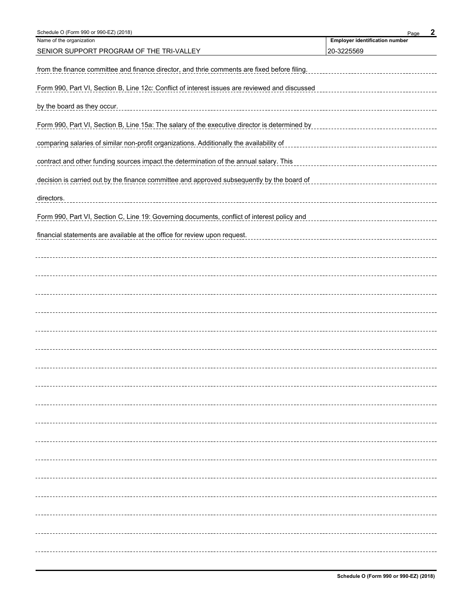| Schedule O (Form 990 or 990-EZ) (2018)                                                         | $\boldsymbol{2}$<br>Page              |
|------------------------------------------------------------------------------------------------|---------------------------------------|
| Name of the organization                                                                       | <b>Employer identification number</b> |
| SENIOR SUPPORT PROGRAM OF THE TRI-VALLEY                                                       | 20-3225569                            |
| from the finance committee and finance director, and thrie comments are fixed before filing.   |                                       |
| Form 990, Part VI, Section B, Line 12c: Conflict of interest issues are reviewed and discussed |                                       |
| by the board as they occur.                                                                    |                                       |
| Form 990, Part VI, Section B, Line 15a: The salary of the executive director is determined by  |                                       |
| comparing salaries of similar non-profit organizations. Additionally the availability of       |                                       |
| contract and other funding sources impact the determination of the annual salary. This         |                                       |
| decision is carried out by the finance committee and approved subsequently by the board of     |                                       |
| directors.                                                                                     |                                       |
| Form 990, Part VI, Section C, Line 19: Governing documents, conflict of interest policy and    |                                       |
| financial statements are available at the office for review upon request.                      |                                       |
|                                                                                                |                                       |
|                                                                                                |                                       |
|                                                                                                |                                       |
|                                                                                                |                                       |
|                                                                                                |                                       |
|                                                                                                |                                       |
|                                                                                                |                                       |
|                                                                                                |                                       |
|                                                                                                |                                       |
|                                                                                                |                                       |
|                                                                                                |                                       |
|                                                                                                |                                       |
|                                                                                                |                                       |
|                                                                                                |                                       |
|                                                                                                |                                       |
|                                                                                                |                                       |
|                                                                                                |                                       |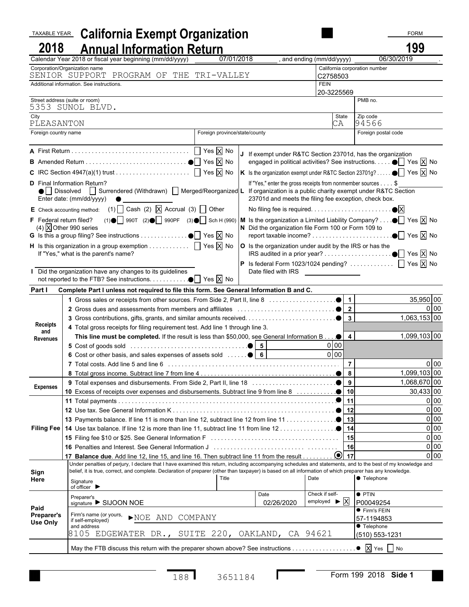| <b>TAXABLE YEAR</b>  | <b>California Exempt Organization</b>                                                                                                                                                                                                                                                                                     |                               |                                                                                                               |                                                    |                                                          | <b>FORM</b>                            |
|----------------------|---------------------------------------------------------------------------------------------------------------------------------------------------------------------------------------------------------------------------------------------------------------------------------------------------------------------------|-------------------------------|---------------------------------------------------------------------------------------------------------------|----------------------------------------------------|----------------------------------------------------------|----------------------------------------|
| 2018                 | <b>Annual Information Return</b>                                                                                                                                                                                                                                                                                          |                               |                                                                                                               |                                                    |                                                          | 199                                    |
|                      | Calendar Year 2018 or fiscal year beginning (mm/dd/yyyy)                                                                                                                                                                                                                                                                  | 07/01/2018                    |                                                                                                               | and ending (mm/dd/yyyy)                            |                                                          | 06/30/2019                             |
|                      | Corporation/Organization name<br>SENIOR SUPPORT PROGRAM OF THE TRI-VALLEY                                                                                                                                                                                                                                                 |                               |                                                                                                               |                                                    | California corporation number                            |                                        |
|                      | Additional information. See instructions.                                                                                                                                                                                                                                                                                 |                               |                                                                                                               | C2758503<br><b>FEIN</b>                            |                                                          |                                        |
|                      |                                                                                                                                                                                                                                                                                                                           |                               |                                                                                                               | 20-3225569                                         |                                                          |                                        |
|                      | Street address (suite or room)<br>5353 SUNOL BLVD.                                                                                                                                                                                                                                                                        |                               |                                                                                                               |                                                    | PMB no.                                                  |                                        |
| City                 |                                                                                                                                                                                                                                                                                                                           |                               |                                                                                                               | State                                              | Zip code                                                 |                                        |
| PLEASANTON           |                                                                                                                                                                                                                                                                                                                           |                               |                                                                                                               | СA                                                 | 94566                                                    |                                        |
| Foreign country name |                                                                                                                                                                                                                                                                                                                           | Foreign province/state/county |                                                                                                               |                                                    | Foreign postal code                                      |                                        |
|                      |                                                                                                                                                                                                                                                                                                                           |                               | If exempt under R&TC Section 23701d, has the organization                                                     |                                                    |                                                          |                                        |
|                      |                                                                                                                                                                                                                                                                                                                           |                               | engaged in political activities? See instructions. ● Yes X No                                                 |                                                    |                                                          |                                        |
|                      |                                                                                                                                                                                                                                                                                                                           |                               | In the organization exempt under R&TC Section 23701g? $\bullet$ $\boxed{\phantom{1}}$ Yes $\boxed{\times}$ No |                                                    |                                                          |                                        |
|                      | <b>D</b> Final Information Return?                                                                                                                                                                                                                                                                                        |                               | If "Yes," enter the gross receipts from nonmember sources \$                                                  |                                                    |                                                          |                                        |
|                      | Dissolved Surrendered (Withdrawn) Merged/Reorganized L If organization is a public charity exempt under R&TC Section<br>Enter date: (mm/dd/yyyy)                                                                                                                                                                          |                               | 23701d and meets the filing fee exception, check box.                                                         |                                                    |                                                          |                                        |
|                      | E Check accounting method: (1) $\Box$ Cash (2) $\Box$ Accrual (3) $\Box$ Other                                                                                                                                                                                                                                            |                               |                                                                                                               |                                                    |                                                          |                                        |
|                      | F Federal return filed? (1) $\bigcirc$ 990T (2) $\bigcirc$ 990PF (3) $\bigcirc$ Sch H (990)  M Is the organization a Limited Liability Company? $\bigcirc$ Yes $\bigcirc$ No                                                                                                                                              |                               |                                                                                                               |                                                    |                                                          |                                        |
|                      | (4) $\overline{X}$ Other 990 series                                                                                                                                                                                                                                                                                       |                               | N Did the organization file Form 100 or Form 109 to                                                           |                                                    |                                                          |                                        |
|                      |                                                                                                                                                                                                                                                                                                                           |                               | report taxable income?                                                                                        |                                                    |                                                          | $\bullet$ $\Box$ Yes $\overline{X}$ No |
|                      | <b>H</b> Is this organization in a group exemption $\ldots \ldots \ldots$ $\Box$ Yes $\overline{X}$ No<br>If "Yes," what is the parent's name?                                                                                                                                                                            |                               | O Is the organization under audit by the IRS or has the                                                       |                                                    |                                                          |                                        |
|                      |                                                                                                                                                                                                                                                                                                                           |                               | <b>P</b> Is federal Form 1023/1024 pending? $\Box$ Yes $\overline{X}$ No                                      |                                                    |                                                          |                                        |
|                      | Did the organization have any changes to its guidelines<br>not reported to the FTB? See instructions. $\bullet$ Yes $\overline{X}$ No                                                                                                                                                                                     |                               | Date filed with IRS _________________                                                                         |                                                    |                                                          |                                        |
| Part I               | Complete Part I unless not required to file this form. See General Information B and C.                                                                                                                                                                                                                                   |                               |                                                                                                               |                                                    |                                                          |                                        |
|                      |                                                                                                                                                                                                                                                                                                                           |                               |                                                                                                               |                                                    |                                                          | 35,950 00                              |
|                      |                                                                                                                                                                                                                                                                                                                           |                               |                                                                                                               | $\overline{2}$                                     |                                                          | 0 <sup>1</sup> 00                      |
|                      |                                                                                                                                                                                                                                                                                                                           |                               |                                                                                                               | $  \bullet  $ 3                                    |                                                          | 1,063,153 00                           |
| and                  | 4 Total gross receipts for filing requirement test. Add line 1 through line 3.                                                                                                                                                                                                                                            |                               |                                                                                                               |                                                    |                                                          | 1,099,103 00                           |
| <b>Revenues</b>      | This line must be completed. If the result is less than \$50,000, see General Information B $\bullet$                                                                                                                                                                                                                     |                               |                                                                                                               | $\overline{4}$<br>$0$ 00                           |                                                          |                                        |
|                      | 6 Cost or other basis, and sales expenses of assets sold $\ldots$ .                                                                                                                                                                                                                                                       |                               |                                                                                                               | 0 00                                               |                                                          |                                        |
| <b>Receipts</b>      |                                                                                                                                                                                                                                                                                                                           |                               |                                                                                                               | $\overline{7}$                                     |                                                          | $0$ 00                                 |
|                      |                                                                                                                                                                                                                                                                                                                           |                               |                                                                                                               |                                                    |                                                          | 1,099,103 00                           |
| <b>Expenses</b>      |                                                                                                                                                                                                                                                                                                                           |                               |                                                                                                               |                                                    |                                                          | 1,068,670 00                           |
|                      |                                                                                                                                                                                                                                                                                                                           |                               |                                                                                                               |                                                    |                                                          | $30,433$ 00                            |
|                      |                                                                                                                                                                                                                                                                                                                           |                               |                                                                                                               | 11                                                 |                                                          | $0$ 00                                 |
|                      |                                                                                                                                                                                                                                                                                                                           |                               |                                                                                                               | 12                                                 |                                                          | 0 <sub>0</sub><br>0 00                 |
|                      |                                                                                                                                                                                                                                                                                                                           |                               |                                                                                                               |                                                    |                                                          | 0 00                                   |
|                      |                                                                                                                                                                                                                                                                                                                           |                               |                                                                                                               | 15                                                 |                                                          | 0 00                                   |
|                      | 16 Penalties and Interest. See General Information Junger Construction Construction Construction                                                                                                                                                                                                                          |                               |                                                                                                               | 16                                                 |                                                          | 0 00                                   |
|                      |                                                                                                                                                                                                                                                                                                                           |                               |                                                                                                               | 17                                                 |                                                          | 0 <sup>1</sup> 00                      |
|                      | Under penalties of perjury, I declare that I have examined this return, including accompanying schedules and statements, and to the best of my knowledge and<br>belief, it is true, correct, and complete. Declaration of preparer (other than taxpayer) is based on all information of which preparer has any knowledge. |                               |                                                                                                               |                                                    |                                                          |                                        |
| Sign<br>Here         | Signature                                                                                                                                                                                                                                                                                                                 | Title                         |                                                                                                               | Date                                               | ● Telephone                                              |                                        |
|                      | of officer $\blacktriangleright$                                                                                                                                                                                                                                                                                          |                               |                                                                                                               |                                                    |                                                          |                                        |
|                      | Preparer's<br>signature ▶ SIJOON NOE                                                                                                                                                                                                                                                                                      |                               | Date<br>02/26/2020                                                                                            | Check if self-<br>employed $\blacktriangleright$ X | <b>O</b> PTIN<br>P00049254                               |                                        |
| Paid                 |                                                                                                                                                                                                                                                                                                                           |                               |                                                                                                               |                                                    | ● Firm's FEIN                                            |                                        |
| Preparer's           | Firm's name (or yours,<br>NOE AND COMPANY<br>if self-employed)                                                                                                                                                                                                                                                            |                               |                                                                                                               |                                                    |                                                          |                                        |
| <b>Use Only</b>      | and address<br>8105 EDGEWATER DR., SUITE 220, OAKLAND, CA 94621                                                                                                                                                                                                                                                           |                               |                                                                                                               |                                                    |                                                          |                                        |
|                      |                                                                                                                                                                                                                                                                                                                           |                               |                                                                                                               |                                                    | (510) 553-1231                                           |                                        |
|                      | May the FTB discuss this return with the preparer shown above? See instructions                                                                                                                                                                                                                                           |                               |                                                                                                               |                                                    | $\bullet$ $\overline{X}$ Yes $\overline{\phantom{1}}$ No |                                        |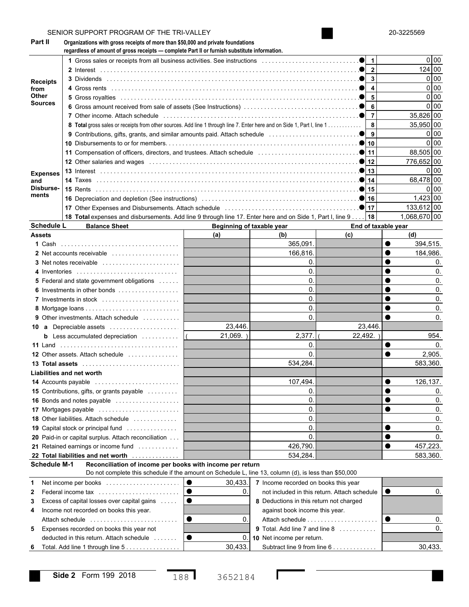|                                                                                                                                                                                                             | SENIOR SUPPORT PROGRAM OF THE TRI-VALLEY                                                                                                                                            |                           |                                                     |                     |           | 20-3225569        |
|-------------------------------------------------------------------------------------------------------------------------------------------------------------------------------------------------------------|-------------------------------------------------------------------------------------------------------------------------------------------------------------------------------------|---------------------------|-----------------------------------------------------|---------------------|-----------|-------------------|
| <b>Part II</b>                                                                                                                                                                                              | Organizations with gross receipts of more than \$50,000 and private foundations<br>regardless of amount of gross receipts - complete Part II or furnish substitute information.     |                           |                                                     |                     |           |                   |
|                                                                                                                                                                                                             |                                                                                                                                                                                     |                           |                                                     |                     |           | 0 <sub>0</sub>    |
|                                                                                                                                                                                                             |                                                                                                                                                                                     |                           |                                                     |                     |           | 124 00            |
| <b>Receipts</b><br>from<br>Other<br><b>Sources</b><br><b>Expenses</b><br>and<br>Disburse-<br>ments<br><b>Schedule L</b><br>Assets<br><b>14 Accounts payable</b><br><b>Schedule M-1</b><br>1<br>$\mathbf{2}$ |                                                                                                                                                                                     |                           |                                                     |                     |           | 0 00              |
|                                                                                                                                                                                                             |                                                                                                                                                                                     |                           |                                                     |                     |           | 0 00              |
|                                                                                                                                                                                                             |                                                                                                                                                                                     |                           |                                                     |                     |           | 0 <sub>0</sub>    |
|                                                                                                                                                                                                             |                                                                                                                                                                                     |                           |                                                     |                     |           | 0 <sub>0</sub>    |
|                                                                                                                                                                                                             |                                                                                                                                                                                     |                           |                                                     |                     |           | 35.826 00         |
|                                                                                                                                                                                                             |                                                                                                                                                                                     |                           |                                                     |                     |           |                   |
|                                                                                                                                                                                                             |                                                                                                                                                                                     |                           |                                                     |                     |           | 35,950 00         |
| 3<br>4                                                                                                                                                                                                      |                                                                                                                                                                                     |                           |                                                     |                     |           | 0 <sub>0</sub>    |
|                                                                                                                                                                                                             |                                                                                                                                                                                     |                           |                                                     |                     |           | 0 <sub>0</sub>    |
|                                                                                                                                                                                                             | 11 Compensation of officers, directors, and trustees. Attach schedule <i>masses</i> and compensation of officers, directors, and trustees. Attach schedule masses and the set of 11 |                           |                                                     | 88,505 00           |           |                   |
|                                                                                                                                                                                                             |                                                                                                                                                                                     |                           |                                                     |                     |           | 776,652 00        |
|                                                                                                                                                                                                             |                                                                                                                                                                                     |                           |                                                     |                     |           | 0 <sup>1</sup> 00 |
|                                                                                                                                                                                                             |                                                                                                                                                                                     |                           |                                                     |                     |           | 68.478 00         |
|                                                                                                                                                                                                             |                                                                                                                                                                                     |                           |                                                     |                     |           | 0 <sup>1</sup> 00 |
|                                                                                                                                                                                                             |                                                                                                                                                                                     |                           |                                                     |                     |           | $1,423$ 00        |
|                                                                                                                                                                                                             |                                                                                                                                                                                     |                           |                                                     |                     |           |                   |
|                                                                                                                                                                                                             |                                                                                                                                                                                     |                           |                                                     |                     |           | 133,612 00        |
|                                                                                                                                                                                                             | 18 Total expenses and disbursements. Add line 9 through line 17. Enter here and on Side 1, Part I, line 9   18                                                                      |                           |                                                     |                     |           | 1,068,670 00      |
|                                                                                                                                                                                                             | <b>Balance Sheet</b>                                                                                                                                                                | Beginning of taxable year |                                                     | End of taxable year |           |                   |
|                                                                                                                                                                                                             |                                                                                                                                                                                     | (a)                       | (b)                                                 | (c)                 |           | (d)               |
|                                                                                                                                                                                                             |                                                                                                                                                                                     |                           | 365,091.                                            |                     | $\bullet$ | 394,515.          |
|                                                                                                                                                                                                             | 2 Net accounts receivable                                                                                                                                                           |                           | 166,816.                                            |                     | $\bullet$ | 184,986.          |
|                                                                                                                                                                                                             |                                                                                                                                                                                     |                           | $\Omega$ .                                          |                     |           |                   |
|                                                                                                                                                                                                             | 4 Inventories                                                                                                                                                                       |                           | $\Omega$ .                                          |                     | $\bullet$ |                   |
|                                                                                                                                                                                                             | <b>5</b> Federal and state government obligations                                                                                                                                   |                           | $\Omega$ .                                          |                     | $\bullet$ |                   |
|                                                                                                                                                                                                             |                                                                                                                                                                                     |                           | $\Omega$ .                                          |                     | $\bullet$ |                   |
|                                                                                                                                                                                                             | 6 Investments in other bonds                                                                                                                                                        |                           |                                                     |                     |           |                   |
|                                                                                                                                                                                                             | 7 Investments in stock                                                                                                                                                              |                           | $\Omega$ .                                          |                     | $\bullet$ |                   |
|                                                                                                                                                                                                             |                                                                                                                                                                                     |                           | $\mathbf{0}$                                        |                     | $\bullet$ |                   |
|                                                                                                                                                                                                             | <b>9</b> Other investments. Attach schedule                                                                                                                                         |                           | $\Omega$                                            |                     | $\bullet$ |                   |
|                                                                                                                                                                                                             | 10 a Depreciable assets                                                                                                                                                             | 23,446.                   |                                                     | 23,446.             |           |                   |
|                                                                                                                                                                                                             | <b>b</b> Less accumulated depreciation $\ldots$                                                                                                                                     | 21,069.                   | 2,377.                                              | 22,492.             |           | 954.              |
|                                                                                                                                                                                                             |                                                                                                                                                                                     |                           | $\mathbf{0}$                                        |                     | $\bullet$ | 0.                |
|                                                                                                                                                                                                             | <b>12</b> Other assets. Attach schedule                                                                                                                                             |                           | $\Omega$                                            |                     |           | 2,905.            |
|                                                                                                                                                                                                             |                                                                                                                                                                                     |                           |                                                     |                     |           |                   |
|                                                                                                                                                                                                             | 13 Total assets                                                                                                                                                                     |                           | 534,284                                             |                     |           | 583,360.          |
|                                                                                                                                                                                                             | Liabilities and net worth                                                                                                                                                           |                           |                                                     |                     |           |                   |
|                                                                                                                                                                                                             |                                                                                                                                                                                     |                           | 107,494.                                            |                     | $\bullet$ | 126,137.          |
|                                                                                                                                                                                                             | 15 Contributions, gifts, or grants payable                                                                                                                                          |                           | 0.                                                  |                     | $\bullet$ | 0.                |
|                                                                                                                                                                                                             | 16 Bonds and notes payable                                                                                                                                                          |                           | $\mathbf{0}$                                        |                     | $\bullet$ | 0.                |
|                                                                                                                                                                                                             | 17 Mortgages payable                                                                                                                                                                |                           | $\mathbf{0}$                                        |                     | $\bullet$ | 0.                |
|                                                                                                                                                                                                             | <b>18</b> Other liabilities. Attach schedule                                                                                                                                        |                           | $\mathbf{0}$                                        |                     |           | 0.                |
|                                                                                                                                                                                                             | <b>19</b> Capital stock or principal fund                                                                                                                                           |                           | $\mathbf{0}$                                        |                     | $\bullet$ | 0.                |
|                                                                                                                                                                                                             |                                                                                                                                                                                     |                           |                                                     |                     | $\bullet$ |                   |
|                                                                                                                                                                                                             | 20 Paid-in or capital surplus. Attach reconciliation                                                                                                                                |                           | $\mathbf{0}$                                        |                     |           | 0.                |
|                                                                                                                                                                                                             | 21 Retained earnings or income fund                                                                                                                                                 |                           | 426,790.                                            |                     | $\bullet$ | 457,223.          |
|                                                                                                                                                                                                             | 22 Total liabilities and net worth                                                                                                                                                  |                           | 534,284                                             |                     |           | 583,360.          |
|                                                                                                                                                                                                             | Reconciliation of income per books with income per return<br>Do not complete this schedule if the amount on Schedule L, line 13, column (d), is less than \$50,000                  |                           |                                                     |                     |           |                   |
|                                                                                                                                                                                                             | Net income per books                                                                                                                                                                | 10<br>30,433.             | 7 Income recorded on books this year                |                     |           |                   |
|                                                                                                                                                                                                             | Federal income tax                                                                                                                                                                  | 0.<br>▎●                  | not included in this return. Attach schedule $\Box$ |                     |           |                   |
|                                                                                                                                                                                                             |                                                                                                                                                                                     | $\bullet$                 | 8 Deductions in this return not charged             |                     |           |                   |
|                                                                                                                                                                                                             |                                                                                                                                                                                     |                           |                                                     |                     |           |                   |
|                                                                                                                                                                                                             | Excess of capital losses over capital gains                                                                                                                                         |                           |                                                     |                     |           |                   |
|                                                                                                                                                                                                             | Income not recorded on books this year.                                                                                                                                             |                           | against book income this year.                      |                     |           |                   |
|                                                                                                                                                                                                             | Attach schedule                                                                                                                                                                     | $\bullet$<br>0            |                                                     |                     | 10        | 0.                |
|                                                                                                                                                                                                             | 5 Expenses recorded on books this year not                                                                                                                                          |                           | 9 Total. Add line 7 and line 8                      |                     |           | $\Omega$          |
|                                                                                                                                                                                                             | deducted in this return. Attach schedule                                                                                                                                            | $\bullet$                 | 0. 10 Net income per return.                        |                     |           |                   |

 $\mathsf{I}$